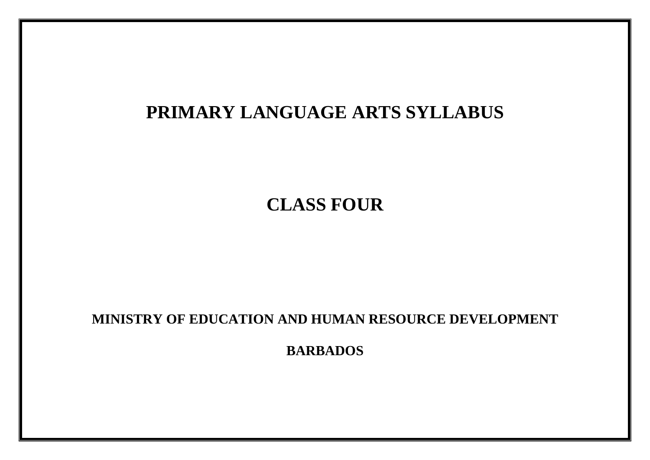# **PRIMARY LANGUAGE ARTS SYLLABUS**

**CLASS FOUR**

**MINISTRY OF EDUCATION AND HUMAN RESOURCE DEVELOPMENT**

**BARBADOS**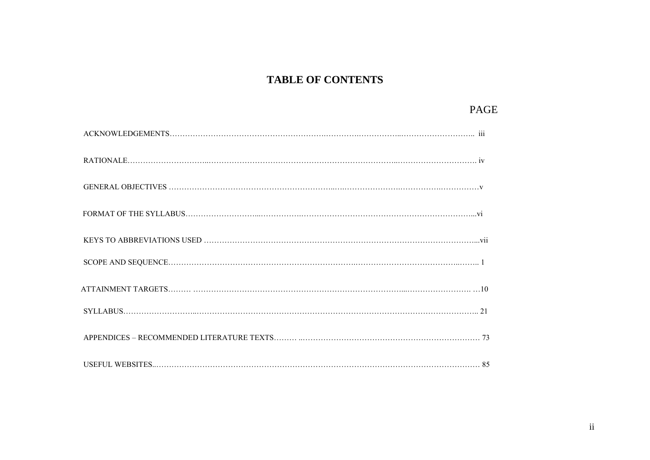### **TABLE OF CONTENTS**

### PAGE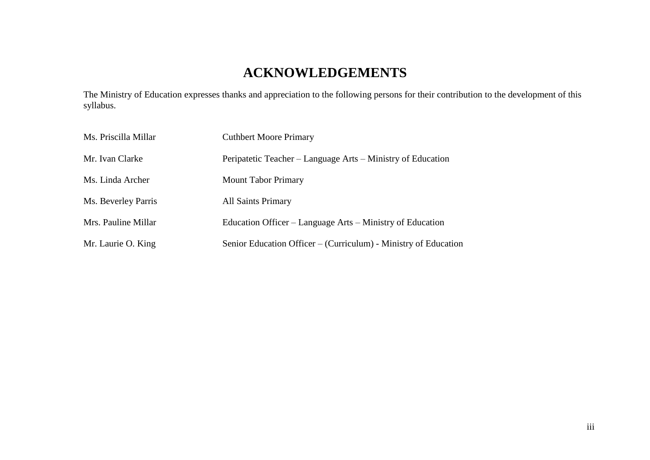# **ACKNOWLEDGEMENTS**

The Ministry of Education expresses thanks and appreciation to the following persons for their contribution to the development of this syllabus.

| Ms. Priscilla Millar | <b>Cuthbert Moore Primary</b>                                   |
|----------------------|-----------------------------------------------------------------|
| Mr. Ivan Clarke      | Peripatetic Teacher – Language Arts – Ministry of Education     |
| Ms. Linda Archer     | <b>Mount Tabor Primary</b>                                      |
| Ms. Beverley Parris  | <b>All Saints Primary</b>                                       |
| Mrs. Pauline Millar  | Education Officer – Language Arts – Ministry of Education       |
| Mr. Laurie O. King   | Senior Education Officer – (Curriculum) - Ministry of Education |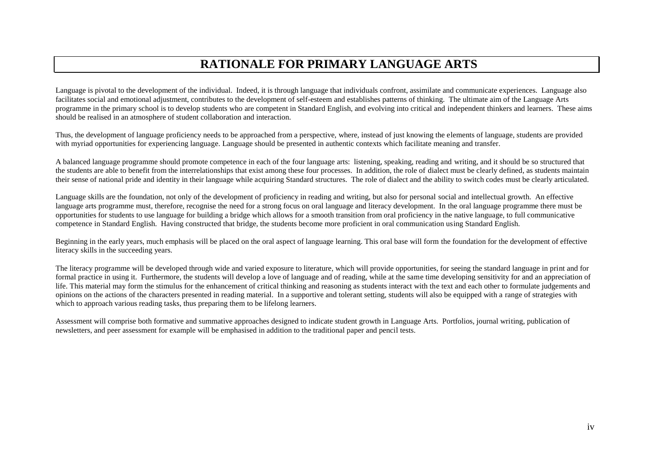### **RATIONALE FOR PRIMARY LANGUAGE ARTS**

Language is pivotal to the development of the individual. Indeed, it is through language that individuals confront, assimilate and communicate experiences. Language also facilitates social and emotional adjustment, contributes to the development of self-esteem and establishes patterns of thinking. The ultimate aim of the Language Arts programme in the primary school is to develop students who are competent in Standard English, and evolving into critical and independent thinkers and learners. These aims should be realised in an atmosphere of student collaboration and interaction.

Thus, the development of language proficiency needs to be approached from a perspective, where, instead of just knowing the elements of language, students are provided with myriad opportunities for experiencing language. Language should be presented in authentic contexts which facilitate meaning and transfer.

A balanced language programme should promote competence in each of the four language arts: listening, speaking, reading and writing, and it should be so structured that the students are able to benefit from the interrelationships that exist among these four processes. In addition, the role of dialect must be clearly defined, as students maintain their sense of national pride and identity in their language while acquiring Standard structures. The role of dialect and the ability to switch codes must be clearly articulated.

Language skills are the foundation, not only of the development of proficiency in reading and writing, but also for personal social and intellectual growth. An effective language arts programme must, therefore, recognise the need for a strong focus on oral language and literacy development. In the oral language programme there must be opportunities for students to use language for building a bridge which allows for a smooth transition from oral proficiency in the native language, to full communicative competence in Standard English. Having constructed that bridge, the students become more proficient in oral communication using Standard English.

Beginning in the early years, much emphasis will be placed on the oral aspect of language learning. This oral base will form the foundation for the development of effective literacy skills in the succeeding years.

The literacy programme will be developed through wide and varied exposure to literature, which will provide opportunities, for seeing the standard language in print and for formal practice in using it. Furthermore, the students will develop a love of language and of reading, while at the same time developing sensitivity for and an appreciation of life. This material may form the stimulus for the enhancement of critical thinking and reasoning as students interact with the text and each other to formulate judgements and opinions on the actions of the characters presented in reading material. In a supportive and tolerant setting, students will also be equipped with a range of strategies with which to approach various reading tasks, thus preparing them to be lifelong learners.

Assessment will comprise both formative and summative approaches designed to indicate student growth in Language Arts. Portfolios, journal writing, publication of newsletters, and peer assessment for example will be emphasised in addition to the traditional paper and pencil tests.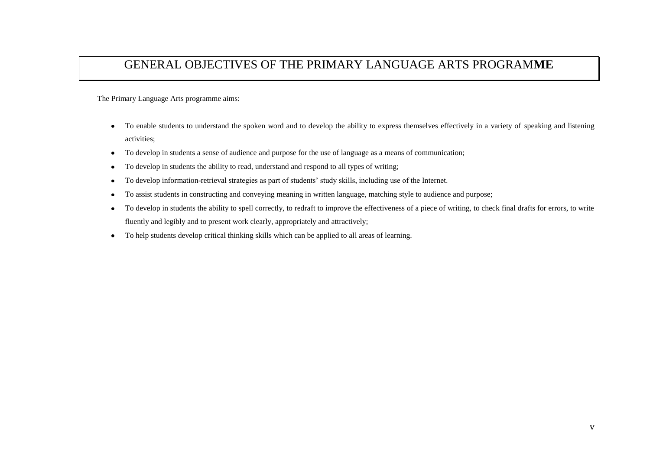### GENERAL OBJECTIVES OF THE PRIMARY LANGUAGE ARTS PROGRAM**ME**

The Primary Language Arts programme aims:

- To enable students to understand the spoken word and to develop the ability to express themselves effectively in a variety of speaking and listening activities;
- To develop in students a sense of audience and purpose for the use of language as a means of communication;
- To develop in students the ability to read, understand and respond to all types of writing;
- To develop information-retrieval strategies as part of students' study skills, including use of the Internet.
- To assist students in constructing and conveying meaning in written language, matching style to audience and purpose;  $\bullet$
- To develop in students the ability to spell correctly, to redraft to improve the effectiveness of a piece of writing, to check final drafts for errors, to write  $\bullet$ fluently and legibly and to present work clearly, appropriately and attractively;
- To help students develop critical thinking skills which can be applied to all areas of learning.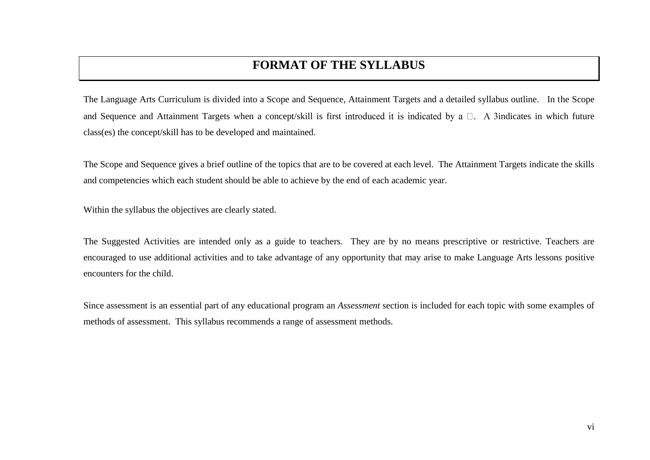### **FORMAT OF THE SYLLABUS**

The Language Arts Curriculum is divided into a Scope and Sequence, Attainment Targets and a detailed syllabus outline. In the Scope and Sequence and Attainment Targets when a concept/skill is first introduced it is indicated by a  $\Box$ . A 3indicates in which future class(es) the concept/skill has to be developed and maintained.

The Scope and Sequence gives a brief outline of the topics that are to be covered at each level. The Attainment Targets indicate the skills and competencies which each student should be able to achieve by the end of each academic year.

Within the syllabus the objectives are clearly stated.

The Suggested Activities are intended only as a guide to teachers. They are by no means prescriptive or restrictive. Teachers are encouraged to use additional activities and to take advantage of any opportunity that may arise to make Language Arts lessons positive encounters for the child.

Since assessment is an essential part of any educational program an *Assessment* section is included for each topic with some examples of methods of assessment. This syllabus recommends a range of assessment methods.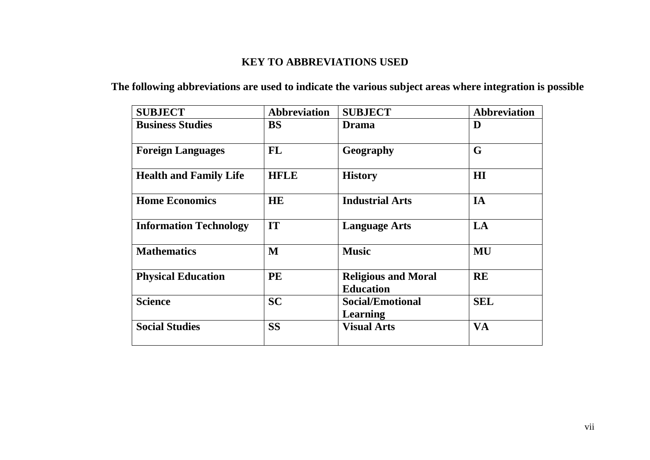### **KEY TO ABBREVIATIONS USED**

### **The following abbreviations are used to indicate the various subject areas where integration is possible**

| <b>SUBJECT</b>                | <b>Abbreviation</b> | <b>SUBJECT</b>                                 | <b>Abbreviation</b> |
|-------------------------------|---------------------|------------------------------------------------|---------------------|
| <b>Business Studies</b>       | <b>BS</b>           | <b>Drama</b>                                   | D                   |
| <b>Foreign Languages</b>      | <b>FL</b>           | Geography                                      | G                   |
| <b>Health and Family Life</b> | <b>HFLE</b>         | <b>History</b>                                 | H1                  |
| <b>Home Economics</b>         | <b>HE</b>           | <b>Industrial Arts</b>                         | IA                  |
| <b>Information Technology</b> | IT                  | <b>Language Arts</b>                           | LA                  |
| <b>Mathematics</b>            | $\mathbf{M}$        | <b>Music</b>                                   | <b>MU</b>           |
| <b>Physical Education</b>     | PE                  | <b>Religious and Moral</b><br><b>Education</b> | <b>RE</b>           |
| <b>Science</b>                | <b>SC</b>           | <b>Social/Emotional</b><br><b>Learning</b>     | <b>SEL</b>          |
| <b>Social Studies</b>         | <b>SS</b>           | <b>Visual Arts</b>                             | <b>VA</b>           |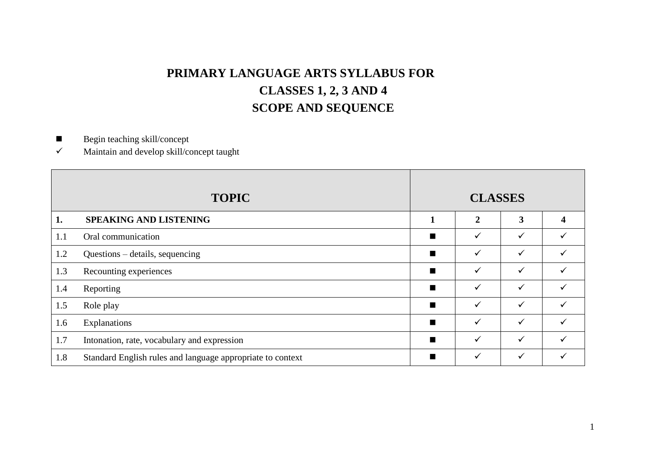## **PRIMARY LANGUAGE ARTS SYLLABUS FOR CLASSES 1, 2, 3 AND 4 SCOPE AND SEQUENCE**

Begin teaching skill/concept

 $\checkmark$  Maintain and develop skill/concept taught

|     | <b>TOPIC</b>                                               |                | <b>CLASSES</b> |              |                         |
|-----|------------------------------------------------------------|----------------|----------------|--------------|-------------------------|
| 1.  | <b>SPEAKING AND LISTENING</b>                              | 1              | $\overline{2}$ | 3            | $\overline{\mathbf{4}}$ |
| 1.1 | Oral communication                                         | $\blacksquare$ | $\checkmark$   | $\checkmark$ |                         |
| 1.2 | Questions – details, sequencing                            | п              | $\checkmark$   | $\checkmark$ |                         |
| 1.3 | Recounting experiences                                     | $\blacksquare$ | $\checkmark$   | $\checkmark$ | ✓                       |
| 1.4 | Reporting                                                  | $\blacksquare$ | $\checkmark$   | $\checkmark$ |                         |
| 1.5 | Role play                                                  | п              | $\checkmark$   | $\checkmark$ |                         |
| 1.6 | Explanations                                               | п              | $\checkmark$   | $\checkmark$ |                         |
| 1.7 | Intonation, rate, vocabulary and expression                | $\blacksquare$ | $\checkmark$   | $\checkmark$ |                         |
| 1.8 | Standard English rules and language appropriate to context | $\blacksquare$ | $\checkmark$   | $\checkmark$ |                         |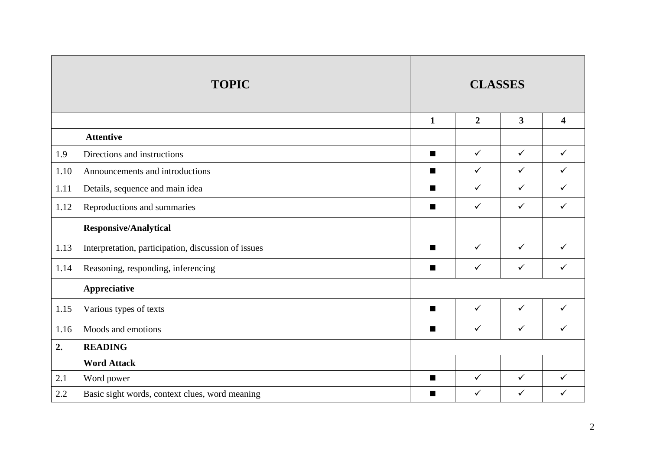|      | <b>TOPIC</b>                                        | <b>CLASSES</b> |                |                         |                         |
|------|-----------------------------------------------------|----------------|----------------|-------------------------|-------------------------|
|      |                                                     | $\mathbf{1}$   | $\overline{2}$ | $\overline{\mathbf{3}}$ | $\overline{\mathbf{4}}$ |
|      | <b>Attentive</b>                                    |                |                |                         |                         |
| 1.9  | Directions and instructions                         | $\blacksquare$ | $\checkmark$   | $\checkmark$            | $\checkmark$            |
| 1.10 | Announcements and introductions                     | $\blacksquare$ | $\checkmark$   | $\checkmark$            | $\checkmark$            |
| 1.11 | Details, sequence and main idea                     | П              | $\checkmark$   | $\checkmark$            | $\checkmark$            |
| 1.12 | Reproductions and summaries                         | $\blacksquare$ | $\checkmark$   | $\checkmark$            | $\checkmark$            |
|      | <b>Responsive/Analytical</b>                        |                |                |                         |                         |
| 1.13 | Interpretation, participation, discussion of issues | $\blacksquare$ | $\checkmark$   | $\checkmark$            | $\checkmark$            |
| 1.14 | Reasoning, responding, inferencing                  | $\blacksquare$ | $\checkmark$   | $\checkmark$            | $\checkmark$            |
|      | Appreciative                                        |                |                |                         |                         |
| 1.15 | Various types of texts                              | $\blacksquare$ | $\checkmark$   | $\checkmark$            | $\checkmark$            |
| 1.16 | Moods and emotions                                  | п              | $\checkmark$   | $\checkmark$            | $\checkmark$            |
| 2.   | <b>READING</b>                                      |                |                |                         |                         |
|      | <b>Word Attack</b>                                  |                |                |                         |                         |
| 2.1  | Word power                                          | п              | $\checkmark$   | $\checkmark$            | $\checkmark$            |
| 2.2  | Basic sight words, context clues, word meaning      | П              | $\checkmark$   | $\checkmark$            | $\checkmark$            |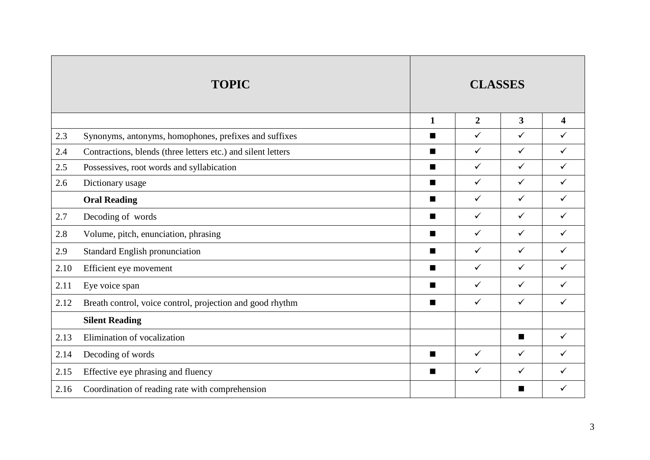|      | <b>TOPIC</b>                                                 | <b>CLASSES</b> |                |                         |                         |
|------|--------------------------------------------------------------|----------------|----------------|-------------------------|-------------------------|
|      |                                                              | $\mathbf{1}$   | $\overline{2}$ | $\overline{\mathbf{3}}$ | $\overline{\mathbf{4}}$ |
| 2.3  | Synonyms, antonyms, homophones, prefixes and suffixes        | п              | $\checkmark$   | $\checkmark$            | $\checkmark$            |
| 2.4  | Contractions, blends (three letters etc.) and silent letters | $\blacksquare$ | $\checkmark$   | $\checkmark$            | $\checkmark$            |
| 2.5  | Possessives, root words and syllabication                    | $\blacksquare$ | $\checkmark$   | $\checkmark$            | $\checkmark$            |
| 2.6  | Dictionary usage                                             | п              | $\checkmark$   | $\checkmark$            | $\checkmark$            |
|      | <b>Oral Reading</b>                                          | $\blacksquare$ | $\checkmark$   | $\checkmark$            | $\checkmark$            |
| 2.7  | Decoding of words                                            | $\blacksquare$ | $\checkmark$   | $\checkmark$            | $\checkmark$            |
| 2.8  | Volume, pitch, enunciation, phrasing                         | п              | $\checkmark$   | $\checkmark$            | $\checkmark$            |
| 2.9  | <b>Standard English pronunciation</b>                        | п              | $\checkmark$   | $\checkmark$            | $\checkmark$            |
| 2.10 | Efficient eye movement                                       | $\blacksquare$ | $\checkmark$   | $\checkmark$            | $\checkmark$            |
| 2.11 | Eye voice span                                               | $\blacksquare$ | $\checkmark$   | $\checkmark$            | $\checkmark$            |
| 2.12 | Breath control, voice control, projection and good rhythm    | $\blacksquare$ | $\checkmark$   | $\checkmark$            | $\checkmark$            |
|      | <b>Silent Reading</b>                                        |                |                |                         |                         |
| 2.13 | Elimination of vocalization                                  |                |                | $\blacksquare$          | $\checkmark$            |
| 2.14 | Decoding of words                                            | п              | $\checkmark$   | $\checkmark$            | $\checkmark$            |
| 2.15 | Effective eye phrasing and fluency                           | $\blacksquare$ | $\checkmark$   | $\checkmark$            | $\checkmark$            |
| 2.16 | Coordination of reading rate with comprehension              |                |                | ■                       | ✓                       |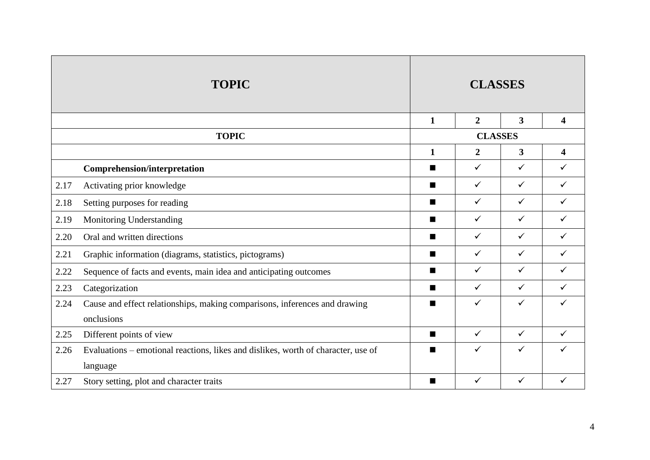|      | <b>TOPIC</b>                                                                      | <b>CLASSES</b> |                |                         |                         |
|------|-----------------------------------------------------------------------------------|----------------|----------------|-------------------------|-------------------------|
|      |                                                                                   | $\mathbf{1}$   | $\overline{2}$ | $\overline{\mathbf{3}}$ | $\overline{\mathbf{4}}$ |
|      | <b>TOPIC</b>                                                                      |                | <b>CLASSES</b> |                         |                         |
|      |                                                                                   | $\mathbf{1}$   | $\overline{2}$ | $\overline{\mathbf{3}}$ | $\overline{\mathbf{4}}$ |
|      | <b>Comprehension/interpretation</b>                                               | п              | $\checkmark$   | $\checkmark$            | $\checkmark$            |
| 2.17 | Activating prior knowledge                                                        | $\blacksquare$ | $\checkmark$   | $\checkmark$            | $\checkmark$            |
| 2.18 | Setting purposes for reading                                                      | $\blacksquare$ | $\checkmark$   | $\checkmark$            | $\checkmark$            |
| 2.19 | Monitoring Understanding                                                          | $\blacksquare$ | $\checkmark$   | $\checkmark$            | $\checkmark$            |
| 2.20 | Oral and written directions                                                       | п              | $\checkmark$   | $\checkmark$            | $\checkmark$            |
| 2.21 | Graphic information (diagrams, statistics, pictograms)                            | п              | $\checkmark$   | $\checkmark$            | $\checkmark$            |
| 2.22 | Sequence of facts and events, main idea and anticipating outcomes                 | п              | $\checkmark$   | $\checkmark$            | $\checkmark$            |
| 2.23 | Categorization                                                                    | $\blacksquare$ | $\checkmark$   | $\checkmark$            | $\checkmark$            |
| 2.24 | Cause and effect relationships, making comparisons, inferences and drawing        | п              | ✓              | $\checkmark$            | ✓                       |
|      | onclusions                                                                        |                |                |                         |                         |
| 2.25 | Different points of view                                                          | п              | $\checkmark$   | $\checkmark$            | $\checkmark$            |
| 2.26 | Evaluations – emotional reactions, likes and dislikes, worth of character, use of | $\blacksquare$ | $\checkmark$   | $\checkmark$            | $\checkmark$            |
|      | language                                                                          |                |                |                         |                         |
| 2.27 | Story setting, plot and character traits                                          | п              | $\checkmark$   | $\checkmark$            | ✓                       |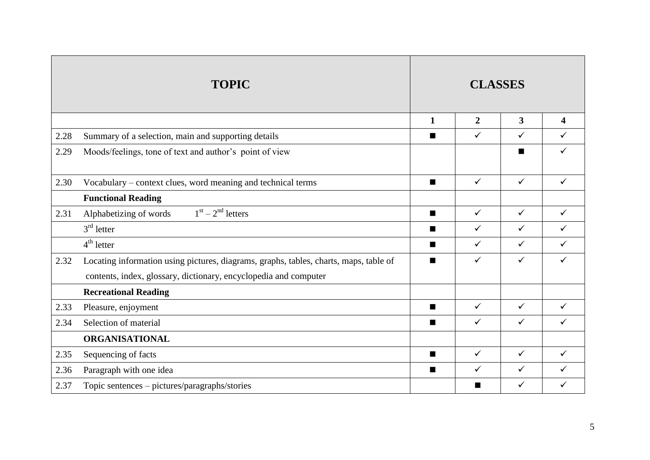|      | <b>TOPIC</b>                                                                                                                                              |                | <b>CLASSES</b> |              |                         |
|------|-----------------------------------------------------------------------------------------------------------------------------------------------------------|----------------|----------------|--------------|-------------------------|
|      |                                                                                                                                                           | $\mathbf{1}$   | $\overline{2}$ | $\mathbf{3}$ | $\overline{\mathbf{4}}$ |
| 2.28 | Summary of a selection, main and supporting details                                                                                                       | п              | $\checkmark$   | $\checkmark$ | $\checkmark$            |
| 2.29 | Moods/feelings, tone of text and author's point of view                                                                                                   |                |                | ■            | $\checkmark$            |
| 2.30 | Vocabulary – context clues, word meaning and technical terms                                                                                              | $\blacksquare$ | $\checkmark$   | $\checkmark$ | $\checkmark$            |
|      | <b>Functional Reading</b>                                                                                                                                 |                |                |              |                         |
| 2.31 | $1st - 2nd letters$<br>Alphabetizing of words                                                                                                             | $\blacksquare$ | $\checkmark$   | $\checkmark$ | $\checkmark$            |
|      | $3rd$ letter                                                                                                                                              | $\blacksquare$ | $\checkmark$   | $\checkmark$ | $\checkmark$            |
|      | $4^{\text{th}}$ letter                                                                                                                                    | ■              | $\checkmark$   | $\checkmark$ | $\checkmark$            |
| 2.32 | Locating information using pictures, diagrams, graphs, tables, charts, maps, table of<br>contents, index, glossary, dictionary, encyclopedia and computer | $\blacksquare$ | $\checkmark$   | $\checkmark$ | $\checkmark$            |
|      | <b>Recreational Reading</b>                                                                                                                               |                |                |              |                         |
| 2.33 | Pleasure, enjoyment                                                                                                                                       | $\blacksquare$ | $\checkmark$   | $\checkmark$ | $\checkmark$            |
| 2.34 | Selection of material                                                                                                                                     | ■              | $\checkmark$   | $\checkmark$ | $\checkmark$            |
|      | <b>ORGANISATIONAL</b>                                                                                                                                     |                |                |              |                         |
| 2.35 | Sequencing of facts                                                                                                                                       | $\blacksquare$ | $\checkmark$   | $\checkmark$ | $\checkmark$            |
| 2.36 | Paragraph with one idea                                                                                                                                   | $\blacksquare$ | ✓              | $\checkmark$ | $\checkmark$            |
| 2.37 | Topic sentences - pictures/paragraphs/stories                                                                                                             |                | п              | $\checkmark$ | $\checkmark$            |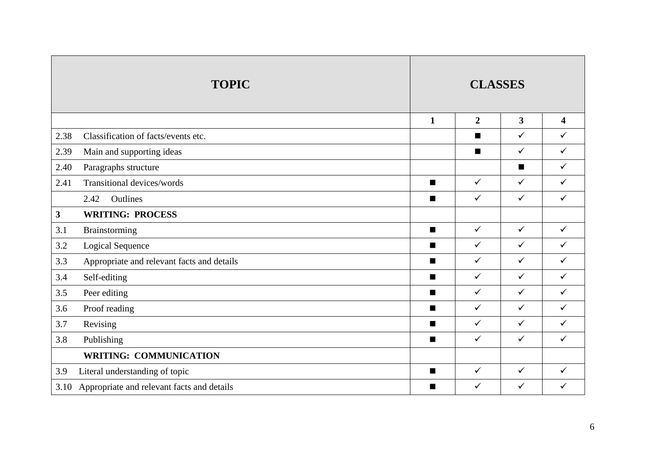|                         | <b>TOPIC</b>                               | <b>CLASSES</b> |                |              |                         |
|-------------------------|--------------------------------------------|----------------|----------------|--------------|-------------------------|
|                         |                                            | $\mathbf{1}$   | $\overline{2}$ | $\mathbf{3}$ | $\overline{\mathbf{4}}$ |
| 2.38                    | Classification of facts/events etc.        |                | ■              | $\checkmark$ | $\checkmark$            |
| 2.39                    | Main and supporting ideas                  |                | ■              | $\checkmark$ | $\checkmark$            |
| 2.40                    | Paragraphs structure                       |                |                | П            | $\checkmark$            |
| 2.41                    | Transitional devices/words                 | $\blacksquare$ | $\checkmark$   | $\checkmark$ | $\checkmark$            |
|                         | 2.42<br>Outlines                           | $\blacksquare$ | $\checkmark$   | $\checkmark$ | $\checkmark$            |
| $\overline{\mathbf{3}}$ | <b>WRITING: PROCESS</b>                    |                |                |              |                         |
| 3.1                     | Brainstorming                              | $\blacksquare$ | $\checkmark$   | $\checkmark$ | $\checkmark$            |
| 3.2                     | <b>Logical Sequence</b>                    | $\blacksquare$ | $\checkmark$   | $\checkmark$ | $\checkmark$            |
| 3.3                     | Appropriate and relevant facts and details | $\blacksquare$ | $\checkmark$   | $\checkmark$ | $\checkmark$            |
| 3.4                     | Self-editing                               | $\blacksquare$ | $\checkmark$   | $\checkmark$ | $\checkmark$            |
| 3.5                     | Peer editing                               | $\blacksquare$ | $\checkmark$   | $\checkmark$ | $\checkmark$            |
| 3.6                     | Proof reading                              | $\blacksquare$ | $\checkmark$   | $\checkmark$ | $\checkmark$            |
| 3.7                     | Revising                                   | п              | $\checkmark$   | $\checkmark$ | $\checkmark$            |
| 3.8                     | Publishing                                 | $\blacksquare$ | $\checkmark$   | $\checkmark$ | $\checkmark$            |
|                         | <b>WRITING: COMMUNICATION</b>              |                |                |              |                         |
| 3.9                     | Literal understanding of topic             | $\blacksquare$ | $\checkmark$   | $\checkmark$ | $\checkmark$            |
| 3.10                    | Appropriate and relevant facts and details | $\blacksquare$ | $\checkmark$   | $\checkmark$ | $\checkmark$            |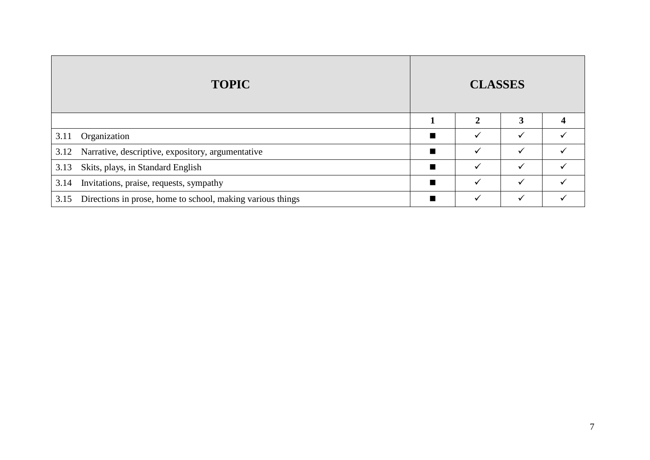|      | <b>TOPIC</b>                                               | <b>CLASSES</b> |              |              |  |
|------|------------------------------------------------------------|----------------|--------------|--------------|--|
|      |                                                            |                | $\mathbf{2}$ | 3            |  |
| 3.11 | Organization                                               | п              | ✓            | $\checkmark$ |  |
| 3.12 | Narrative, descriptive, expository, argumentative          | $\blacksquare$ | ✓            | ✓            |  |
| 3.13 | Skits, plays, in Standard English                          | П              | ✓            | ✓            |  |
| 3.14 | Invitations, praise, requests, sympathy                    | П              | ✓            | ✓            |  |
| 3.15 | Directions in prose, home to school, making various things | $\blacksquare$ | ✓            | $\checkmark$ |  |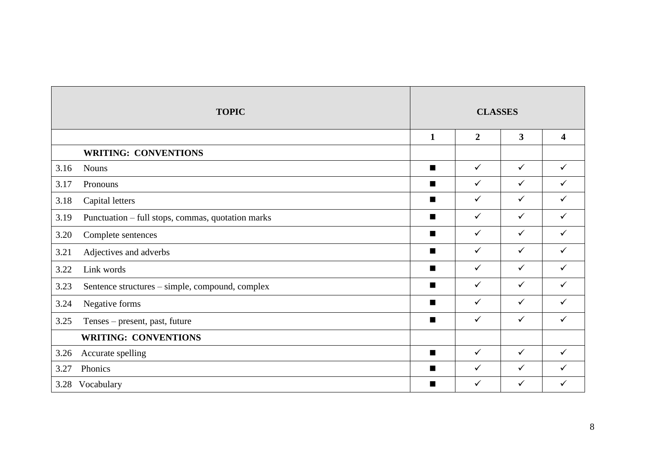|      | <b>TOPIC</b>                                      | <b>CLASSES</b> |                |                         |                         |
|------|---------------------------------------------------|----------------|----------------|-------------------------|-------------------------|
|      |                                                   | $\mathbf{1}$   | $\overline{2}$ | $\overline{\mathbf{3}}$ | $\overline{\mathbf{4}}$ |
|      | <b>WRITING: CONVENTIONS</b>                       |                |                |                         |                         |
| 3.16 | <b>Nouns</b>                                      | $\blacksquare$ | $\checkmark$   | $\checkmark$            | $\checkmark$            |
| 3.17 | Pronouns                                          | п              | $\checkmark$   | $\checkmark$            | $\checkmark$            |
| 3.18 | Capital letters                                   | $\blacksquare$ | $\checkmark$   | $\checkmark$            | $\checkmark$            |
| 3.19 | Punctuation - full stops, commas, quotation marks | $\blacksquare$ | $\checkmark$   | $\checkmark$            | $\checkmark$            |
| 3.20 | Complete sentences                                | $\blacksquare$ | $\checkmark$   | $\checkmark$            | $\checkmark$            |
| 3.21 | Adjectives and adverbs                            | $\blacksquare$ | $\checkmark$   | $\checkmark$            | $\checkmark$            |
| 3.22 | Link words                                        | п              | $\checkmark$   | $\checkmark$            | $\checkmark$            |
| 3.23 | Sentence structures – simple, compound, complex   | $\blacksquare$ | $\checkmark$   | $\checkmark$            | $\checkmark$            |
| 3.24 | Negative forms                                    | ■              | $\checkmark$   | $\checkmark$            | $\checkmark$            |
| 3.25 | Tenses - present, past, future                    | $\blacksquare$ | $\checkmark$   | $\checkmark$            | $\checkmark$            |
|      | <b>WRITING: CONVENTIONS</b>                       |                |                |                         |                         |
| 3.26 | Accurate spelling                                 | $\blacksquare$ | $\checkmark$   | $\checkmark$            | $\checkmark$            |
| 3.27 | Phonics                                           |                | $\checkmark$   | $\checkmark$            | $\checkmark$            |
|      | 3.28 Vocabulary                                   | п              | $\checkmark$   | $\checkmark$            | $\checkmark$            |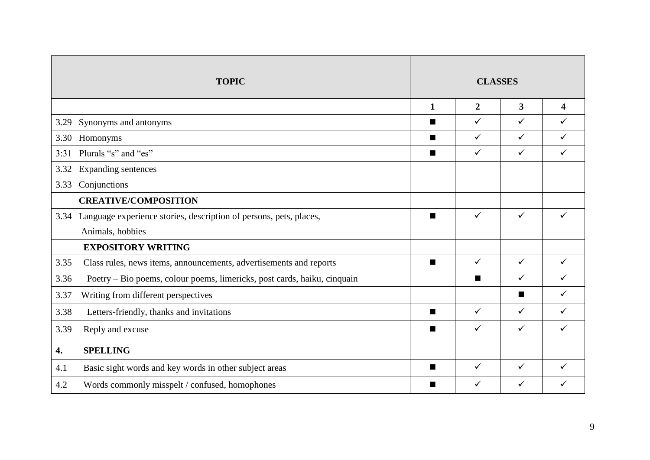|      | <b>TOPIC</b>                                                             | <b>CLASSES</b> |                |                         |              |
|------|--------------------------------------------------------------------------|----------------|----------------|-------------------------|--------------|
|      |                                                                          | $\mathbf{1}$   | $\overline{2}$ | $\overline{\mathbf{3}}$ | 4            |
| 3.29 | Synonyms and antonyms                                                    | $\blacksquare$ | $\checkmark$   | $\checkmark$            | $\checkmark$ |
| 3.30 | Homonyms                                                                 | $\blacksquare$ | $\checkmark$   | $\checkmark$            | $\checkmark$ |
| 3:31 | Plurals "s" and "es"                                                     | ■              | $\checkmark$   | $\checkmark$            | $\checkmark$ |
| 3.32 | Expanding sentences                                                      |                |                |                         |              |
| 3.33 | Conjunctions                                                             |                |                |                         |              |
|      | <b>CREATIVE/COMPOSITION</b>                                              |                |                |                         |              |
| 3.34 | Language experience stories, description of persons, pets, places,       | $\blacksquare$ | ✓              | ✓                       | ✓            |
|      | Animals, hobbies                                                         |                |                |                         |              |
|      | <b>EXPOSITORY WRITING</b>                                                |                |                |                         |              |
| 3.35 | Class rules, news items, announcements, advertisements and reports       | $\blacksquare$ | $\checkmark$   | $\checkmark$            | $\checkmark$ |
| 3.36 | Poetry – Bio poems, colour poems, limericks, post cards, haiku, cinquain |                | ■              | ✓                       | ✓            |
| 3.37 | Writing from different perspectives                                      |                |                | ■                       | ✓            |
| 3.38 | Letters-friendly, thanks and invitations                                 | п              | $\checkmark$   | $\checkmark$            | $\checkmark$ |
| 3.39 | Reply and excuse                                                         |                | $\checkmark$   | ✓                       | ✓            |
| 4.   | <b>SPELLING</b>                                                          |                |                |                         |              |
| 4.1  | Basic sight words and key words in other subject areas                   | п              | $\checkmark$   | $\checkmark$            | ✓            |
| 4.2  | Words commonly misspelt / confused, homophones                           |                | ✓              | ✓                       | ✓            |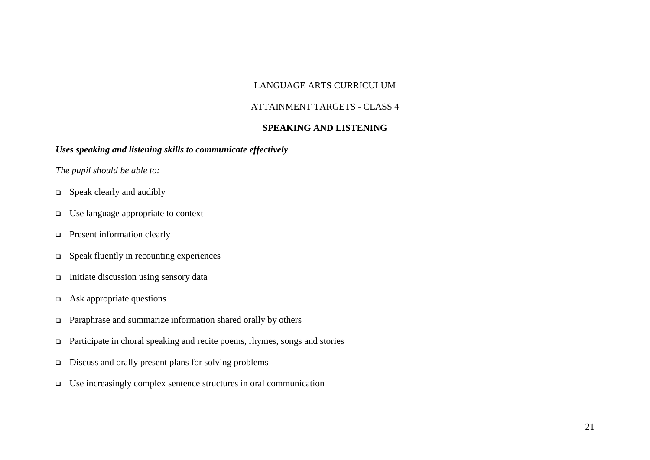#### LANGUAGE ARTS CURRICULUM

#### ATTAINMENT TARGETS - CLASS 4

#### **SPEAKING AND LISTENING**

#### *Uses speaking and listening skills to communicate effectively*

- Speak clearly and audibly
- Use language appropriate to context
- **Present information clearly**
- $\Box$  Speak fluently in recounting experiences
- $\Box$  Initiate discussion using sensory data
- $\Box$  Ask appropriate questions
- Paraphrase and summarize information shared orally by others
- $\Box$  Participate in choral speaking and recite poems, rhymes, songs and stories
- $\Box$  Discuss and orally present plans for solving problems
- $\Box$  Use increasingly complex sentence structures in oral communication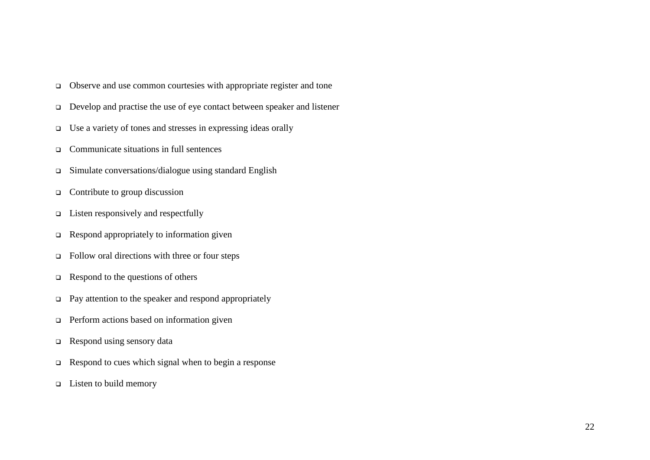- Observe and use common courtesies with appropriate register and tone
- $\Box$  Develop and practise the use of eye contact between speaker and listener
- $\Box$  Use a variety of tones and stresses in expressing ideas orally
- Communicate situations in full sentences
- Simulate conversations/dialogue using standard English
- $\Box$  Contribute to group discussion
- $\Box$  Listen responsively and respectfully
- $\Box$  Respond appropriately to information given
- $\Box$  Follow oral directions with three or four steps
- $\Box$  Respond to the questions of others
- $\Box$  Pay attention to the speaker and respond appropriately
- **Perform actions based on information given**
- $\Box$  Respond using sensory data
- $\Box$  Respond to cues which signal when to begin a response
- $\Box$  Listen to build memory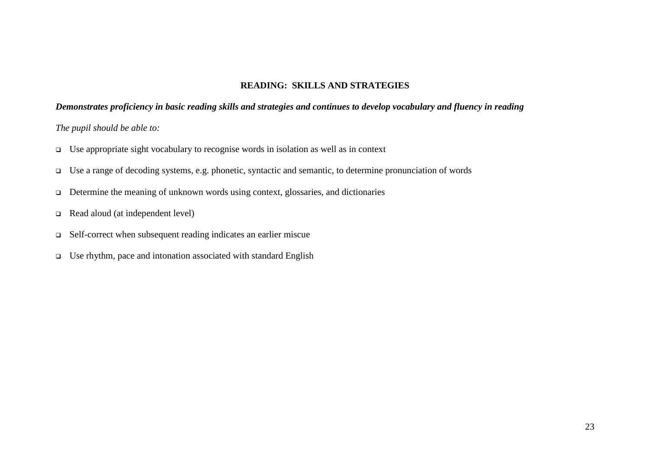#### **READING: SKILLS AND STRATEGIES**

#### *Demonstrates proficiency in basic reading skills and strategies and continues to develop vocabulary and fluency in reading*

- $\Box$  Use appropriate sight vocabulary to recognise words in isolation as well as in context
- Use a range of decoding systems, e.g. phonetic, syntactic and semantic, to determine pronunciation of words
- Determine the meaning of unknown words using context, glossaries, and dictionaries
- Read aloud (at independent level)
- Self-correct when subsequent reading indicates an earlier miscue
- $\Box$  Use rhythm, pace and intonation associated with standard English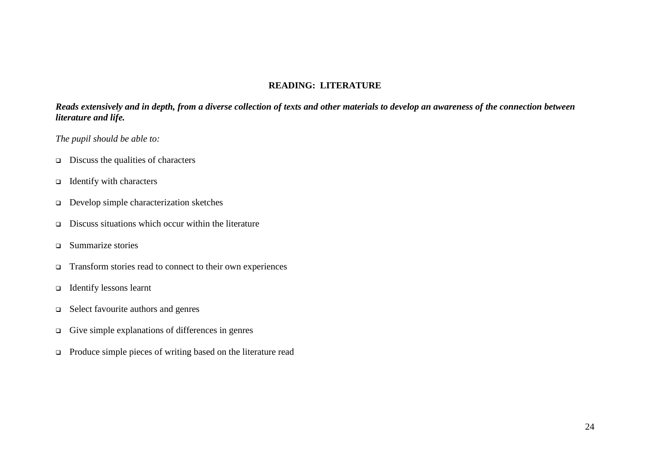#### **READING: LITERATURE**

*Reads extensively and in depth, from a diverse collection of texts and other materials to develop an awareness of the connection between literature and life.*

- Discuss the qualities of characters
- $\Box$  Identify with characters
- Develop simple characterization sketches
- $\Box$  Discuss situations which occur within the literature
- Summarize stories
- Transform stories read to connect to their own experiences
- $\Box$  Identify lessons learnt
- $\Box$  Select favourite authors and genres
- $\Box$  Give simple explanations of differences in genres
- Produce simple pieces of writing based on the literature read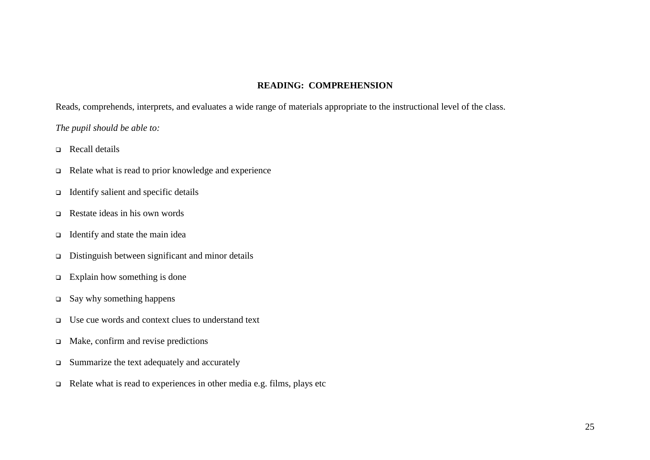#### **READING: COMPREHENSION**

Reads, comprehends, interprets, and evaluates a wide range of materials appropriate to the instructional level of the class.

- Recall details
- Relate what is read to prior knowledge and experience
- $\Box$  Identify salient and specific details
- $\Box$  Restate ideas in his own words
- $\Box$  Identify and state the main idea
- $\Box$  Distinguish between significant and minor details
- $\Box$  Explain how something is done
- $\square$  Say why something happens
- Use cue words and context clues to understand text
- $\Box$  Make, confirm and revise predictions
- $\Box$  Summarize the text adequately and accurately
- $\Box$  Relate what is read to experiences in other media e.g. films, plays etc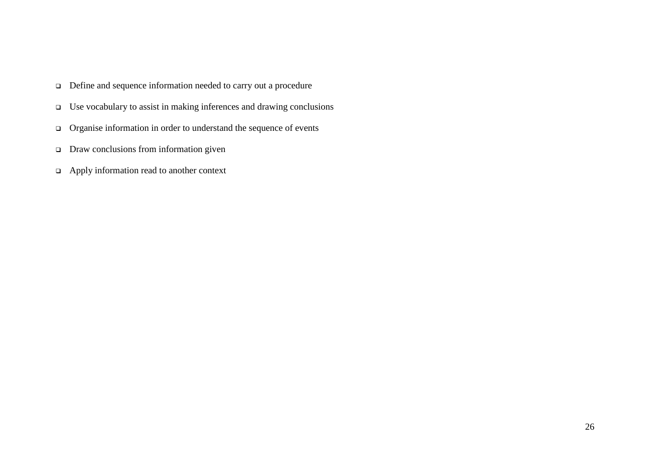- Define and sequence information needed to carry out a procedure
- Use vocabulary to assist in making inferences and drawing conclusions
- Organise information in order to understand the sequence of events
- Draw conclusions from information given
- Apply information read to another context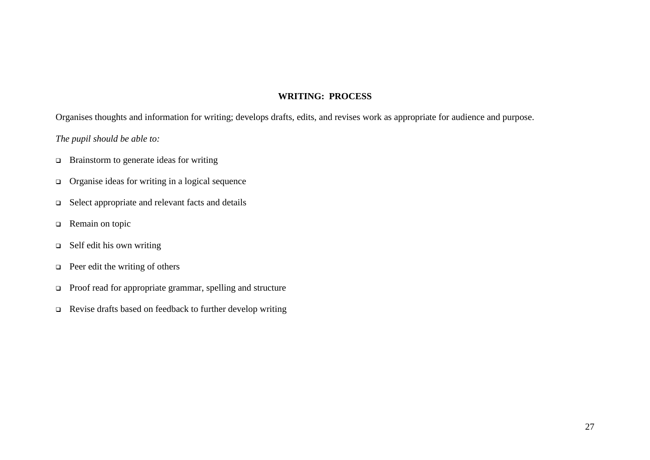#### **WRITING: PROCESS**

Organises thoughts and information for writing; develops drafts, edits, and revises work as appropriate for audience and purpose.

- □ Brainstorm to generate ideas for writing
- $\Box$  Organise ideas for writing in a logical sequence
- □ Select appropriate and relevant facts and details
- □ Remain on topic
- $\Box$  Self edit his own writing
- $\Box$  Peer edit the writing of others
- □ Proof read for appropriate grammar, spelling and structure
- Revise drafts based on feedback to further develop writing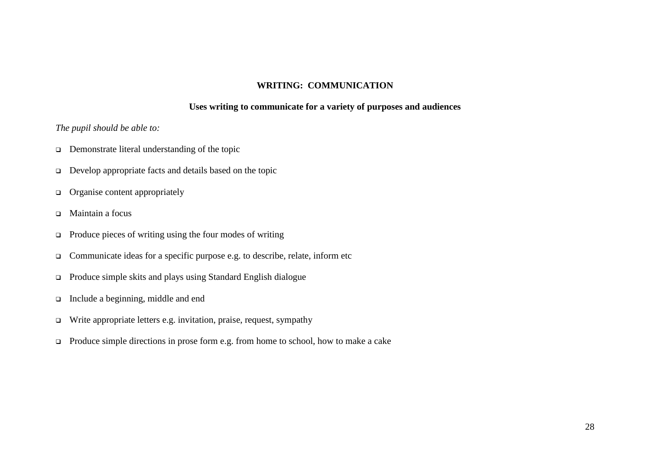#### **WRITING: COMMUNICATION**

#### **Uses writing to communicate for a variety of purposes and audiences**

- □ Demonstrate literal understanding of the topic
- Develop appropriate facts and details based on the topic
- $\Box$  Organise content appropriately
- Maintain a focus
- $\Box$  Produce pieces of writing using the four modes of writing
- Communicate ideas for a specific purpose e.g. to describe, relate, inform etc
- Produce simple skits and plays using Standard English dialogue
- Include a beginning, middle and end
- Write appropriate letters e.g. invitation, praise, request, sympathy
- Produce simple directions in prose form e.g. from home to school, how to make a cake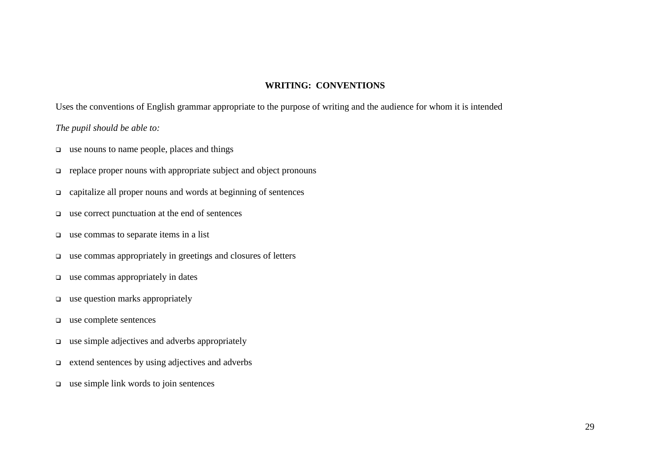#### **WRITING: CONVENTIONS**

Uses the conventions of English grammar appropriate to the purpose of writing and the audience for whom it is intended

- $\Box$  use nouns to name people, places and things
- $\Box$  replace proper nouns with appropriate subject and object pronouns
- capitalize all proper nouns and words at beginning of sentences
- use correct punctuation at the end of sentences
- $\Box$  use commas to separate items in a list
- $\Box$  use commas appropriately in greetings and closures of letters
- $\Box$  use commas appropriately in dates
- $\Box$  use question marks appropriately
- use complete sentences
- $\Box$  use simple adjectives and adverbs appropriately
- $\Box$  extend sentences by using adjectives and adverbs
- $\Box$  use simple link words to join sentences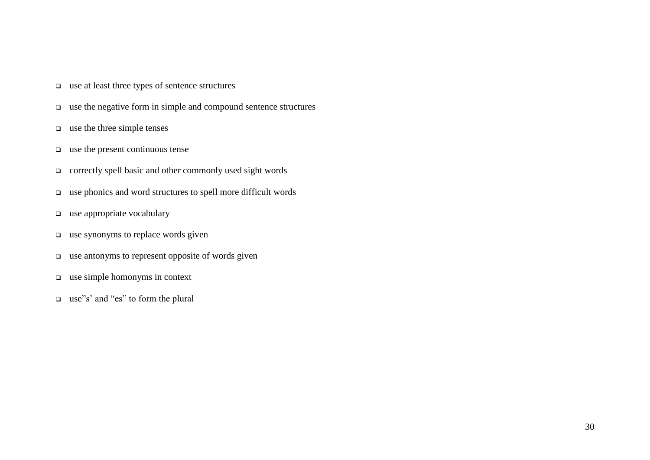- use at least three types of sentence structures
- use the negative form in simple and compound sentence structures
- $\Box$  use the three simple tenses
- $\Box$  use the present continuous tense
- correctly spell basic and other commonly used sight words
- use phonics and word structures to spell more difficult words
- use appropriate vocabulary
- $\Box$  use synonyms to replace words given
- $\Box$  use antonyms to represent opposite of words given
- $\Box$  use simple homonyms in context
- use"s' and "es" to form the plural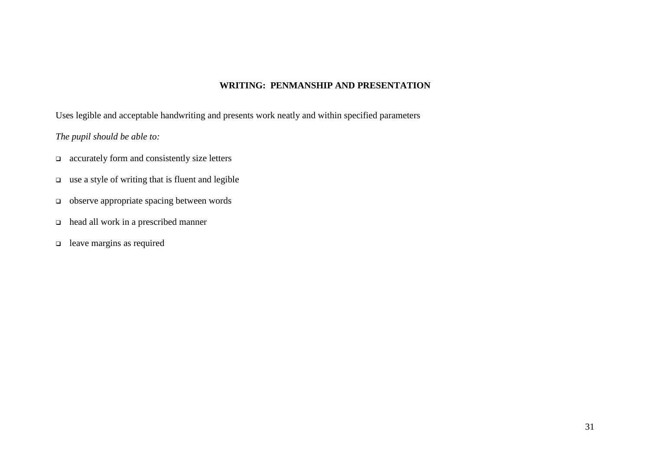#### **WRITING: PENMANSHIP AND PRESENTATION**

Uses legible and acceptable handwriting and presents work neatly and within specified parameters

- accurately form and consistently size letters
- $\Box$  use a style of writing that is fluent and legible
- observe appropriate spacing between words
- head all work in a prescribed manner
- leave margins as required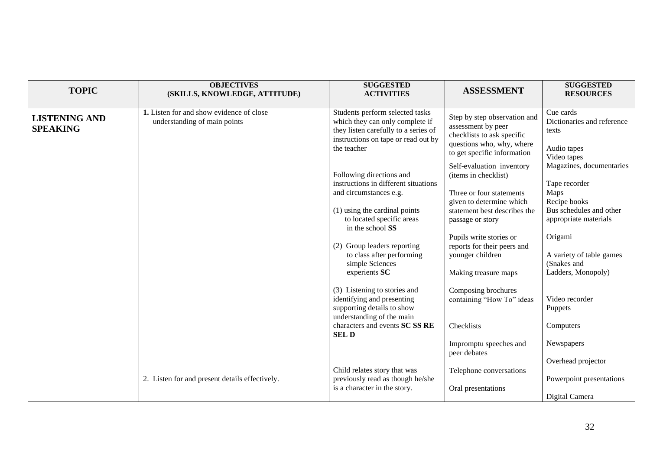| <b>TOPIC</b>                            | <b>OBJECTIVES</b><br>(SKILLS, KNOWLEDGE, ATTITUDE)                       | <b>SUGGESTED</b><br><b>ACTIVITIES</b>                                                                                                                                        | <b>ASSESSMENT</b>                                                                                                                                             | <b>SUGGESTED</b><br><b>RESOURCES</b>                                                                                  |
|-----------------------------------------|--------------------------------------------------------------------------|------------------------------------------------------------------------------------------------------------------------------------------------------------------------------|---------------------------------------------------------------------------------------------------------------------------------------------------------------|-----------------------------------------------------------------------------------------------------------------------|
| <b>LISTENING AND</b><br><b>SPEAKING</b> | 1. Listen for and show evidence of close<br>understanding of main points | Students perform selected tasks<br>which they can only complete if<br>they listen carefully to a series of<br>instructions on tape or read out by<br>the teacher             | Step by step observation and<br>assessment by peer<br>checklists to ask specific<br>questions who, why, where<br>to get specific information                  | Cue cards<br>Dictionaries and reference<br>texts<br>Audio tapes<br>Video tapes                                        |
|                                         |                                                                          | Following directions and<br>instructions in different situations<br>and circumstances e.g.<br>(1) using the cardinal points<br>to located specific areas<br>in the school SS | Self-evaluation inventory<br>(items in checklist)<br>Three or four statements<br>given to determine which<br>statement best describes the<br>passage or story | Magazines, documentaries<br>Tape recorder<br>Maps<br>Recipe books<br>Bus schedules and other<br>appropriate materials |
|                                         |                                                                          | (2) Group leaders reporting<br>to class after performing<br>simple Sciences<br>experients SC                                                                                 | Pupils write stories or<br>reports for their peers and<br>younger children<br>Making treasure maps                                                            | Origami<br>A variety of table games<br>(Snakes and<br>Ladders, Monopoly)                                              |
|                                         |                                                                          | (3) Listening to stories and<br>identifying and presenting<br>supporting details to show<br>understanding of the main<br>characters and events SC SS RE<br><b>SELD</b>       | Composing brochures<br>containing "How To" ideas<br>Checklists                                                                                                | Video recorder<br>Puppets<br>Computers                                                                                |
|                                         |                                                                          |                                                                                                                                                                              | Impromptu speeches and<br>peer debates                                                                                                                        | Newspapers<br>Overhead projector                                                                                      |
|                                         | 2. Listen for and present details effectively.                           | Child relates story that was<br>previously read as though he/she<br>is a character in the story.                                                                             | Telephone conversations<br>Oral presentations                                                                                                                 | Powerpoint presentations<br>Digital Camera                                                                            |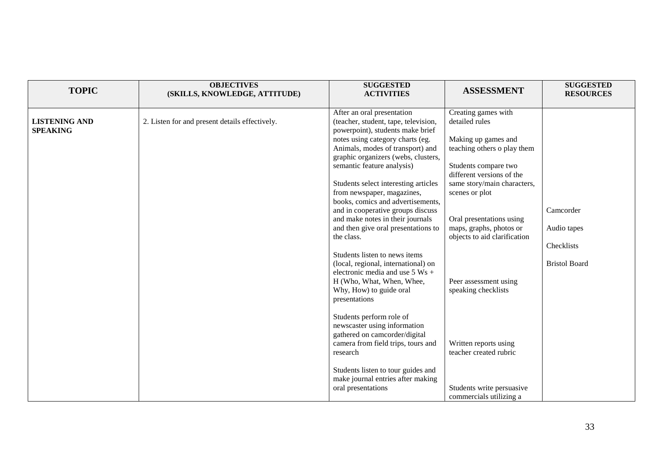| <b>TOPIC</b>                            | <b>OBJECTIVES</b><br>(SKILLS, KNOWLEDGE, ATTITUDE) | <b>SUGGESTED</b><br><b>ACTIVITIES</b>                                                                                                                                                                                                                                                                                                                                               | <b>ASSESSMENT</b>                                                                                                                                                               | <b>SUGGESTED</b><br><b>RESOURCES</b>                           |
|-----------------------------------------|----------------------------------------------------|-------------------------------------------------------------------------------------------------------------------------------------------------------------------------------------------------------------------------------------------------------------------------------------------------------------------------------------------------------------------------------------|---------------------------------------------------------------------------------------------------------------------------------------------------------------------------------|----------------------------------------------------------------|
| <b>LISTENING AND</b><br><b>SPEAKING</b> | 2. Listen for and present details effectively.     | After an oral presentation<br>(teacher, student, tape, television,<br>powerpoint), students make brief<br>notes using category charts (eg.<br>Animals, modes of transport) and<br>graphic organizers (webs, clusters,<br>semantic feature analysis)<br>Students select interesting articles                                                                                         | Creating games with<br>detailed rules<br>Making up games and<br>teaching others o play them<br>Students compare two<br>different versions of the<br>same story/main characters, |                                                                |
|                                         |                                                    | from newspaper, magazines,<br>books, comics and advertisements,<br>and in cooperative groups discuss<br>and make notes in their journals<br>and then give oral presentations to<br>the class.<br>Students listen to news items<br>(local, regional, international) on<br>electronic media and use $5$ Ws +<br>H (Who, What, When, Whee,<br>Why, How) to guide oral<br>presentations | scenes or plot<br>Oral presentations using<br>maps, graphs, photos or<br>objects to aid clarification<br>Peer assessment using<br>speaking checklists                           | Camcorder<br>Audio tapes<br>Checklists<br><b>Bristol Board</b> |
|                                         |                                                    | Students perform role of<br>newscaster using information<br>gathered on camcorder/digital<br>camera from field trips, tours and<br>research<br>Students listen to tour guides and<br>make journal entries after making<br>oral presentations                                                                                                                                        | Written reports using<br>teacher created rubric<br>Students write persuasive<br>commercials utilizing a                                                                         |                                                                |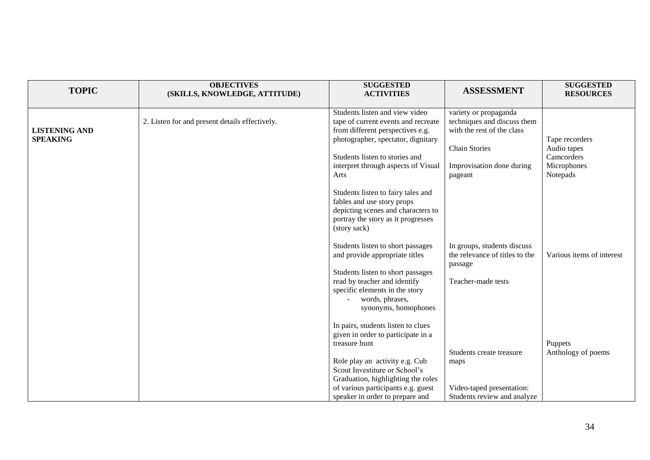| <b>TOPIC</b>                            | <b>OBJECTIVES</b><br>(SKILLS, KNOWLEDGE, ATTITUDE) | <b>SUGGESTED</b><br><b>ACTIVITIES</b>                                                                                                                                                                                                                                                                                                      | <b>ASSESSMENT</b>                                                                                                                                  | <b>SUGGESTED</b><br><b>RESOURCES</b>                                   |
|-----------------------------------------|----------------------------------------------------|--------------------------------------------------------------------------------------------------------------------------------------------------------------------------------------------------------------------------------------------------------------------------------------------------------------------------------------------|----------------------------------------------------------------------------------------------------------------------------------------------------|------------------------------------------------------------------------|
| <b>LISTENING AND</b><br><b>SPEAKING</b> | 2. Listen for and present details effectively.     | Students listen and view video<br>tape of current events and recreate<br>from different perspectives e.g.<br>photographer, spectator, dignitary<br>Students listen to stories and<br>interpret through aspects of Visual<br>Arts<br>Students listen to fairy tales and<br>fables and use story props<br>depicting scenes and characters to | variety or propaganda<br>techniques and discuss them<br>with the rest of the class<br><b>Chain Stories</b><br>Improvisation done during<br>pageant | Tape recorders<br>Audio tapes<br>Camcorders<br>Microphones<br>Notepads |
|                                         |                                                    | portray the story as it progresses<br>(story sack)<br>Students listen to short passages<br>and provide appropriate titles<br>Students listen to short passages<br>read by teacher and identify<br>specific elements in the story<br>words, phrases,<br>synonyms, homophones                                                                | In groups, students discuss<br>the relevance of titles to the<br>passage<br>Teacher-made tests                                                     | Various items of interest                                              |
|                                         |                                                    | In pairs, students listen to clues<br>given in order to participate in a<br>treasure hunt<br>Role play an activity e.g. Cub<br>Scout Investiture or School's<br>Graduation, highlighting the roles<br>of various participants e.g. guest<br>speaker in order to prepare and                                                                | Students create treasure<br>maps<br>Video-taped presentation:<br>Students review and analyze                                                       | Puppets<br>Anthology of poems                                          |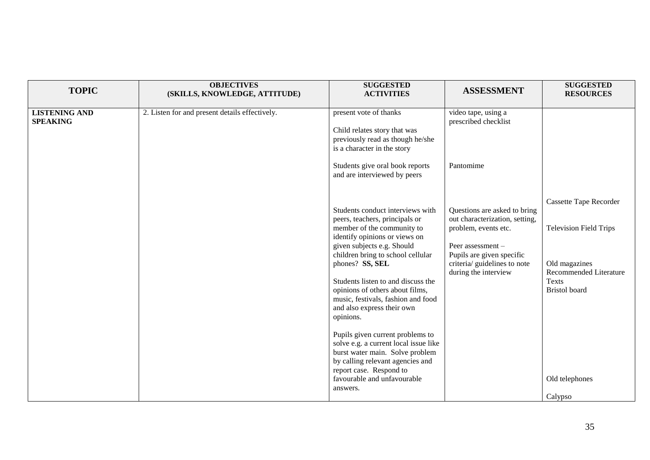| <b>TOPIC</b>                            | <b>OBJECTIVES</b><br>(SKILLS, KNOWLEDGE, ATTITUDE) | <b>SUGGESTED</b><br><b>ACTIVITIES</b>                                                                                                                                                                                                                                                                                                                                                                                                                                                                                                                                                                       | <b>ASSESSMENT</b>                                                                                                                                                                                  | <b>SUGGESTED</b><br><b>RESOURCES</b>                                                                                                                                                  |
|-----------------------------------------|----------------------------------------------------|-------------------------------------------------------------------------------------------------------------------------------------------------------------------------------------------------------------------------------------------------------------------------------------------------------------------------------------------------------------------------------------------------------------------------------------------------------------------------------------------------------------------------------------------------------------------------------------------------------------|----------------------------------------------------------------------------------------------------------------------------------------------------------------------------------------------------|---------------------------------------------------------------------------------------------------------------------------------------------------------------------------------------|
| <b>LISTENING AND</b><br><b>SPEAKING</b> | 2. Listen for and present details effectively.     | present vote of thanks<br>Child relates story that was<br>previously read as though he/she<br>is a character in the story<br>Students give oral book reports<br>and are interviewed by peers                                                                                                                                                                                                                                                                                                                                                                                                                | video tape, using a<br>prescribed checklist<br>Pantomime                                                                                                                                           |                                                                                                                                                                                       |
|                                         |                                                    | Students conduct interviews with<br>peers, teachers, principals or<br>member of the community to<br>identify opinions or views on<br>given subjects e.g. Should<br>children bring to school cellular<br>phones? SS, SEL<br>Students listen to and discuss the<br>opinions of others about films,<br>music, festivals, fashion and food<br>and also express their own<br>opinions.<br>Pupils given current problems to<br>solve e.g. a current local issue like<br>burst water main. Solve problem<br>by calling relevant agencies and<br>report case. Respond to<br>favourable and unfavourable<br>answers. | Questions are asked to bring<br>out characterization, setting,<br>problem, events etc.<br>Peer assessment $-$<br>Pupils are given specific<br>criteria/ guidelines to note<br>during the interview | <b>Cassette Tape Recorder</b><br><b>Television Field Trips</b><br>Old magazines<br><b>Recommended Literature</b><br><b>Texts</b><br><b>Bristol</b> board<br>Old telephones<br>Calypso |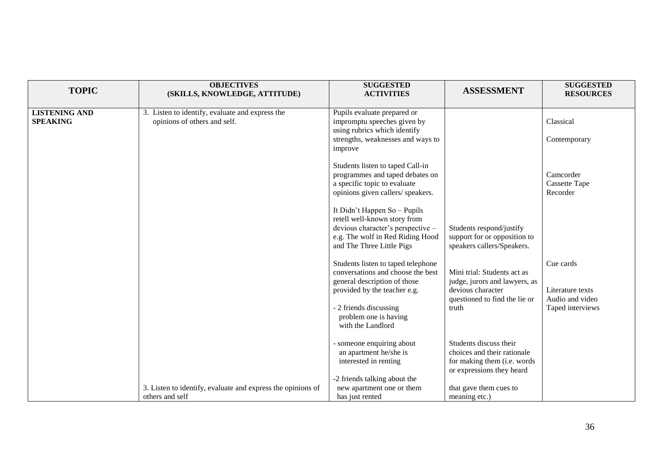| <b>TOPIC</b>                            | <b>OBJECTIVES</b><br>(SKILLS, KNOWLEDGE, ATTITUDE)                              | <b>SUGGESTED</b><br><b>ACTIVITIES</b>                                                                                                                              | <b>ASSESSMENT</b>                                                                                                           | <b>SUGGESTED</b><br><b>RESOURCES</b>                                 |
|-----------------------------------------|---------------------------------------------------------------------------------|--------------------------------------------------------------------------------------------------------------------------------------------------------------------|-----------------------------------------------------------------------------------------------------------------------------|----------------------------------------------------------------------|
| <b>LISTENING AND</b><br><b>SPEAKING</b> | 3. Listen to identify, evaluate and express the<br>opinions of others and self. | Pupils evaluate prepared or<br>impromptu speeches given by<br>using rubrics which identify<br>strengths, weaknesses and ways to                                    |                                                                                                                             | Classical<br>Contemporary                                            |
|                                         |                                                                                 | improve<br>Students listen to taped Call-in<br>programmes and taped debates on<br>a specific topic to evaluate<br>opinions given callers/ speakers.                |                                                                                                                             | Camcorder<br>Cassette Tape<br>Recorder                               |
|                                         |                                                                                 | It Didn't Happen So - Pupils<br>retell well-known story from<br>devious character's perspective -<br>e.g. The wolf in Red Riding Hood<br>and The Three Little Pigs | Students respond/justify<br>support for or opposition to<br>speakers callers/Speakers.                                      |                                                                      |
|                                         |                                                                                 | Students listen to taped telephone<br>conversations and choose the best<br>general description of those<br>provided by the teacher e.g.<br>- 2 friends discussing  | Mini trial: Students act as<br>judge, jurors and lawyers, as<br>devious character<br>questioned to find the lie or<br>truth | Cue cards<br>Literature texts<br>Audio and video<br>Taped interviews |
|                                         |                                                                                 | problem one is having<br>with the Landlord                                                                                                                         |                                                                                                                             |                                                                      |
|                                         |                                                                                 | - someone enquiring about<br>an apartment he/she is<br>interested in renting                                                                                       | Students discuss their<br>choices and their rationale<br>for making them (i.e. words<br>or expressions they heard           |                                                                      |
|                                         | 3. Listen to identify, evaluate and express the opinions of<br>others and self  | -2 friends talking about the<br>new apartment one or them<br>has just rented                                                                                       | that gave them cues to<br>meaning etc.)                                                                                     |                                                                      |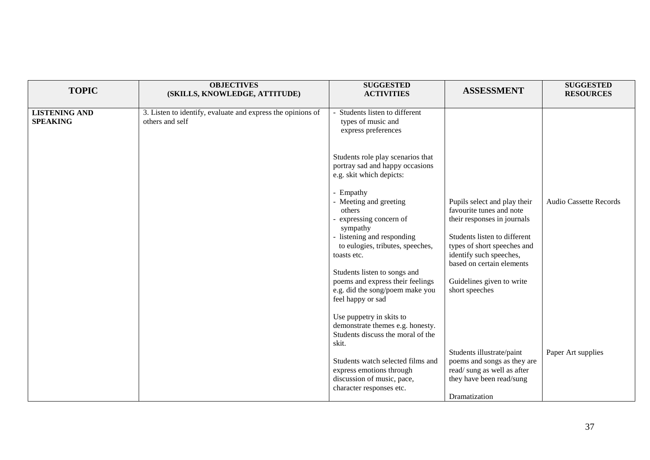| <b>TOPIC</b>                            | <b>OBJECTIVES</b><br>(SKILLS, KNOWLEDGE, ATTITUDE)                             | <b>SUGGESTED</b><br><b>ACTIVITIES</b>                                                                                                                                                                                                                                                           | <b>ASSESSMENT</b>                                                                                                                                                                                                                                             | <b>SUGGESTED</b><br><b>RESOURCES</b> |
|-----------------------------------------|--------------------------------------------------------------------------------|-------------------------------------------------------------------------------------------------------------------------------------------------------------------------------------------------------------------------------------------------------------------------------------------------|---------------------------------------------------------------------------------------------------------------------------------------------------------------------------------------------------------------------------------------------------------------|--------------------------------------|
| <b>LISTENING AND</b><br><b>SPEAKING</b> | 3. Listen to identify, evaluate and express the opinions of<br>others and self | Students listen to different<br>types of music and<br>express preferences                                                                                                                                                                                                                       |                                                                                                                                                                                                                                                               |                                      |
|                                         |                                                                                | Students role play scenarios that<br>portray sad and happy occasions<br>e.g. skit which depicts:                                                                                                                                                                                                |                                                                                                                                                                                                                                                               |                                      |
|                                         |                                                                                | - Empathy<br>- Meeting and greeting<br>others<br>expressing concern of<br>sympathy<br>- listening and responding<br>to eulogies, tributes, speeches,<br>toasts etc.<br>Students listen to songs and<br>poems and express their feelings<br>e.g. did the song/poem make you<br>feel happy or sad | Pupils select and play their<br>favourite tunes and note<br>their responses in journals<br>Students listen to different<br>types of short speeches and<br>identify such speeches,<br>based on certain elements<br>Guidelines given to write<br>short speeches | <b>Audio Cassette Records</b>        |
|                                         |                                                                                | Use puppetry in skits to<br>demonstrate themes e.g. honesty.<br>Students discuss the moral of the<br>skit.<br>Students watch selected films and<br>express emotions through<br>discussion of music, pace,<br>character responses etc.                                                           | Students illustrate/paint<br>poems and songs as they are<br>read/sung as well as after<br>they have been read/sung<br>Dramatization                                                                                                                           | Paper Art supplies                   |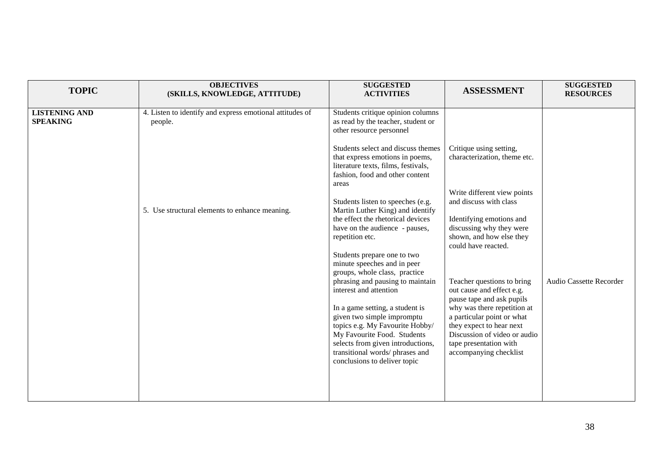| <b>TOPIC</b>                            | <b>OBJECTIVES</b><br>(SKILLS, KNOWLEDGE, ATTITUDE)                                                                    | <b>SUGGESTED</b><br><b>ACTIVITIES</b>                                                                                                                                                                                                                                                                                                                                                                                                                                                                                                                                                                                                                                                                                                                                                                                                     | <b>ASSESSMENT</b>                                                                                                                                                                                                                                                                                                                                                                                                                                                                                | <b>SUGGESTED</b><br><b>RESOURCES</b> |
|-----------------------------------------|-----------------------------------------------------------------------------------------------------------------------|-------------------------------------------------------------------------------------------------------------------------------------------------------------------------------------------------------------------------------------------------------------------------------------------------------------------------------------------------------------------------------------------------------------------------------------------------------------------------------------------------------------------------------------------------------------------------------------------------------------------------------------------------------------------------------------------------------------------------------------------------------------------------------------------------------------------------------------------|--------------------------------------------------------------------------------------------------------------------------------------------------------------------------------------------------------------------------------------------------------------------------------------------------------------------------------------------------------------------------------------------------------------------------------------------------------------------------------------------------|--------------------------------------|
| <b>LISTENING AND</b><br><b>SPEAKING</b> | 4. Listen to identify and express emotional attitudes of<br>people.<br>5. Use structural elements to enhance meaning. | Students critique opinion columns<br>as read by the teacher, student or<br>other resource personnel<br>Students select and discuss themes<br>that express emotions in poems,<br>literature texts, films, festivals,<br>fashion, food and other content<br>areas<br>Students listen to speeches (e.g.<br>Martin Luther King) and identify<br>the effect the rhetorical devices<br>have on the audience - pauses,<br>repetition etc.<br>Students prepare one to two<br>minute speeches and in peer<br>groups, whole class, practice<br>phrasing and pausing to maintain<br>interest and attention<br>In a game setting, a student is<br>given two simple impromptu<br>topics e.g. My Favourite Hobby/<br>My Favourite Food. Students<br>selects from given introductions,<br>transitional words/phrases and<br>conclusions to deliver topic | Critique using setting,<br>characterization, theme etc.<br>Write different view points<br>and discuss with class<br>Identifying emotions and<br>discussing why they were<br>shown, and how else they<br>could have reacted.<br>Teacher questions to bring<br>out cause and effect e.g.<br>pause tape and ask pupils<br>why was there repetition at<br>a particular point or what<br>they expect to hear next<br>Discussion of video or audio<br>tape presentation with<br>accompanying checklist | Audio Cassette Recorder              |
|                                         |                                                                                                                       |                                                                                                                                                                                                                                                                                                                                                                                                                                                                                                                                                                                                                                                                                                                                                                                                                                           |                                                                                                                                                                                                                                                                                                                                                                                                                                                                                                  |                                      |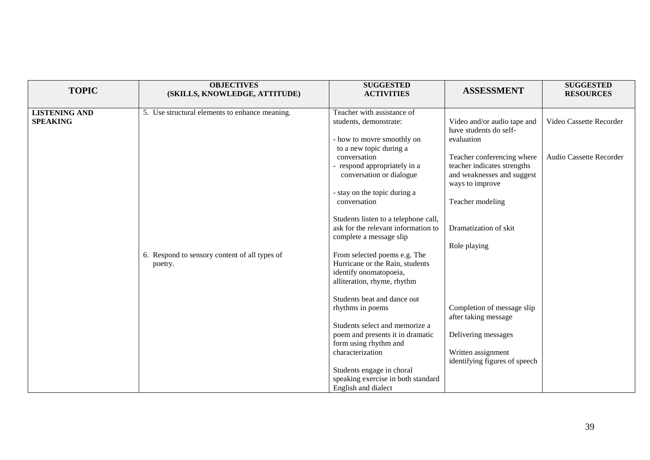| <b>TOPIC</b>                            | <b>OBJECTIVES</b><br>(SKILLS, KNOWLEDGE, ATTITUDE)                                                         | <b>SUGGESTED</b><br><b>ACTIVITIES</b>                                                                                                                                                                                                                                                                                                                                                                                                                                                                                                                                                                                                                                                                                                           | <b>ASSESSMENT</b>                                                                                                                                                                                                                                                                                                                                                                  | <b>SUGGESTED</b><br><b>RESOURCES</b>               |
|-----------------------------------------|------------------------------------------------------------------------------------------------------------|-------------------------------------------------------------------------------------------------------------------------------------------------------------------------------------------------------------------------------------------------------------------------------------------------------------------------------------------------------------------------------------------------------------------------------------------------------------------------------------------------------------------------------------------------------------------------------------------------------------------------------------------------------------------------------------------------------------------------------------------------|------------------------------------------------------------------------------------------------------------------------------------------------------------------------------------------------------------------------------------------------------------------------------------------------------------------------------------------------------------------------------------|----------------------------------------------------|
| <b>LISTENING AND</b><br><b>SPEAKING</b> | 5. Use structural elements to enhance meaning.<br>6. Respond to sensory content of all types of<br>poetry. | Teacher with assistance of<br>students, demonstrate:<br>- how to movre smoothly on<br>to a new topic during a<br>conversation<br>- respond appropriately in a<br>conversation or dialogue<br>- stay on the topic during a<br>conversation<br>Students listen to a telephone call,<br>ask for the relevant information to<br>complete a message slip<br>From selected poems e.g. The<br>Hurricane or the Rain, students<br>identify onomatopoeia,<br>alliteration, rhyme, rhythm<br>Students beat and dance out<br>rhythms in poems<br>Students select and memorize a<br>poem and presents it in dramatic<br>form using rhythm and<br>characterization<br>Students engage in choral<br>speaking exercise in both standard<br>English and dialect | Video and/or audio tape and<br>have students do self-<br>evaluation<br>Teacher conferencing where<br>teacher indicates strengths<br>and weaknesses and suggest<br>ways to improve<br>Teacher modeling<br>Dramatization of skit<br>Role playing<br>Completion of message slip<br>after taking message<br>Delivering messages<br>Written assignment<br>identifying figures of speech | Video Cassette Recorder<br>Audio Cassette Recorder |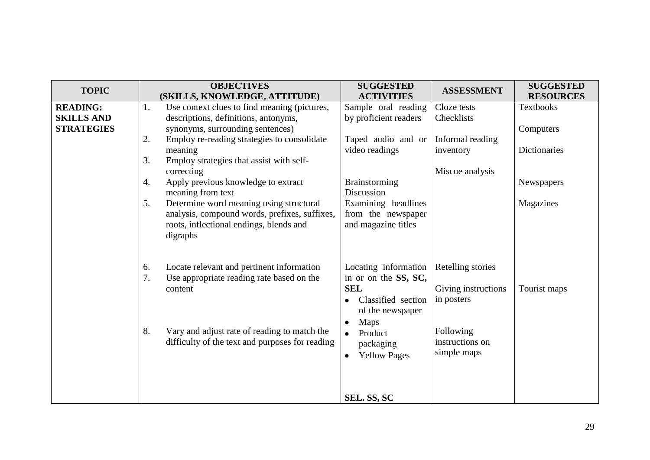| <b>TOPIC</b>      |    | <b>OBJECTIVES</b>                               | <b>SUGGESTED</b><br><b>ACTIVITIES</b> | <b>ASSESSMENT</b>   | <b>SUGGESTED</b><br><b>RESOURCES</b> |
|-------------------|----|-------------------------------------------------|---------------------------------------|---------------------|--------------------------------------|
|                   |    | (SKILLS, KNOWLEDGE, ATTITUDE)                   |                                       |                     |                                      |
| <b>READING:</b>   | 1. | Use context clues to find meaning (pictures,    | Sample oral reading                   | Cloze tests         | <b>Textbooks</b>                     |
| <b>SKILLS AND</b> |    | descriptions, definitions, antonyms,            | by proficient readers                 | Checklists          |                                      |
| <b>STRATEGIES</b> |    | synonyms, surrounding sentences)                |                                       |                     | Computers                            |
|                   | 2. | Employ re-reading strategies to consolidate     | Taped audio and or                    | Informal reading    |                                      |
|                   |    | meaning                                         | video readings                        | inventory           | <b>Dictionaries</b>                  |
|                   | 3. | Employ strategies that assist with self-        |                                       |                     |                                      |
|                   |    | correcting                                      |                                       | Miscue analysis     |                                      |
|                   | 4. | Apply previous knowledge to extract             | <b>Brainstorming</b>                  |                     | <b>Newspapers</b>                    |
|                   |    | meaning from text                               | Discussion                            |                     |                                      |
|                   | 5. | Determine word meaning using structural         | Examining headlines                   |                     | Magazines                            |
|                   |    | analysis, compound words, prefixes, suffixes,   | from the newspaper                    |                     |                                      |
|                   |    | roots, inflectional endings, blends and         | and magazine titles                   |                     |                                      |
|                   |    |                                                 |                                       |                     |                                      |
|                   |    | digraphs                                        |                                       |                     |                                      |
|                   |    |                                                 |                                       |                     |                                      |
|                   |    |                                                 |                                       |                     |                                      |
|                   | 6. | Locate relevant and pertinent information       | Locating information                  | Retelling stories   |                                      |
|                   | 7. | Use appropriate reading rate based on the       | in or on the SS, SC,                  |                     |                                      |
|                   |    | content                                         | <b>SEL</b>                            | Giving instructions | Tourist maps                         |
|                   |    |                                                 | Classified section                    | in posters          |                                      |
|                   |    |                                                 | of the newspaper                      |                     |                                      |
|                   |    |                                                 | Maps<br>$\bullet$                     |                     |                                      |
|                   | 8. | Vary and adjust rate of reading to match the    | Product<br>$\bullet$                  | Following           |                                      |
|                   |    | difficulty of the text and purposes for reading | packaging                             | instructions on     |                                      |
|                   |    |                                                 | <b>Yellow Pages</b><br>$\bullet$      | simple maps         |                                      |
|                   |    |                                                 |                                       |                     |                                      |
|                   |    |                                                 |                                       |                     |                                      |
|                   |    |                                                 |                                       |                     |                                      |
|                   |    |                                                 |                                       |                     |                                      |
|                   |    |                                                 | SEL. SS, SC                           |                     |                                      |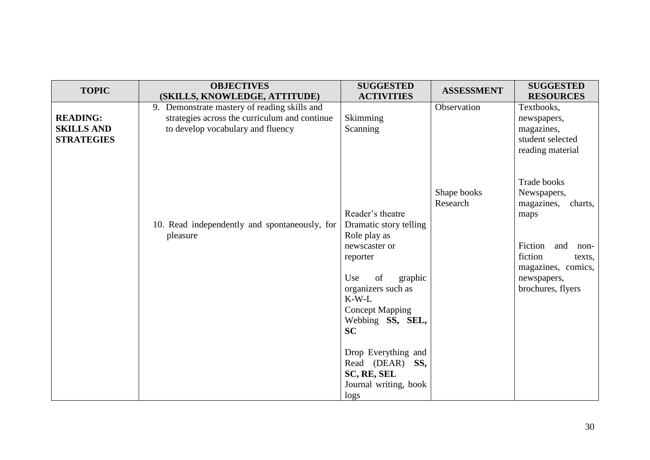| <b>TOPIC</b>      | <b>OBJECTIVES</b>                                                             | <b>SUGGESTED</b>              | <b>ASSESSMENT</b> | <b>SUGGESTED</b>               |
|-------------------|-------------------------------------------------------------------------------|-------------------------------|-------------------|--------------------------------|
|                   | (SKILLS, KNOWLEDGE, ATTITUDE)<br>9. Demonstrate mastery of reading skills and | <b>ACTIVITIES</b>             | Observation       | <b>RESOURCES</b><br>Textbooks, |
| <b>READING:</b>   | strategies across the curriculum and continue                                 | Skimming                      |                   | newspapers,                    |
| <b>SKILLS AND</b> | to develop vocabulary and fluency                                             | Scanning                      |                   | magazines,                     |
| <b>STRATEGIES</b> |                                                                               |                               |                   | student selected               |
|                   |                                                                               |                               |                   | reading material               |
|                   |                                                                               |                               |                   |                                |
|                   |                                                                               |                               |                   |                                |
|                   |                                                                               |                               |                   | Trade books                    |
|                   |                                                                               |                               | Shape books       | Newspapers,                    |
|                   |                                                                               |                               | Research          | magazines,<br>charts,          |
|                   |                                                                               | Reader's theatre              |                   | maps                           |
|                   | 10. Read independently and spontaneously, for                                 | Dramatic story telling        |                   |                                |
|                   | pleasure                                                                      | Role play as<br>newscaster or |                   | Fiction<br>and<br>non-         |
|                   |                                                                               | reporter                      |                   | fiction<br>texts,              |
|                   |                                                                               |                               |                   | magazines, comics,             |
|                   |                                                                               | of<br>Use<br>graphic          |                   | newspapers,                    |
|                   |                                                                               | organizers such as            |                   | brochures, flyers              |
|                   |                                                                               | $K-W-L$                       |                   |                                |
|                   |                                                                               | <b>Concept Mapping</b>        |                   |                                |
|                   |                                                                               | Webbing SS, SEL,              |                   |                                |
|                   |                                                                               | <b>SC</b>                     |                   |                                |
|                   |                                                                               |                               |                   |                                |
|                   |                                                                               | Drop Everything and           |                   |                                |
|                   |                                                                               | Read (DEAR) SS,               |                   |                                |
|                   |                                                                               | SC, RE, SEL                   |                   |                                |
|                   |                                                                               | Journal writing, book         |                   |                                |
|                   |                                                                               | logs                          |                   |                                |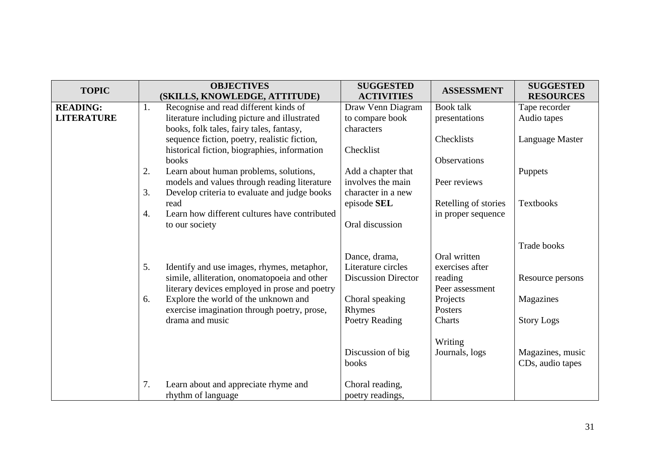| <b>TOPIC</b>      |    | <b>OBJECTIVES</b>                             | <b>SUGGESTED</b>           | <b>ASSESSMENT</b>    | <b>SUGGESTED</b>   |
|-------------------|----|-----------------------------------------------|----------------------------|----------------------|--------------------|
|                   |    | (SKILLS, KNOWLEDGE, ATTITUDE)                 | <b>ACTIVITIES</b>          |                      | <b>RESOURCES</b>   |
| <b>READING:</b>   | 1. | Recognise and read different kinds of         | Draw Venn Diagram          | <b>Book</b> talk     | Tape recorder      |
| <b>LITERATURE</b> |    | literature including picture and illustrated  | to compare book            | presentations        | Audio tapes        |
|                   |    | books, folk tales, fairy tales, fantasy,      | characters                 |                      |                    |
|                   |    | sequence fiction, poetry, realistic fiction,  |                            | Checklists           | Language Master    |
|                   |    | historical fiction, biographies, information  | Checklist                  |                      |                    |
|                   |    | books                                         |                            | <b>Observations</b>  |                    |
|                   | 2. | Learn about human problems, solutions,        | Add a chapter that         |                      | Puppets            |
|                   |    | models and values through reading literature  | involves the main          | Peer reviews         |                    |
|                   | 3. | Develop criteria to evaluate and judge books  | character in a new         |                      |                    |
|                   |    | read                                          | episode SEL                | Retelling of stories | Textbooks          |
|                   | 4. | Learn how different cultures have contributed |                            | in proper sequence   |                    |
|                   |    | to our society                                | Oral discussion            |                      |                    |
|                   |    |                                               |                            |                      |                    |
|                   |    |                                               |                            |                      | <b>Trade books</b> |
|                   |    |                                               | Dance, drama,              | Oral written         |                    |
|                   | 5. | Identify and use images, rhymes, metaphor,    | Literature circles         | exercises after      |                    |
|                   |    | simile, alliteration, onomatopoeia and other  | <b>Discussion Director</b> | reading              | Resource persons   |
|                   |    | literary devices employed in prose and poetry |                            | Peer assessment      |                    |
|                   | 6. | Explore the world of the unknown and          | Choral speaking            | Projects             | Magazines          |
|                   |    | exercise imagination through poetry, prose,   | Rhymes                     | Posters              |                    |
|                   |    | drama and music                               | Poetry Reading             | Charts               | <b>Story Logs</b>  |
|                   |    |                                               |                            |                      |                    |
|                   |    |                                               |                            | Writing              |                    |
|                   |    |                                               | Discussion of big          | Journals, logs       | Magazines, music   |
|                   |    |                                               | books                      |                      | CDs, audio tapes   |
|                   |    |                                               |                            |                      |                    |
|                   | 7. | Learn about and appreciate rhyme and          | Choral reading,            |                      |                    |
|                   |    | rhythm of language                            | poetry readings,           |                      |                    |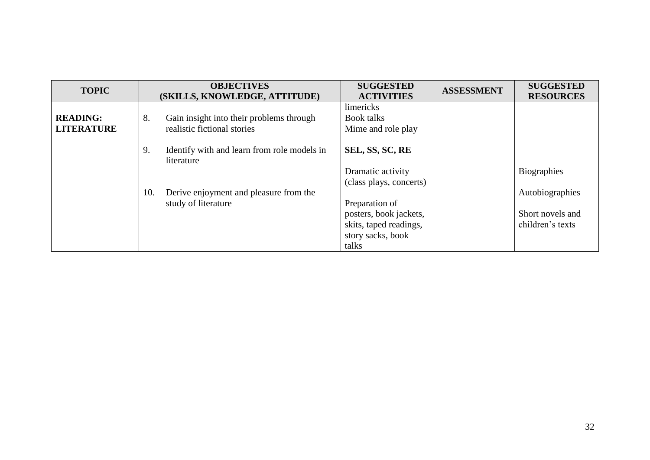| <b>TOPIC</b>                         | <b>OBJECTIVES</b><br>(SKILLS, KNOWLEDGE, ATTITUDE)                            | <b>SUGGESTED</b><br><b>ACTIVITIES</b>                                                            | <b>ASSESSMENT</b> | <b>SUGGESTED</b><br><b>RESOURCES</b>                    |
|--------------------------------------|-------------------------------------------------------------------------------|--------------------------------------------------------------------------------------------------|-------------------|---------------------------------------------------------|
| <b>READING:</b><br><b>LITERATURE</b> | Gain insight into their problems through<br>8.<br>realistic fictional stories | limericks<br><b>Book talks</b><br>Mime and role play                                             |                   |                                                         |
|                                      | Identify with and learn from role models in<br>9.<br>literature               | SEL, SS, SC, RE<br>Dramatic activity<br>(class plays, concerts)                                  |                   | <b>Biographies</b>                                      |
|                                      | 10.<br>Derive enjoyment and pleasure from the<br>study of literature          | Preparation of<br>posters, book jackets,<br>skits, taped readings,<br>story sacks, book<br>talks |                   | Autobiographies<br>Short novels and<br>children's texts |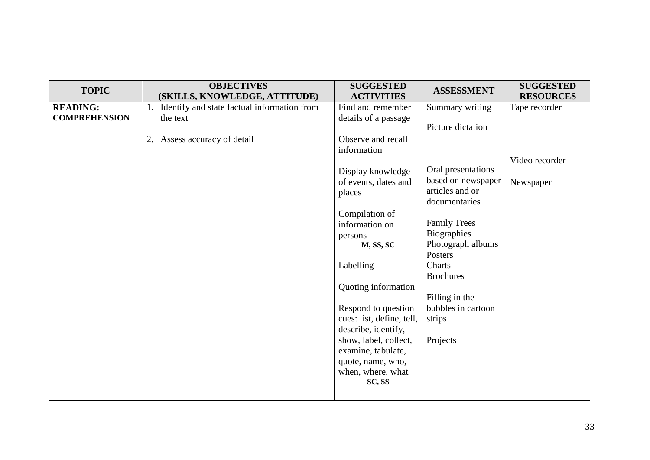| <b>TOPIC</b>         | <b>OBJECTIVES</b><br>(SKILLS, KNOWLEDGE, ATTITUDE) | <b>SUGGESTED</b><br><b>ACTIVITIES</b> | <b>ASSESSMENT</b>   | <b>SUGGESTED</b><br><b>RESOURCES</b> |
|----------------------|----------------------------------------------------|---------------------------------------|---------------------|--------------------------------------|
|                      |                                                    |                                       |                     |                                      |
| <b>READING:</b>      | 1. Identify and state factual information from     | Find and remember                     | Summary writing     | Tape recorder                        |
| <b>COMPREHENSION</b> | the text                                           | details of a passage                  | Picture dictation   |                                      |
|                      | 2. Assess accuracy of detail                       | Observe and recall                    |                     |                                      |
|                      |                                                    | information                           |                     |                                      |
|                      |                                                    |                                       |                     | Video recorder                       |
|                      |                                                    | Display knowledge                     | Oral presentations  |                                      |
|                      |                                                    | of events, dates and                  | based on newspaper  | Newspaper                            |
|                      |                                                    | places                                | articles and or     |                                      |
|                      |                                                    |                                       | documentaries       |                                      |
|                      |                                                    | Compilation of                        |                     |                                      |
|                      |                                                    | information on                        | <b>Family Trees</b> |                                      |
|                      |                                                    | persons                               | Biographies         |                                      |
|                      |                                                    | M, SS, SC                             | Photograph albums   |                                      |
|                      |                                                    |                                       | Posters             |                                      |
|                      |                                                    | Labelling                             | Charts              |                                      |
|                      |                                                    |                                       | <b>Brochures</b>    |                                      |
|                      |                                                    | Quoting information                   |                     |                                      |
|                      |                                                    |                                       | Filling in the      |                                      |
|                      |                                                    | Respond to question                   | bubbles in cartoon  |                                      |
|                      |                                                    | cues: list, define, tell,             | strips              |                                      |
|                      |                                                    | describe, identify,                   |                     |                                      |
|                      |                                                    | show, label, collect,                 | Projects            |                                      |
|                      |                                                    | examine, tabulate,                    |                     |                                      |
|                      |                                                    | quote, name, who,                     |                     |                                      |
|                      |                                                    | when, where, what                     |                     |                                      |
|                      |                                                    | SC, SS                                |                     |                                      |
|                      |                                                    |                                       |                     |                                      |
|                      |                                                    |                                       |                     |                                      |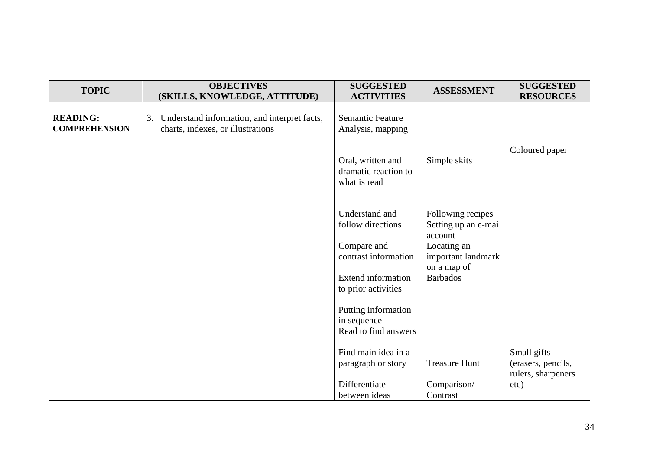| <b>TOPIC</b>                            | <b>OBJECTIVES</b><br>(SKILLS, KNOWLEDGE, ATTITUDE)                                   | <b>SUGGESTED</b><br><b>ACTIVITIES</b>                      | <b>ASSESSMENT</b>                                    | <b>SUGGESTED</b><br><b>RESOURCES</b> |
|-----------------------------------------|--------------------------------------------------------------------------------------|------------------------------------------------------------|------------------------------------------------------|--------------------------------------|
| <b>READING:</b><br><b>COMPREHENSION</b> | 3. Understand information, and interpret facts,<br>charts, indexes, or illustrations | <b>Semantic Feature</b><br>Analysis, mapping               |                                                      |                                      |
|                                         |                                                                                      | Oral, written and<br>dramatic reaction to<br>what is read  | Simple skits                                         | Coloured paper                       |
|                                         |                                                                                      | Understand and<br>follow directions                        | Following recipes<br>Setting up an e-mail<br>account |                                      |
|                                         |                                                                                      | Compare and<br>contrast information                        | Locating an<br>important landmark<br>on a map of     |                                      |
|                                         |                                                                                      | <b>Extend information</b><br>to prior activities           | <b>Barbados</b>                                      |                                      |
|                                         |                                                                                      | Putting information<br>in sequence<br>Read to find answers |                                                      |                                      |
|                                         |                                                                                      | Find main idea in a<br>paragraph or story                  | <b>Treasure Hunt</b>                                 | Small gifts<br>(erasers, pencils,    |
|                                         |                                                                                      | Differentiate<br>between ideas                             | Comparison/<br>Contrast                              | rulers, sharpeners<br>etc)           |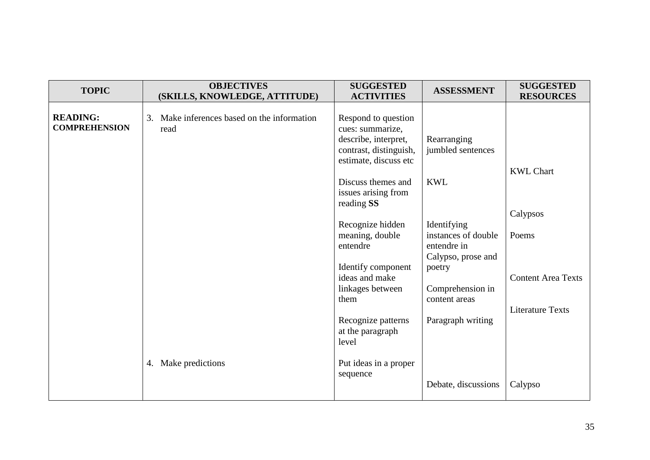| <b>TOPIC</b>                            | <b>OBJECTIVES</b><br>(SKILLS, KNOWLEDGE, ATTITUDE)  | <b>SUGGESTED</b><br><b>ACTIVITIES</b>                                                                              | <b>ASSESSMENT</b>                                                       | <b>SUGGESTED</b><br><b>RESOURCES</b> |
|-----------------------------------------|-----------------------------------------------------|--------------------------------------------------------------------------------------------------------------------|-------------------------------------------------------------------------|--------------------------------------|
| <b>READING:</b><br><b>COMPREHENSION</b> | 3. Make inferences based on the information<br>read | Respond to question<br>cues: summarize,<br>describe, interpret,<br>contrast, distinguish,<br>estimate, discuss etc | Rearranging<br>jumbled sentences                                        |                                      |
|                                         |                                                     | Discuss themes and<br>issues arising from<br>reading SS                                                            | <b>KWL</b>                                                              | <b>KWL Chart</b>                     |
|                                         |                                                     | Recognize hidden<br>meaning, double<br>entendre                                                                    | Identifying<br>instances of double<br>entendre in<br>Calypso, prose and | Calypsos<br>Poems                    |
|                                         |                                                     | Identify component<br>ideas and make<br>linkages between<br>them                                                   | poetry<br>Comprehension in<br>content areas                             | <b>Content Area Texts</b>            |
|                                         |                                                     | Recognize patterns<br>at the paragraph<br>level                                                                    | Paragraph writing                                                       | <b>Literature Texts</b>              |
|                                         | 4. Make predictions                                 | Put ideas in a proper<br>sequence                                                                                  | Debate, discussions                                                     | Calypso                              |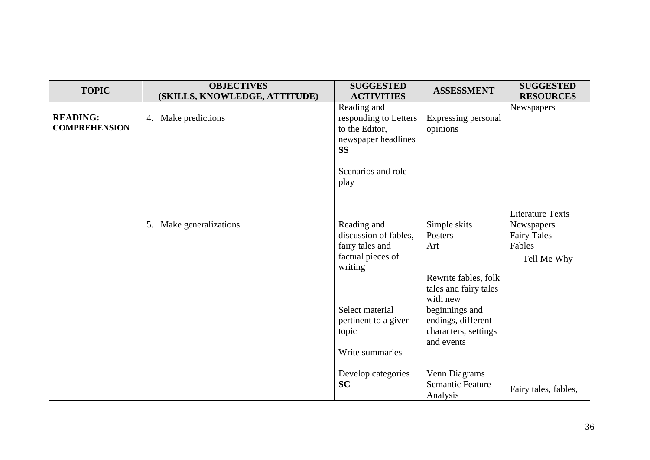| <b>TOPIC</b>                            | <b>OBJECTIVES</b><br>(SKILLS, KNOWLEDGE, ATTITUDE) | <b>SUGGESTED</b><br><b>ACTIVITIES</b>                                                                                                                          | <b>ASSESSMENT</b>                                                                                                                                                         | <b>SUGGESTED</b><br><b>RESOURCES</b>                                                 |
|-----------------------------------------|----------------------------------------------------|----------------------------------------------------------------------------------------------------------------------------------------------------------------|---------------------------------------------------------------------------------------------------------------------------------------------------------------------------|--------------------------------------------------------------------------------------|
| <b>READING:</b><br><b>COMPREHENSION</b> | 4. Make predictions                                | Reading and<br>responding to Letters<br>to the Editor,<br>newspaper headlines<br><b>SS</b>                                                                     | Expressing personal<br>opinions                                                                                                                                           | Newspapers                                                                           |
|                                         |                                                    | Scenarios and role<br>play                                                                                                                                     |                                                                                                                                                                           |                                                                                      |
|                                         | 5. Make generalizations                            | Reading and<br>discussion of fables,<br>fairy tales and<br>factual pieces of<br>writing<br>Select material<br>pertinent to a given<br>topic<br>Write summaries | Simple skits<br>Posters<br>Art<br>Rewrite fables, folk<br>tales and fairy tales<br>with new<br>beginnings and<br>endings, different<br>characters, settings<br>and events | <b>Literature Texts</b><br>Newspapers<br><b>Fairy Tales</b><br>Fables<br>Tell Me Why |
|                                         |                                                    | Develop categories<br><b>SC</b>                                                                                                                                | Venn Diagrams<br>Semantic Feature<br>Analysis                                                                                                                             | Fairy tales, fables,                                                                 |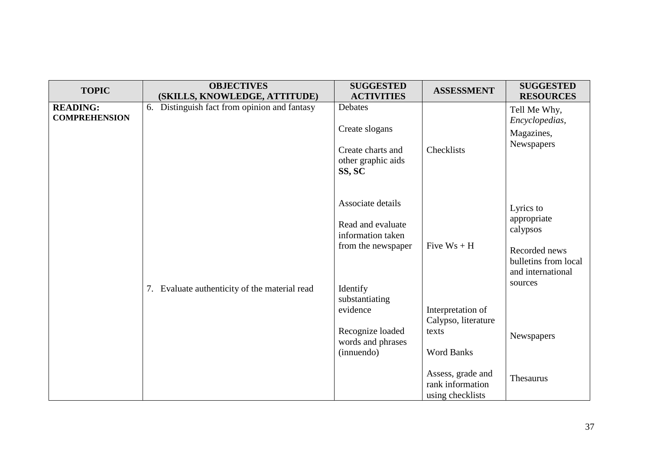| <b>TOPIC</b>                            | <b>OBJECTIVES</b><br>(SKILLS, KNOWLEDGE, ATTITUDE) | <b>SUGGESTED</b><br><b>ACTIVITIES</b>                                                                                       | <b>ASSESSMENT</b>                                                                                              | <b>SUGGESTED</b><br><b>RESOURCES</b>                                                                          |
|-----------------------------------------|----------------------------------------------------|-----------------------------------------------------------------------------------------------------------------------------|----------------------------------------------------------------------------------------------------------------|---------------------------------------------------------------------------------------------------------------|
| <b>READING:</b><br><b>COMPREHENSION</b> | 6. Distinguish fact from opinion and fantasy       | Debates<br>Create slogans<br>Create charts and<br>other graphic aids<br>SS, SC                                              | Checklists                                                                                                     | Tell Me Why,<br>Encyclopedias,<br>Magazines,<br>Newspapers                                                    |
|                                         | 7. Evaluate authenticity of the material read      | Associate details<br>Read and evaluate<br>information taken<br>from the newspaper<br>Identify<br>substantiating<br>evidence | Five $Ws + H$<br>Interpretation of                                                                             | Lyrics to<br>appropriate<br>calypsos<br>Recorded news<br>bulletins from local<br>and international<br>sources |
|                                         |                                                    | Recognize loaded<br>words and phrases<br>(innuendo)                                                                         | Calypso, literature<br>texts<br><b>Word Banks</b><br>Assess, grade and<br>rank information<br>using checklists | Newspapers<br>Thesaurus                                                                                       |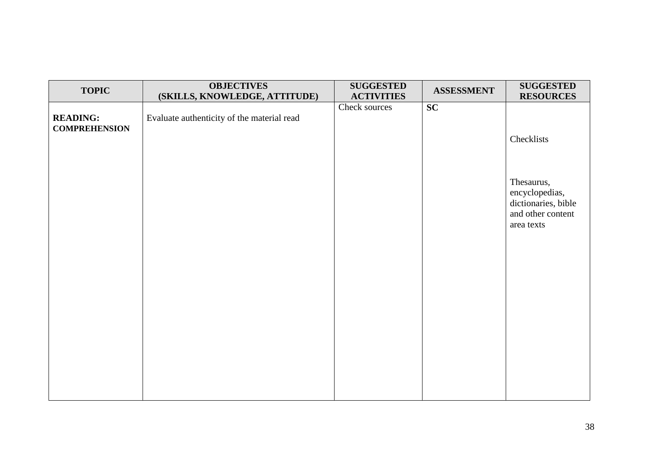| <b>TOPIC</b>                            | <b>OBJECTIVES</b><br>(SKILLS, KNOWLEDGE, ATTITUDE) | <b>SUGGESTED</b><br><b>ACTIVITIES</b> | <b>ASSESSMENT</b> | <b>SUGGESTED</b><br><b>RESOURCES</b>                                                   |
|-----------------------------------------|----------------------------------------------------|---------------------------------------|-------------------|----------------------------------------------------------------------------------------|
| <b>READING:</b><br><b>COMPREHENSION</b> | Evaluate authenticity of the material read         | Check sources                         | SC                | Checklists                                                                             |
|                                         |                                                    |                                       |                   | Thesaurus,<br>encyclopedias,<br>dictionaries, bible<br>and other content<br>area texts |
|                                         |                                                    |                                       |                   |                                                                                        |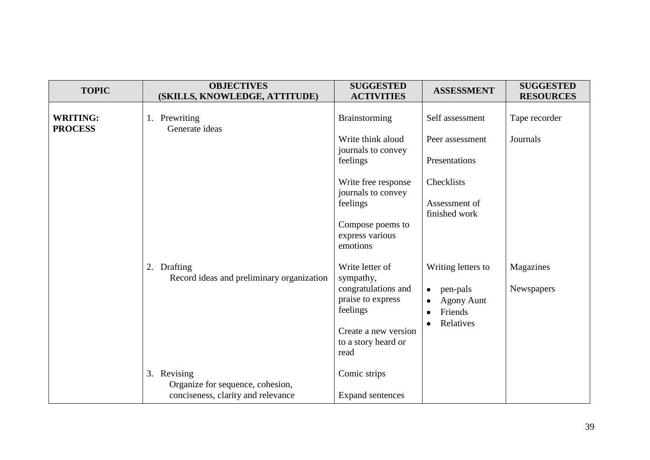| <b>TOPIC</b>                      | <b>OBJECTIVES</b><br>(SKILLS, KNOWLEDGE, ATTITUDE)                                    | <b>SUGGESTED</b><br><b>ACTIVITIES</b>                                                                                               | <b>ASSESSMENT</b>                                                                                                               | <b>SUGGESTED</b><br><b>RESOURCES</b> |
|-----------------------------------|---------------------------------------------------------------------------------------|-------------------------------------------------------------------------------------------------------------------------------------|---------------------------------------------------------------------------------------------------------------------------------|--------------------------------------|
| <b>WRITING:</b><br><b>PROCESS</b> | 1. Prewriting<br>Generate ideas                                                       | <b>Brainstorming</b>                                                                                                                | Self assessment                                                                                                                 | Tape recorder                        |
|                                   |                                                                                       | Write think aloud                                                                                                                   | Peer assessment                                                                                                                 | Journals                             |
|                                   |                                                                                       | journals to convey<br>feelings                                                                                                      | Presentations                                                                                                                   |                                      |
|                                   |                                                                                       | Write free response<br>journals to convey                                                                                           | Checklists                                                                                                                      |                                      |
|                                   |                                                                                       | feelings                                                                                                                            | Assessment of<br>finished work                                                                                                  |                                      |
|                                   |                                                                                       | Compose poems to<br>express various<br>emotions                                                                                     |                                                                                                                                 |                                      |
|                                   | 2. Drafting<br>Record ideas and preliminary organization                              | Write letter of<br>sympathy,<br>congratulations and<br>praise to express<br>feelings<br>Create a new version<br>to a story heard or | Writing letters to<br>pen-pals<br>$\bullet$<br><b>Agony Aunt</b><br>$\bullet$<br>Friends<br>$\bullet$<br>Relatives<br>$\bullet$ | Magazines<br>Newspapers              |
|                                   | 3. Revising<br>Organize for sequence, cohesion,<br>conciseness, clarity and relevance | read<br>Comic strips<br><b>Expand sentences</b>                                                                                     |                                                                                                                                 |                                      |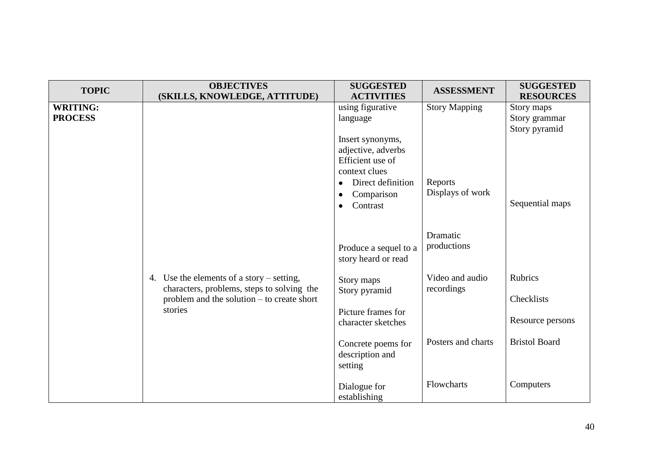| <b>TOPIC</b>    | <b>OBJECTIVES</b>                          | <b>SUGGESTED</b>               | <b>ASSESSMENT</b>    | <b>SUGGESTED</b>     |
|-----------------|--------------------------------------------|--------------------------------|----------------------|----------------------|
|                 | (SKILLS, KNOWLEDGE, ATTITUDE)              | <b>ACTIVITIES</b>              |                      | <b>RESOURCES</b>     |
| <b>WRITING:</b> |                                            | using figurative               | <b>Story Mapping</b> | Story maps           |
| <b>PROCESS</b>  |                                            | language                       |                      | Story grammar        |
|                 |                                            |                                |                      | Story pyramid        |
|                 |                                            | Insert synonyms,               |                      |                      |
|                 |                                            | adjective, adverbs             |                      |                      |
|                 |                                            | Efficient use of               |                      |                      |
|                 |                                            | context clues                  |                      |                      |
|                 |                                            | Direct definition<br>$\bullet$ | Reports              |                      |
|                 |                                            | Comparison<br>$\bullet$        | Displays of work     | Sequential maps      |
|                 |                                            | Contrast<br>$\bullet$          |                      |                      |
|                 |                                            |                                |                      |                      |
|                 |                                            |                                | Dramatic             |                      |
|                 |                                            | Produce a sequel to a          | productions          |                      |
|                 |                                            | story heard or read            |                      |                      |
|                 |                                            |                                |                      |                      |
|                 | 4. Use the elements of a story – setting,  | Story maps                     | Video and audio      | <b>Rubrics</b>       |
|                 | characters, problems, steps to solving the | Story pyramid                  | recordings           |                      |
|                 | problem and the solution – to create short |                                |                      | Checklists           |
|                 | stories                                    | Picture frames for             |                      |                      |
|                 |                                            | character sketches             |                      | Resource persons     |
|                 |                                            |                                |                      |                      |
|                 |                                            | Concrete poems for             | Posters and charts   | <b>Bristol Board</b> |
|                 |                                            | description and                |                      |                      |
|                 |                                            | setting                        |                      |                      |
|                 |                                            |                                |                      |                      |
|                 |                                            | Dialogue for                   | Flowcharts           | Computers            |
|                 |                                            | establishing                   |                      |                      |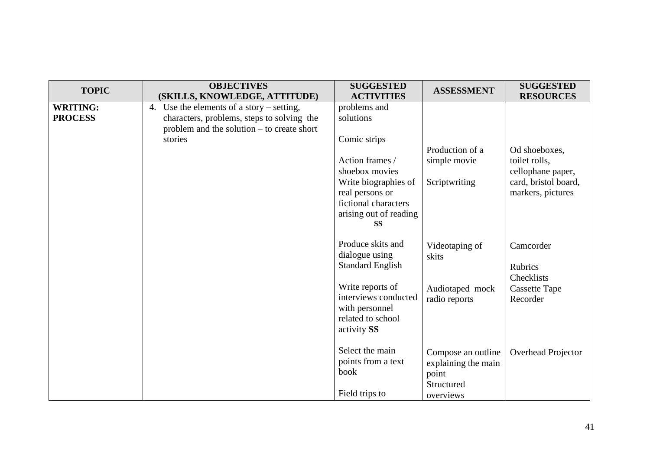| <b>TOPIC</b>                      | <b>OBJECTIVES</b><br>(SKILLS, KNOWLEDGE, ATTITUDE)                                                                                                 | <b>SUGGESTED</b><br><b>ACTIVITIES</b>                                                                                                                                                    | <b>ASSESSMENT</b>                                                             | <b>SUGGESTED</b><br><b>RESOURCES</b>                                                             |
|-----------------------------------|----------------------------------------------------------------------------------------------------------------------------------------------------|------------------------------------------------------------------------------------------------------------------------------------------------------------------------------------------|-------------------------------------------------------------------------------|--------------------------------------------------------------------------------------------------|
| <b>WRITING:</b><br><b>PROCESS</b> | 4. Use the elements of a story $-$ setting,<br>characters, problems, steps to solving the<br>problem and the solution – to create short<br>stories | problems and<br>solutions<br>Comic strips<br>Action frames /<br>shoebox movies<br>Write biographies of<br>real persons or<br>fictional characters<br>arising out of reading<br><b>SS</b> | Production of a<br>simple movie<br>Scriptwriting                              | Od shoeboxes,<br>toilet rolls,<br>cellophane paper,<br>card, bristol board,<br>markers, pictures |
|                                   |                                                                                                                                                    | Produce skits and<br>dialogue using<br><b>Standard English</b><br>Write reports of<br>interviews conducted<br>with personnel<br>related to school<br>activity SS                         | Videotaping of<br>skits<br>Audiotaped mock<br>radio reports                   | Camcorder<br><b>Rubrics</b><br>Checklists<br><b>Cassette Tape</b><br>Recorder                    |
|                                   |                                                                                                                                                    | Select the main<br>points from a text<br>book<br>Field trips to                                                                                                                          | Compose an outline<br>explaining the main<br>point<br>Structured<br>overviews | <b>Overhead Projector</b>                                                                        |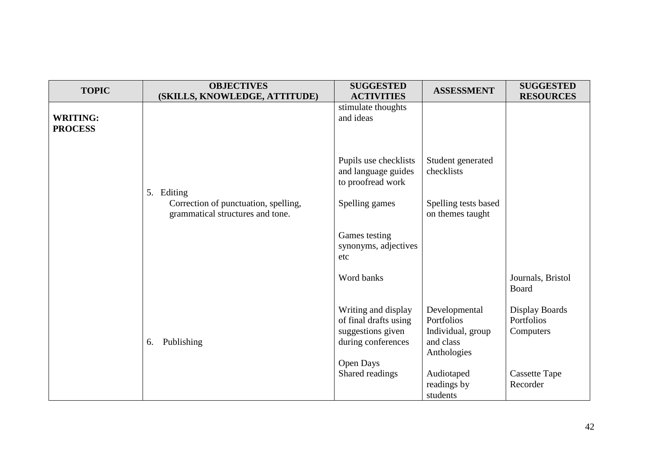| <b>TOPIC</b>                      | <b>OBJECTIVES</b><br>(SKILLS, KNOWLEDGE, ATTITUDE)                       | <b>SUGGESTED</b><br><b>ACTIVITIES</b>                                                   | <b>ASSESSMENT</b>                                                            | <b>SUGGESTED</b><br><b>RESOURCES</b>      |
|-----------------------------------|--------------------------------------------------------------------------|-----------------------------------------------------------------------------------------|------------------------------------------------------------------------------|-------------------------------------------|
| <b>WRITING:</b><br><b>PROCESS</b> |                                                                          | stimulate thoughts<br>and ideas                                                         |                                                                              |                                           |
|                                   | 5. Editing                                                               | Pupils use checklists<br>and language guides<br>to proofread work                       | Student generated<br>checklists                                              |                                           |
|                                   | Correction of punctuation, spelling,<br>grammatical structures and tone. | Spelling games                                                                          | Spelling tests based<br>on themes taught                                     |                                           |
|                                   |                                                                          | Games testing<br>synonyms, adjectives<br>etc                                            |                                                                              |                                           |
|                                   |                                                                          | Word banks                                                                              |                                                                              | Journals, Bristol<br>Board                |
|                                   | Publishing<br>6.                                                         | Writing and display<br>of final drafts using<br>suggestions given<br>during conferences | Developmental<br>Portfolios<br>Individual, group<br>and class<br>Anthologies | Display Boards<br>Portfolios<br>Computers |
|                                   |                                                                          | <b>Open Days</b><br>Shared readings                                                     | Audiotaped<br>readings by<br>students                                        | <b>Cassette Tape</b><br>Recorder          |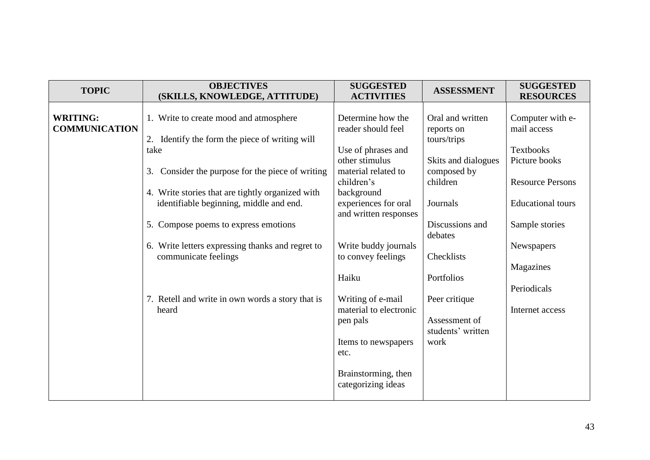| <b>TOPIC</b>                            | <b>OBJECTIVES</b><br>(SKILLS, KNOWLEDGE, ATTITUDE)                                          | <b>SUGGESTED</b><br><b>ACTIVITIES</b>                       | <b>ASSESSMENT</b>                             | <b>SUGGESTED</b><br><b>RESOURCES</b> |
|-----------------------------------------|---------------------------------------------------------------------------------------------|-------------------------------------------------------------|-----------------------------------------------|--------------------------------------|
| <b>WRITING:</b><br><b>COMMUNICATION</b> | 1. Write to create mood and atmosphere<br>2. Identify the form the piece of writing will    | Determine how the<br>reader should feel                     | Oral and written<br>reports on<br>tours/trips | Computer with e-<br>mail access      |
|                                         | take                                                                                        | Use of phrases and<br>other stimulus                        | Skits and dialogues                           | <b>Textbooks</b><br>Picture books    |
|                                         | Consider the purpose for the piece of writing<br>3.                                         | material related to<br>children's                           | composed by<br>children                       | <b>Resource Persons</b>              |
|                                         | 4. Write stories that are tightly organized with<br>identifiable beginning, middle and end. | background<br>experiences for oral<br>and written responses | Journals                                      | <b>Educational</b> tours             |
|                                         | 5. Compose poems to express emotions                                                        |                                                             | Discussions and<br>debates                    | Sample stories                       |
|                                         | 6. Write letters expressing thanks and regret to<br>communicate feelings                    | Write buddy journals<br>to convey feelings                  | Checklists                                    | Newspapers                           |
|                                         |                                                                                             | Haiku                                                       | Portfolios                                    | Magazines<br>Periodicals             |
|                                         | 7. Retell and write in own words a story that is<br>heard                                   | Writing of e-mail<br>material to electronic<br>pen pals     | Peer critique<br>Assessment of                | Internet access                      |
|                                         |                                                                                             | Items to newspapers<br>etc.                                 | students' written<br>work                     |                                      |
|                                         |                                                                                             | Brainstorming, then<br>categorizing ideas                   |                                               |                                      |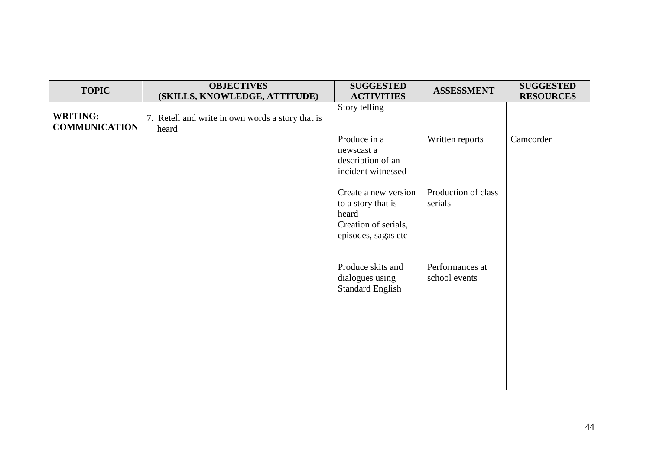| <b>TOPIC</b>                            | <b>OBJECTIVES</b>                                | <b>SUGGESTED</b>                           | <b>ASSESSMENT</b>   | <b>SUGGESTED</b> |
|-----------------------------------------|--------------------------------------------------|--------------------------------------------|---------------------|------------------|
|                                         | (SKILLS, KNOWLEDGE, ATTITUDE)                    | <b>ACTIVITIES</b><br>Story telling         |                     | <b>RESOURCES</b> |
| <b>WRITING:</b><br><b>COMMUNICATION</b> | 7. Retell and write in own words a story that is |                                            |                     |                  |
|                                         | heard                                            | Produce in a                               | Written reports     | Camcorder        |
|                                         |                                                  | newscast a                                 |                     |                  |
|                                         |                                                  | description of an                          |                     |                  |
|                                         |                                                  | incident witnessed                         |                     |                  |
|                                         |                                                  | Create a new version                       | Production of class |                  |
|                                         |                                                  | to a story that is<br>heard                | serials             |                  |
|                                         |                                                  | Creation of serials,                       |                     |                  |
|                                         |                                                  | episodes, sagas etc                        |                     |                  |
|                                         |                                                  |                                            |                     |                  |
|                                         |                                                  | Produce skits and                          | Performances at     |                  |
|                                         |                                                  | dialogues using<br><b>Standard English</b> | school events       |                  |
|                                         |                                                  |                                            |                     |                  |
|                                         |                                                  |                                            |                     |                  |
|                                         |                                                  |                                            |                     |                  |
|                                         |                                                  |                                            |                     |                  |
|                                         |                                                  |                                            |                     |                  |
|                                         |                                                  |                                            |                     |                  |
|                                         |                                                  |                                            |                     |                  |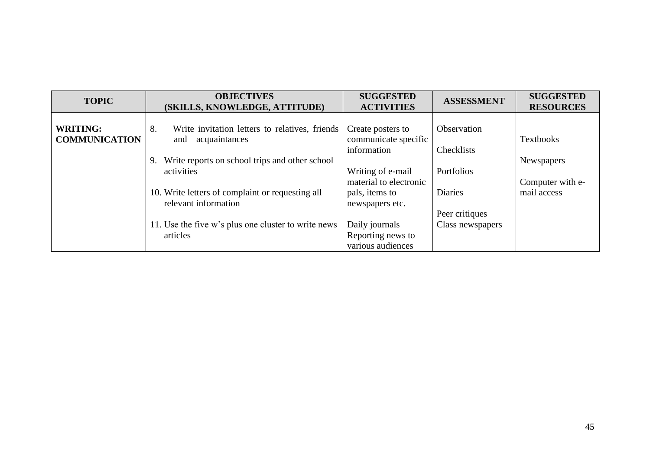| <b>TOPIC</b>                            | <b>OBJECTIVES</b><br>(SKILLS, KNOWLEDGE, ATTITUDE)                        | <b>SUGGESTED</b><br><b>ACTIVITIES</b>                    | <b>ASSESSMENT</b>                | <b>SUGGESTED</b><br><b>RESOURCES</b> |
|-----------------------------------------|---------------------------------------------------------------------------|----------------------------------------------------------|----------------------------------|--------------------------------------|
| <b>WRITING:</b><br><b>COMMUNICATION</b> | 8.<br>Write invitation letters to relatives, friends<br>and acquaintances | Create posters to<br>communicate specific<br>information | Observation<br>Checklists        | <b>Textbooks</b>                     |
|                                         | 9. Write reports on school trips and other school<br>activities           | Writing of e-mail<br>material to electronic              | Portfolios                       | Newspapers<br>Computer with e-       |
|                                         | 10. Write letters of complaint or requesting all<br>relevant information  | pals, items to<br>newspapers etc.                        | <b>Diaries</b><br>Peer critiques | mail access                          |
|                                         | 11. Use the five w's plus one cluster to write news<br>articles           | Daily journals<br>Reporting news to<br>various audiences | Class newspapers                 |                                      |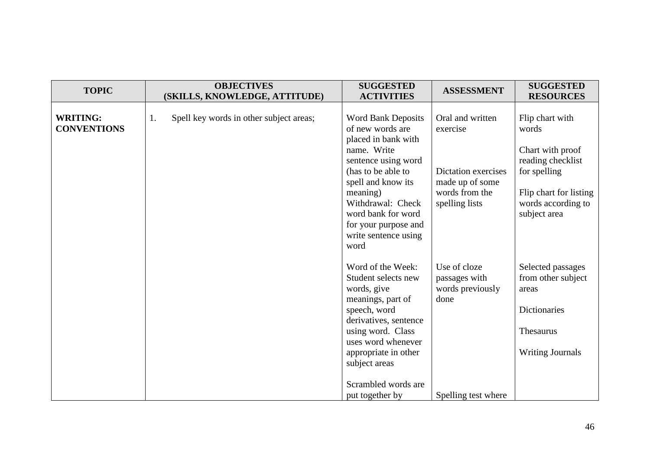| <b>TOPIC</b>                          | <b>OBJECTIVES</b><br>(SKILLS, KNOWLEDGE, ATTITUDE) | <b>SUGGESTED</b><br><b>ACTIVITIES</b>                                                                                                                                                                                                                                 | <b>ASSESSMENT</b>                                                                                          | <b>SUGGESTED</b><br><b>RESOURCES</b>                                                                                                              |
|---------------------------------------|----------------------------------------------------|-----------------------------------------------------------------------------------------------------------------------------------------------------------------------------------------------------------------------------------------------------------------------|------------------------------------------------------------------------------------------------------------|---------------------------------------------------------------------------------------------------------------------------------------------------|
| <b>WRITING:</b><br><b>CONVENTIONS</b> | Spell key words in other subject areas;<br>1.      | <b>Word Bank Deposits</b><br>of new words are<br>placed in bank with<br>name. Write<br>sentence using word<br>(has to be able to<br>spell and know its<br>meaning)<br>Withdrawal: Check<br>word bank for word<br>for your purpose and<br>write sentence using<br>word | Oral and written<br>exercise<br>Dictation exercises<br>made up of some<br>words from the<br>spelling lists | Flip chart with<br>words<br>Chart with proof<br>reading checklist<br>for spelling<br>Flip chart for listing<br>words according to<br>subject area |
|                                       |                                                    | Word of the Week:<br>Student selects new<br>words, give<br>meanings, part of<br>speech, word<br>derivatives, sentence<br>using word. Class<br>uses word whenever<br>appropriate in other<br>subject areas<br>Scrambled words are<br>put together by                   | Use of cloze<br>passages with<br>words previously<br>done<br>Spelling test where                           | Selected passages<br>from other subject<br>areas<br>Dictionaries<br>Thesaurus<br><b>Writing Journals</b>                                          |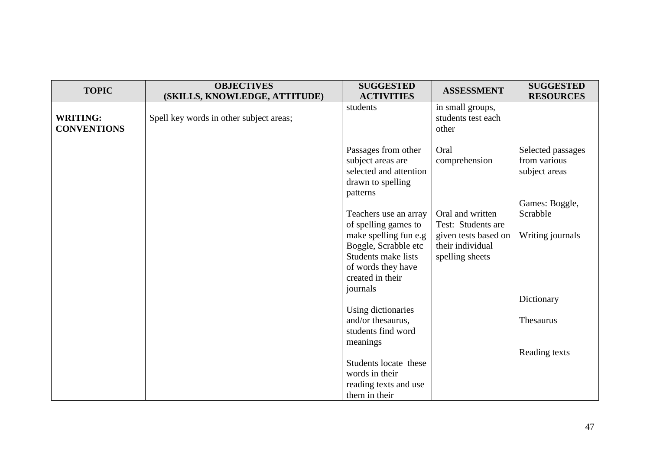| <b>TOPIC</b>                          | <b>OBJECTIVES</b><br>(SKILLS, KNOWLEDGE, ATTITUDE) | <b>SUGGESTED</b><br><b>ACTIVITIES</b>                                                                                 | <b>ASSESSMENT</b>                                                                                     | <b>SUGGESTED</b><br><b>RESOURCES</b>                                 |
|---------------------------------------|----------------------------------------------------|-----------------------------------------------------------------------------------------------------------------------|-------------------------------------------------------------------------------------------------------|----------------------------------------------------------------------|
| <b>WRITING:</b><br><b>CONVENTIONS</b> | Spell key words in other subject areas;            | students                                                                                                              | in small groups,<br>students test each<br>other                                                       |                                                                      |
|                                       |                                                    | Passages from other<br>subject areas are<br>selected and attention<br>drawn to spelling<br>patterns                   | Oral<br>comprehension                                                                                 | Selected passages<br>from various<br>subject areas<br>Games: Boggle, |
|                                       |                                                    | Teachers use an array<br>of spelling games to<br>make spelling fun e.g<br>Boggle, Scrabble etc<br>Students make lists | Oral and written<br>Test: Students are<br>given tests based on<br>their individual<br>spelling sheets | Scrabble<br>Writing journals                                         |
|                                       |                                                    | of words they have<br>created in their<br>journals                                                                    |                                                                                                       | Dictionary                                                           |
|                                       |                                                    | Using dictionaries<br>and/or thesaurus,<br>students find word<br>meanings                                             |                                                                                                       | Thesaurus                                                            |
|                                       |                                                    | Students locate these<br>words in their<br>reading texts and use                                                      |                                                                                                       | Reading texts                                                        |
|                                       |                                                    | them in their                                                                                                         |                                                                                                       |                                                                      |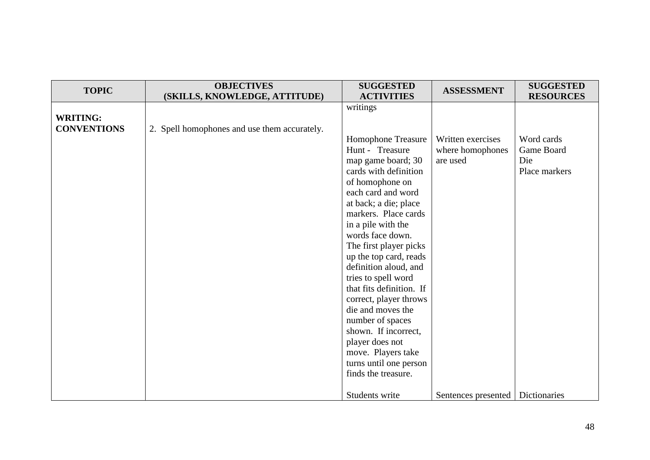| <b>TOPIC</b>       | <b>OBJECTIVES</b><br>(SKILLS, KNOWLEDGE, ATTITUDE) | <b>SUGGESTED</b><br><b>ACTIVITIES</b>            | <b>ASSESSMENT</b>   | <b>SUGGESTED</b><br><b>RESOURCES</b> |
|--------------------|----------------------------------------------------|--------------------------------------------------|---------------------|--------------------------------------|
|                    |                                                    | writings                                         |                     |                                      |
| <b>WRITING:</b>    |                                                    |                                                  |                     |                                      |
| <b>CONVENTIONS</b> | 2. Spell homophones and use them accurately.       |                                                  |                     |                                      |
|                    |                                                    | Homophone Treasure                               | Written exercises   | Word cards                           |
|                    |                                                    | Hunt - Treasure                                  | where homophones    | Game Board                           |
|                    |                                                    | map game board; 30                               | are used            | Die                                  |
|                    |                                                    | cards with definition                            |                     | Place markers                        |
|                    |                                                    | of homophone on                                  |                     |                                      |
|                    |                                                    | each card and word                               |                     |                                      |
|                    |                                                    | at back; a die; place                            |                     |                                      |
|                    |                                                    | markers. Place cards                             |                     |                                      |
|                    |                                                    | in a pile with the                               |                     |                                      |
|                    |                                                    | words face down.                                 |                     |                                      |
|                    |                                                    | The first player picks<br>up the top card, reads |                     |                                      |
|                    |                                                    | definition aloud, and                            |                     |                                      |
|                    |                                                    | tries to spell word                              |                     |                                      |
|                    |                                                    | that fits definition. If                         |                     |                                      |
|                    |                                                    | correct, player throws                           |                     |                                      |
|                    |                                                    | die and moves the                                |                     |                                      |
|                    |                                                    | number of spaces                                 |                     |                                      |
|                    |                                                    | shown. If incorrect,                             |                     |                                      |
|                    |                                                    | player does not                                  |                     |                                      |
|                    |                                                    | move. Players take                               |                     |                                      |
|                    |                                                    | turns until one person                           |                     |                                      |
|                    |                                                    | finds the treasure.                              |                     |                                      |
|                    |                                                    |                                                  |                     |                                      |
|                    |                                                    | Students write                                   | Sentences presented | Dictionaries                         |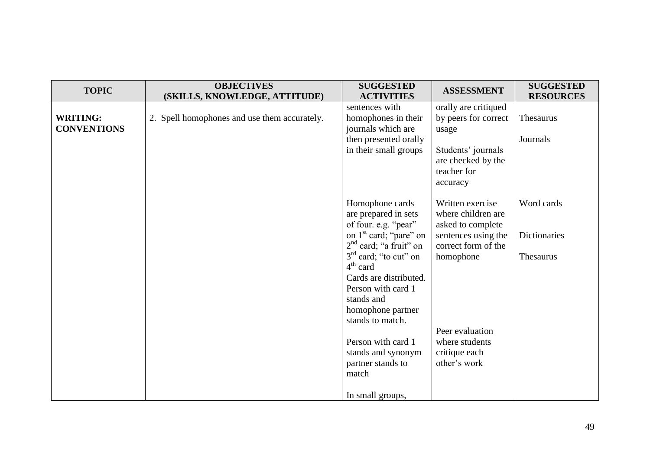| <b>TOPIC</b>                          | <b>OBJECTIVES</b><br>(SKILLS, KNOWLEDGE, ATTITUDE) | <b>SUGGESTED</b><br><b>ACTIVITIES</b>                                                                                                                                                                                                                                                                                                                       | <b>ASSESSMENT</b>                                                                                                                                                                            | <b>SUGGESTED</b><br><b>RESOURCES</b>           |
|---------------------------------------|----------------------------------------------------|-------------------------------------------------------------------------------------------------------------------------------------------------------------------------------------------------------------------------------------------------------------------------------------------------------------------------------------------------------------|----------------------------------------------------------------------------------------------------------------------------------------------------------------------------------------------|------------------------------------------------|
| <b>WRITING:</b><br><b>CONVENTIONS</b> | 2. Spell homophones and use them accurately.       | sentences with<br>homophones in their<br>journals which are<br>then presented orally<br>in their small groups                                                                                                                                                                                                                                               | orally are critiqued<br>by peers for correct<br>usage<br>Students' journals<br>are checked by the<br>teacher for<br>accuracy                                                                 | Thesaurus<br>Journals                          |
|                                       |                                                    | Homophone cards<br>are prepared in sets<br>of four. e.g. "pear"<br>on 1 <sup>st</sup> card; "pare" on<br>$2nd$ card; "a fruit" on<br>$3rd$ card; "to cut" on<br>$4th$ card<br>Cards are distributed.<br>Person with card 1<br>stands and<br>homophone partner<br>stands to match.<br>Person with card 1<br>stands and synonym<br>partner stands to<br>match | Written exercise<br>where children are<br>asked to complete<br>sentences using the<br>correct form of the<br>homophone<br>Peer evaluation<br>where students<br>critique each<br>other's work | Word cards<br><b>Dictionaries</b><br>Thesaurus |
|                                       |                                                    | In small groups,                                                                                                                                                                                                                                                                                                                                            |                                                                                                                                                                                              |                                                |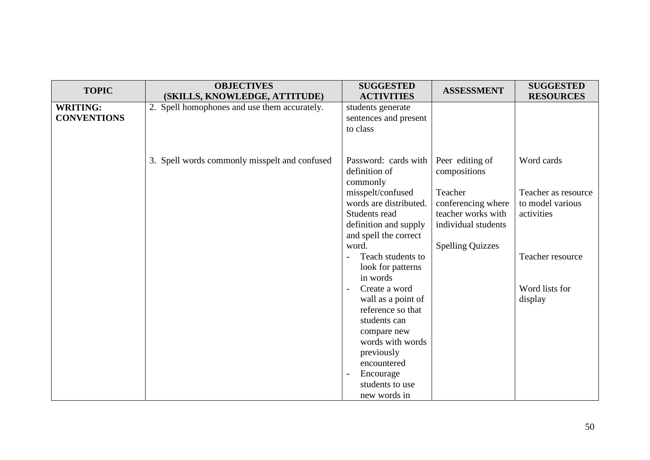| <b>TOPIC</b>                          | <b>OBJECTIVES</b><br>(SKILLS, KNOWLEDGE, ATTITUDE) | <b>SUGGESTED</b><br><b>ACTIVITIES</b>                                                                                                      | <b>ASSESSMENT</b>                                                                                             | <b>SUGGESTED</b><br><b>RESOURCES</b>                                |
|---------------------------------------|----------------------------------------------------|--------------------------------------------------------------------------------------------------------------------------------------------|---------------------------------------------------------------------------------------------------------------|---------------------------------------------------------------------|
| <b>WRITING:</b><br><b>CONVENTIONS</b> | 2. Spell homophones and use them accurately.       | students generate<br>sentences and present<br>to class                                                                                     |                                                                                                               |                                                                     |
|                                       | 3. Spell words commonly misspelt and confused      | Password: cards with<br>definition of<br>commonly<br>misspelt/confused<br>words are distributed.<br>Students read<br>definition and supply | Peer editing of<br>compositions<br>Teacher<br>conferencing where<br>teacher works with<br>individual students | Word cards<br>Teacher as resource<br>to model various<br>activities |
|                                       |                                                    | and spell the correct<br>word.<br>Teach students to<br>look for patterns<br>in words                                                       | <b>Spelling Quizzes</b>                                                                                       | Teacher resource                                                    |
|                                       |                                                    | Create a word<br>wall as a point of<br>reference so that<br>students can<br>compare new<br>words with words<br>previously<br>encountered   |                                                                                                               | Word lists for<br>display                                           |
|                                       |                                                    | Encourage<br>$\overline{\phantom{a}}$<br>students to use<br>new words in                                                                   |                                                                                                               |                                                                     |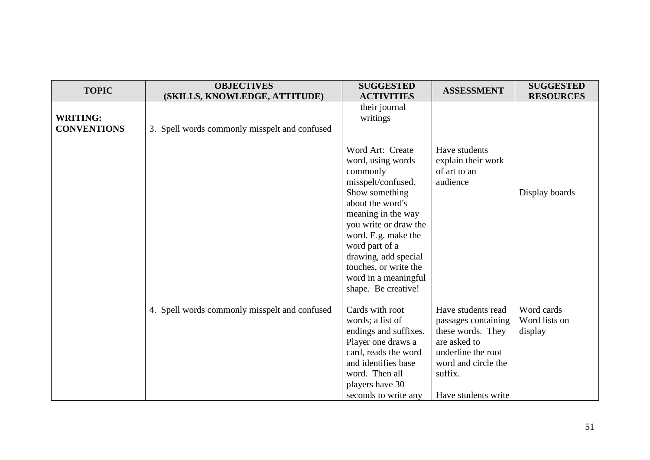| <b>TOPIC</b>                          | <b>OBJECTIVES</b><br>(SKILLS, KNOWLEDGE, ATTITUDE) | <b>SUGGESTED</b><br><b>ACTIVITIES</b>                                                                                                                                                                                                                                                                 | <b>ASSESSMENT</b>                                                                                                                                             | <b>SUGGESTED</b><br><b>RESOURCES</b>   |
|---------------------------------------|----------------------------------------------------|-------------------------------------------------------------------------------------------------------------------------------------------------------------------------------------------------------------------------------------------------------------------------------------------------------|---------------------------------------------------------------------------------------------------------------------------------------------------------------|----------------------------------------|
| <b>WRITING:</b><br><b>CONVENTIONS</b> | 3. Spell words commonly misspelt and confused      | their journal<br>writings                                                                                                                                                                                                                                                                             |                                                                                                                                                               |                                        |
|                                       |                                                    | Word Art: Create<br>word, using words<br>commonly<br>misspelt/confused.<br>Show something<br>about the word's<br>meaning in the way<br>you write or draw the<br>word. E.g. make the<br>word part of a<br>drawing, add special<br>touches, or write the<br>word in a meaningful<br>shape. Be creative! | Have students<br>explain their work<br>of art to an<br>audience                                                                                               | Display boards                         |
|                                       | 4. Spell words commonly misspelt and confused      | Cards with root<br>words; a list of<br>endings and suffixes.<br>Player one draws a<br>card, reads the word<br>and identifies base<br>word. Then all<br>players have 30<br>seconds to write any                                                                                                        | Have students read<br>passages containing<br>these words. They<br>are asked to<br>underline the root<br>word and circle the<br>suffix.<br>Have students write | Word cards<br>Word lists on<br>display |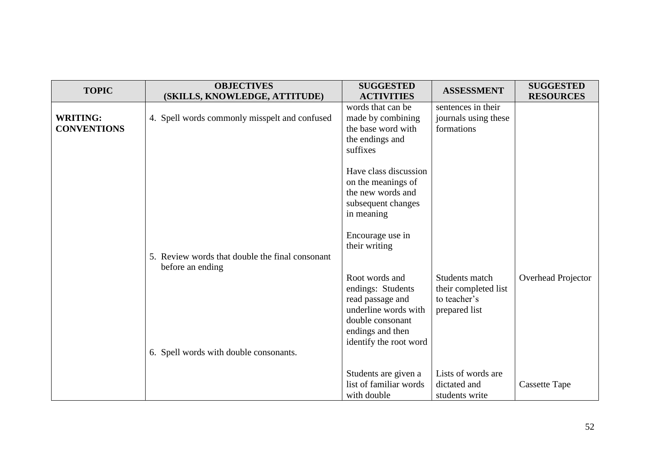| <b>TOPIC</b>                          | <b>OBJECTIVES</b><br>(SKILLS, KNOWLEDGE, ATTITUDE)                  | <b>SUGGESTED</b><br><b>ACTIVITIES</b>                                                                                                             | <b>ASSESSMENT</b>                                                       | <b>SUGGESTED</b><br><b>RESOURCES</b> |
|---------------------------------------|---------------------------------------------------------------------|---------------------------------------------------------------------------------------------------------------------------------------------------|-------------------------------------------------------------------------|--------------------------------------|
| <b>WRITING:</b><br><b>CONVENTIONS</b> | 4. Spell words commonly misspelt and confused                       | words that can be<br>made by combining<br>the base word with<br>the endings and<br>suffixes                                                       | sentences in their<br>journals using these<br>formations                |                                      |
|                                       |                                                                     | Have class discussion<br>on the meanings of<br>the new words and<br>subsequent changes<br>in meaning                                              |                                                                         |                                      |
|                                       | 5. Review words that double the final consonant<br>before an ending | Encourage use in<br>their writing                                                                                                                 |                                                                         |                                      |
|                                       |                                                                     | Root words and<br>endings: Students<br>read passage and<br>underline words with<br>double consonant<br>endings and then<br>identify the root word | Students match<br>their completed list<br>to teacher's<br>prepared list | Overhead Projector                   |
|                                       | 6. Spell words with double consonants.                              | Students are given a<br>list of familiar words<br>with double                                                                                     | Lists of words are<br>dictated and<br>students write                    | Cassette Tape                        |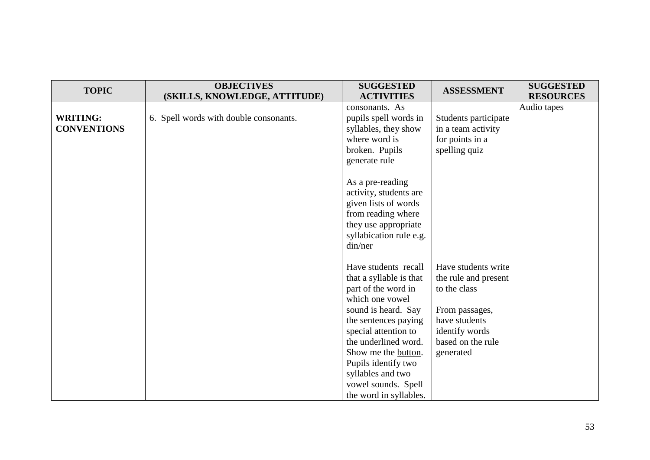| <b>TOPIC</b>                          | <b>OBJECTIVES</b><br>(SKILLS, KNOWLEDGE, ATTITUDE) | <b>SUGGESTED</b><br><b>ACTIVITIES</b>                                                                                                                                                                                                                                                                        | <b>ASSESSMENT</b>                                                                                                                                  | <b>SUGGESTED</b><br><b>RESOURCES</b> |
|---------------------------------------|----------------------------------------------------|--------------------------------------------------------------------------------------------------------------------------------------------------------------------------------------------------------------------------------------------------------------------------------------------------------------|----------------------------------------------------------------------------------------------------------------------------------------------------|--------------------------------------|
| <b>WRITING:</b><br><b>CONVENTIONS</b> | 6. Spell words with double consonants.             | consonants. As<br>pupils spell words in<br>syllables, they show<br>where word is<br>broken. Pupils<br>generate rule                                                                                                                                                                                          | Students participate<br>in a team activity<br>for points in a<br>spelling quiz                                                                     | Audio tapes                          |
|                                       |                                                    | As a pre-reading<br>activity, students are<br>given lists of words<br>from reading where<br>they use appropriate<br>syllabication rule e.g.<br>din/ner                                                                                                                                                       |                                                                                                                                                    |                                      |
|                                       |                                                    | Have students recall<br>that a syllable is that<br>part of the word in<br>which one vowel<br>sound is heard. Say<br>the sentences paying<br>special attention to<br>the underlined word.<br>Show me the button.<br>Pupils identify two<br>syllables and two<br>vowel sounds. Spell<br>the word in syllables. | Have students write<br>the rule and present<br>to the class<br>From passages,<br>have students<br>identify words<br>based on the rule<br>generated |                                      |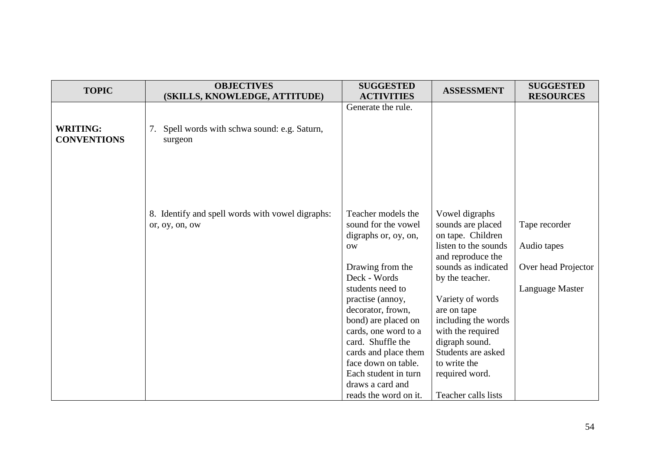| <b>TOPIC</b>       | <b>OBJECTIVES</b><br>(SKILLS, KNOWLEDGE, ATTITUDE)                 | <b>SUGGESTED</b><br><b>ACTIVITIES</b>                             | <b>ASSESSMENT</b>                                        | <b>SUGGESTED</b><br><b>RESOURCES</b> |
|--------------------|--------------------------------------------------------------------|-------------------------------------------------------------------|----------------------------------------------------------|--------------------------------------|
| <b>WRITING:</b>    | 7. Spell words with schwa sound: e.g. Saturn,                      | Generate the rule.                                                |                                                          |                                      |
| <b>CONVENTIONS</b> | surgeon                                                            |                                                                   |                                                          |                                      |
|                    |                                                                    |                                                                   |                                                          |                                      |
|                    | 8. Identify and spell words with vowel digraphs:<br>or, oy, on, ow | Teacher models the<br>sound for the vowel<br>digraphs or, oy, on, | Vowel digraphs<br>sounds are placed<br>on tape. Children | Tape recorder                        |
|                    |                                                                    | <b>OW</b>                                                         | listen to the sounds<br>and reproduce the                | Audio tapes                          |
|                    |                                                                    | Drawing from the<br>Deck - Words                                  | sounds as indicated<br>by the teacher.                   | Over head Projector                  |
|                    |                                                                    | students need to<br>practise (annoy,                              | Variety of words                                         | Language Master                      |
|                    |                                                                    | decorator, frown,                                                 | are on tape                                              |                                      |
|                    |                                                                    | bond) are placed on<br>cards, one word to a                       | including the words<br>with the required                 |                                      |
|                    |                                                                    | card. Shuffle the                                                 | digraph sound.                                           |                                      |
|                    |                                                                    | cards and place them                                              | Students are asked                                       |                                      |
|                    |                                                                    | face down on table.<br>Each student in turn                       | to write the<br>required word.                           |                                      |
|                    |                                                                    | draws a card and                                                  |                                                          |                                      |
|                    |                                                                    | reads the word on it.                                             | Teacher calls lists                                      |                                      |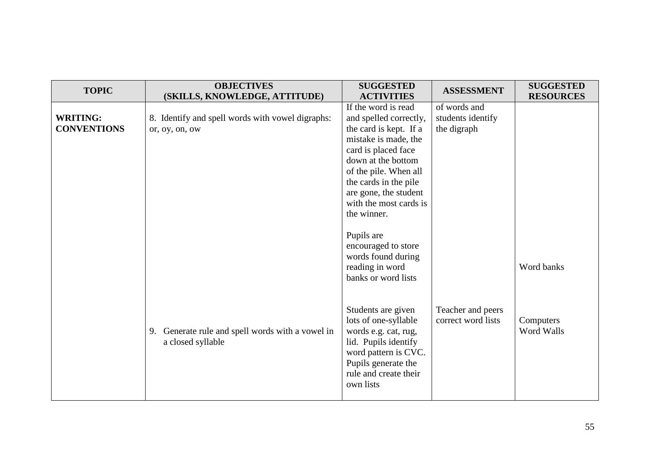| <b>TOPIC</b>                          | <b>OBJECTIVES</b><br>(SKILLS, KNOWLEDGE, ATTITUDE)                    | <b>SUGGESTED</b><br><b>ACTIVITIES</b>                                                                                                                                                                                                                            | <b>ASSESSMENT</b>                                | <b>SUGGESTED</b><br><b>RESOURCES</b> |
|---------------------------------------|-----------------------------------------------------------------------|------------------------------------------------------------------------------------------------------------------------------------------------------------------------------------------------------------------------------------------------------------------|--------------------------------------------------|--------------------------------------|
| <b>WRITING:</b><br><b>CONVENTIONS</b> | 8. Identify and spell words with vowel digraphs:<br>or, oy, on, ow    | If the word is read<br>and spelled correctly,<br>the card is kept. If a<br>mistake is made, the<br>card is placed face<br>down at the bottom<br>of the pile. When all<br>the cards in the pile<br>are gone, the student<br>with the most cards is<br>the winner. | of words and<br>students identify<br>the digraph |                                      |
|                                       |                                                                       | Pupils are<br>encouraged to store<br>words found during<br>reading in word<br>banks or word lists                                                                                                                                                                |                                                  | Word banks                           |
|                                       | 9. Generate rule and spell words with a vowel in<br>a closed syllable | Students are given<br>lots of one-syllable<br>words e.g. cat, rug,<br>lid. Pupils identify<br>word pattern is CVC.<br>Pupils generate the<br>rule and create their<br>own lists                                                                                  | Teacher and peers<br>correct word lists          | Computers<br>Word Walls              |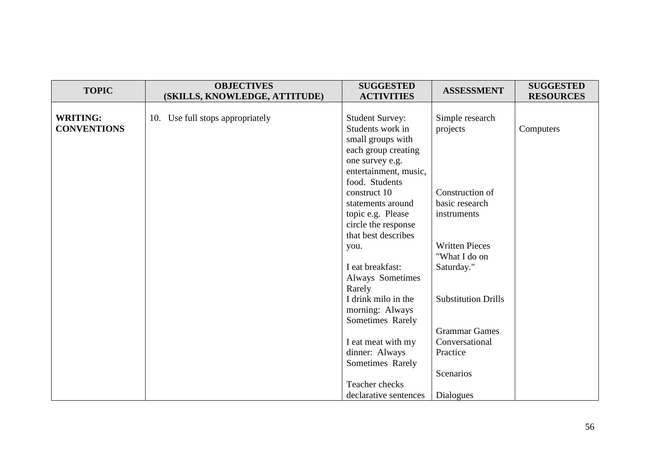| <b>TOPIC</b>       | <b>OBJECTIVES</b><br>(SKILLS, KNOWLEDGE, ATTITUDE) | <b>SUGGESTED</b><br><b>ACTIVITIES</b>  | <b>ASSESSMENT</b>          | <b>SUGGESTED</b><br><b>RESOURCES</b> |
|--------------------|----------------------------------------------------|----------------------------------------|----------------------------|--------------------------------------|
|                    |                                                    |                                        |                            |                                      |
| <b>WRITING:</b>    | 10. Use full stops appropriately                   | <b>Student Survey:</b>                 | Simple research            |                                      |
| <b>CONVENTIONS</b> |                                                    | Students work in                       | projects                   | Computers                            |
|                    |                                                    | small groups with                      |                            |                                      |
|                    |                                                    | each group creating<br>one survey e.g. |                            |                                      |
|                    |                                                    | entertainment, music,                  |                            |                                      |
|                    |                                                    | food. Students                         |                            |                                      |
|                    |                                                    | construct 10                           | Construction of            |                                      |
|                    |                                                    | statements around                      | basic research             |                                      |
|                    |                                                    | topic e.g. Please                      | instruments                |                                      |
|                    |                                                    | circle the response                    |                            |                                      |
|                    |                                                    | that best describes                    |                            |                                      |
|                    |                                                    | you.                                   | <b>Written Pieces</b>      |                                      |
|                    |                                                    |                                        | "What I do on              |                                      |
|                    |                                                    | I eat breakfast:                       | Saturday."                 |                                      |
|                    |                                                    | <b>Always Sometimes</b><br>Rarely      |                            |                                      |
|                    |                                                    | I drink milo in the                    | <b>Substitution Drills</b> |                                      |
|                    |                                                    | morning: Always                        |                            |                                      |
|                    |                                                    | Sometimes Rarely                       |                            |                                      |
|                    |                                                    |                                        | <b>Grammar Games</b>       |                                      |
|                    |                                                    | I eat meat with my                     | Conversational             |                                      |
|                    |                                                    | dinner: Always                         | Practice                   |                                      |
|                    |                                                    | Sometimes Rarely                       |                            |                                      |
|                    |                                                    |                                        | Scenarios                  |                                      |
|                    |                                                    | Teacher checks                         |                            |                                      |
|                    |                                                    | declarative sentences                  | Dialogues                  |                                      |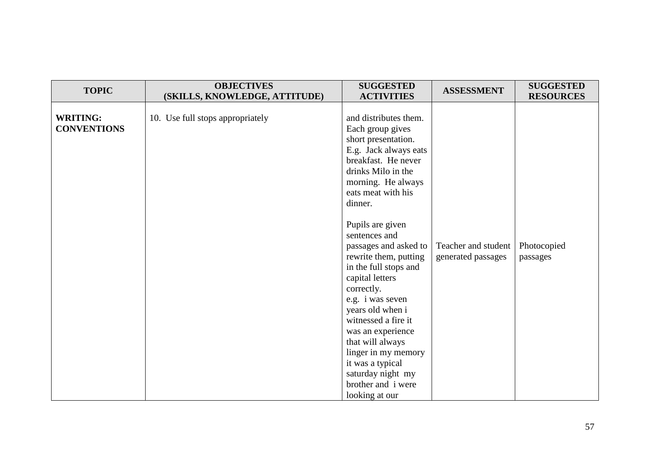| <b>TOPIC</b>                          | <b>OBJECTIVES</b><br>(SKILLS, KNOWLEDGE, ATTITUDE) | <b>SUGGESTED</b><br><b>ACTIVITIES</b>                                                                                                                                                                                                                                                                                                                         | <b>ASSESSMENT</b>                         | <b>SUGGESTED</b><br><b>RESOURCES</b> |
|---------------------------------------|----------------------------------------------------|---------------------------------------------------------------------------------------------------------------------------------------------------------------------------------------------------------------------------------------------------------------------------------------------------------------------------------------------------------------|-------------------------------------------|--------------------------------------|
| <b>WRITING:</b><br><b>CONVENTIONS</b> | 10. Use full stops appropriately                   | and distributes them.<br>Each group gives<br>short presentation.<br>E.g. Jack always eats<br>breakfast. He never<br>drinks Milo in the<br>morning. He always<br>eats meat with his<br>dinner.                                                                                                                                                                 |                                           |                                      |
|                                       |                                                    | Pupils are given<br>sentences and<br>passages and asked to<br>rewrite them, putting<br>in the full stops and<br>capital letters<br>correctly.<br>e.g. i was seven<br>years old when i<br>witnessed a fire it<br>was an experience<br>that will always<br>linger in my memory<br>it was a typical<br>saturday night my<br>brother and i were<br>looking at our | Teacher and student<br>generated passages | Photocopied<br>passages              |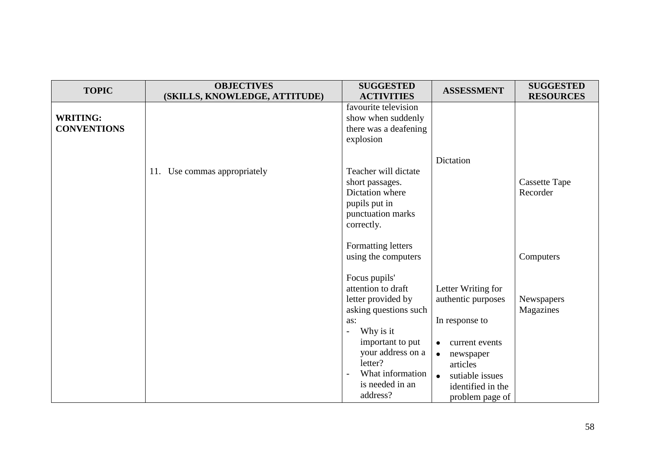| <b>TOPIC</b>                          | <b>OBJECTIVES</b><br>(SKILLS, KNOWLEDGE, ATTITUDE) | <b>SUGGESTED</b><br><b>ACTIVITIES</b>                                                                                                                                                                         | <b>ASSESSMENT</b>                                                                                                                                                                                       | <b>SUGGESTED</b><br><b>RESOURCES</b> |
|---------------------------------------|----------------------------------------------------|---------------------------------------------------------------------------------------------------------------------------------------------------------------------------------------------------------------|---------------------------------------------------------------------------------------------------------------------------------------------------------------------------------------------------------|--------------------------------------|
| <b>WRITING:</b><br><b>CONVENTIONS</b> |                                                    | favourite television<br>show when suddenly<br>there was a deafening<br>explosion                                                                                                                              |                                                                                                                                                                                                         |                                      |
|                                       | 11. Use commas appropriately                       | Teacher will dictate<br>short passages.<br>Dictation where<br>pupils put in<br>punctuation marks<br>correctly.                                                                                                | Dictation                                                                                                                                                                                               | <b>Cassette Tape</b><br>Recorder     |
|                                       |                                                    | Formatting letters<br>using the computers                                                                                                                                                                     |                                                                                                                                                                                                         | Computers                            |
|                                       |                                                    | Focus pupils'<br>attention to draft<br>letter provided by<br>asking questions such<br>as:<br>Why is it<br>important to put<br>your address on a<br>letter?<br>What information<br>is needed in an<br>address? | Letter Writing for<br>authentic purposes<br>In response to<br>current events<br>$\bullet$<br>$\bullet$<br>newspaper<br>articles<br>sutiable issues<br>$\bullet$<br>identified in the<br>problem page of | Newspapers<br>Magazines              |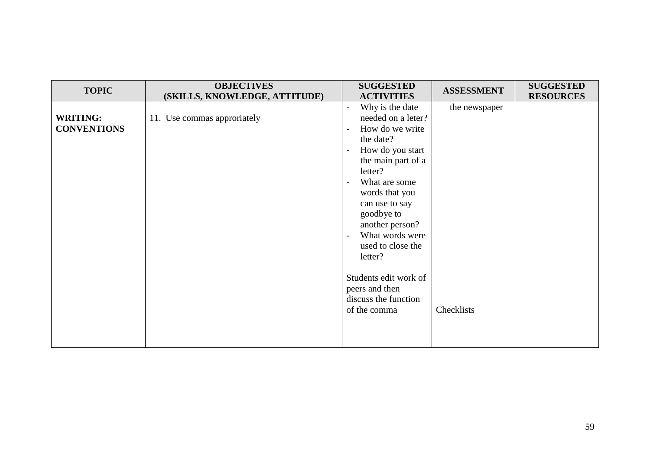| <b>TOPIC</b>                          | <b>OBJECTIVES</b>             | <b>SUGGESTED</b>                                                                                                                                                                                                                                                                                                                                                          | <b>ASSESSMENT</b> | <b>SUGGESTED</b> |
|---------------------------------------|-------------------------------|---------------------------------------------------------------------------------------------------------------------------------------------------------------------------------------------------------------------------------------------------------------------------------------------------------------------------------------------------------------------------|-------------------|------------------|
|                                       | (SKILLS, KNOWLEDGE, ATTITUDE) | <b>ACTIVITIES</b>                                                                                                                                                                                                                                                                                                                                                         |                   | <b>RESOURCES</b> |
| <b>WRITING:</b><br><b>CONVENTIONS</b> | 11. Use commas approriately   | Why is the date<br>$\overline{a}$<br>needed on a leter?<br>How do we write<br>$\overline{\phantom{a}}$<br>the date?<br>How do you start<br>$\overline{\phantom{a}}$<br>the main part of a<br>letter?<br>What are some<br>words that you<br>can use to say<br>goodbye to<br>another person?<br>What words were<br>$\overline{\phantom{a}}$<br>used to close the<br>letter? | the newspaper     |                  |
|                                       |                               | Students edit work of<br>peers and then<br>discuss the function<br>of the comma                                                                                                                                                                                                                                                                                           | Checklists        |                  |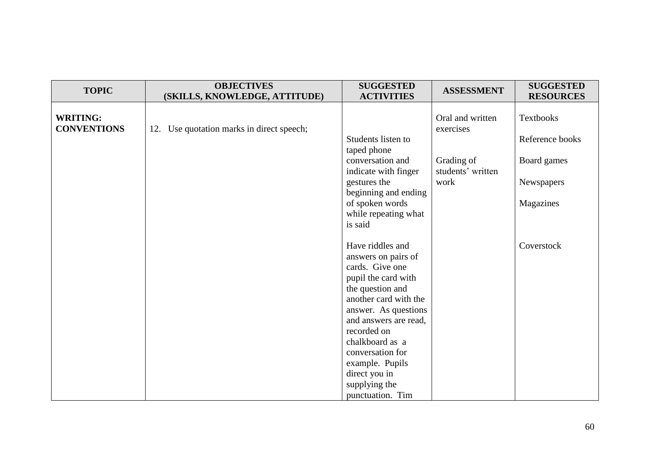| <b>TOPIC</b>                          | <b>OBJECTIVES</b><br>(SKILLS, KNOWLEDGE, ATTITUDE) | <b>SUGGESTED</b><br><b>ACTIVITIES</b>                                                 | <b>ASSESSMENT</b>               | <b>SUGGESTED</b><br><b>RESOURCES</b> |
|---------------------------------------|----------------------------------------------------|---------------------------------------------------------------------------------------|---------------------------------|--------------------------------------|
| <b>WRITING:</b><br><b>CONVENTIONS</b> | 12. Use quotation marks in direct speech;          | Students listen to                                                                    | Oral and written<br>exercises   | Textbooks<br>Reference books         |
|                                       |                                                    | taped phone<br>conversation and<br>indicate with finger                               | Grading of<br>students' written | Board games                          |
|                                       |                                                    | gestures the<br>beginning and ending<br>of spoken words<br>while repeating what       | work                            | Newspapers<br>Magazines              |
|                                       |                                                    | is said<br>Have riddles and<br>answers on pairs of                                    |                                 | Coverstock                           |
|                                       |                                                    | cards. Give one<br>pupil the card with<br>the question and                            |                                 |                                      |
|                                       |                                                    | another card with the<br>answer. As questions<br>and answers are read,<br>recorded on |                                 |                                      |
|                                       |                                                    | chalkboard as a<br>conversation for<br>example. Pupils                                |                                 |                                      |
|                                       |                                                    | direct you in<br>supplying the<br>punctuation. Tim                                    |                                 |                                      |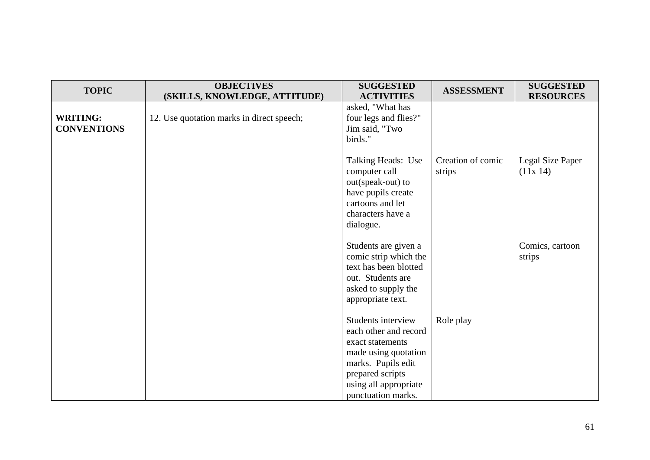| <b>TOPIC</b>                          | <b>OBJECTIVES</b><br>(SKILLS, KNOWLEDGE, ATTITUDE) | <b>SUGGESTED</b><br><b>ACTIVITIES</b>                                                                                                                                            | <b>ASSESSMENT</b>           | <b>SUGGESTED</b><br><b>RESOURCES</b> |
|---------------------------------------|----------------------------------------------------|----------------------------------------------------------------------------------------------------------------------------------------------------------------------------------|-----------------------------|--------------------------------------|
| <b>WRITING:</b><br><b>CONVENTIONS</b> | 12. Use quotation marks in direct speech;          | asked, "What has<br>four legs and flies?"<br>Jim said, "Two<br>birds."                                                                                                           |                             |                                      |
|                                       |                                                    | Talking Heads: Use<br>computer call<br>out(speak-out) to<br>have pupils create<br>cartoons and let<br>characters have a<br>dialogue.                                             | Creation of comic<br>strips | Legal Size Paper<br>(11x 14)         |
|                                       |                                                    | Students are given a<br>comic strip which the<br>text has been blotted<br>out. Students are<br>asked to supply the<br>appropriate text.                                          |                             | Comics, cartoon<br>strips            |
|                                       |                                                    | Students interview<br>each other and record<br>exact statements<br>made using quotation<br>marks. Pupils edit<br>prepared scripts<br>using all appropriate<br>punctuation marks. | Role play                   |                                      |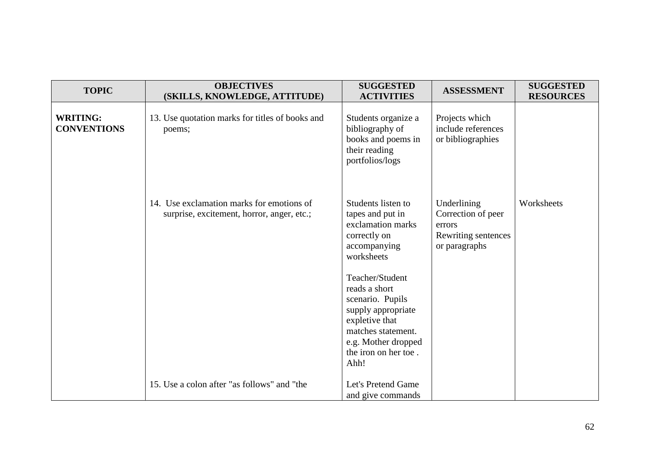| <b>TOPIC</b>                          | <b>OBJECTIVES</b><br>(SKILLS, KNOWLEDGE, ATTITUDE)                                      | <b>SUGGESTED</b><br><b>ACTIVITIES</b>                                                                                                                                                                                                                                                  | <b>ASSESSMENT</b>                                                                   | <b>SUGGESTED</b><br><b>RESOURCES</b> |
|---------------------------------------|-----------------------------------------------------------------------------------------|----------------------------------------------------------------------------------------------------------------------------------------------------------------------------------------------------------------------------------------------------------------------------------------|-------------------------------------------------------------------------------------|--------------------------------------|
| <b>WRITING:</b><br><b>CONVENTIONS</b> | 13. Use quotation marks for titles of books and<br>poems;                               | Students organize a<br>bibliography of<br>books and poems in<br>their reading<br>portfolios/logs                                                                                                                                                                                       | Projects which<br>include references<br>or bibliographies                           |                                      |
|                                       | 14. Use exclamation marks for emotions of<br>surprise, excitement, horror, anger, etc.; | Students listen to<br>tapes and put in<br>exclamation marks<br>correctly on<br>accompanying<br>worksheets<br>Teacher/Student<br>reads a short<br>scenario. Pupils<br>supply appropriate<br>expletive that<br>matches statement.<br>e.g. Mother dropped<br>the iron on her toe.<br>Ahh! | Underlining<br>Correction of peer<br>errors<br>Rewriting sentences<br>or paragraphs | Worksheets                           |
|                                       | 15. Use a colon after "as follows" and "the                                             | Let's Pretend Game<br>and give commands                                                                                                                                                                                                                                                |                                                                                     |                                      |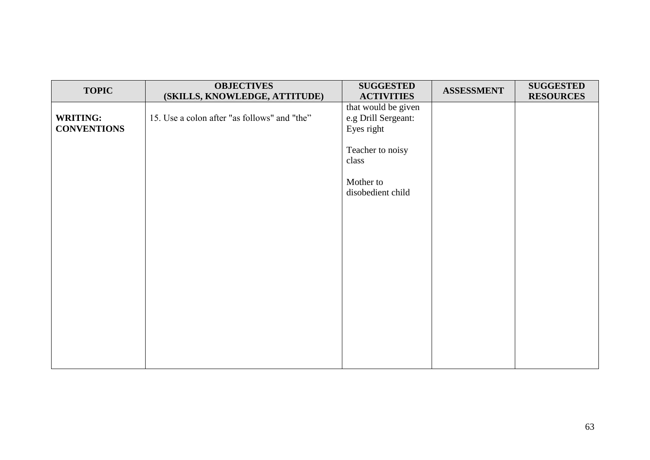| <b>TOPIC</b>       | <b>OBJECTIVES</b>                            | <b>SUGGESTED</b>                         | <b>ASSESSMENT</b> | <b>SUGGESTED</b> |
|--------------------|----------------------------------------------|------------------------------------------|-------------------|------------------|
|                    | (SKILLS, KNOWLEDGE, ATTITUDE)                | <b>ACTIVITIES</b><br>that would be given |                   | <b>RESOURCES</b> |
| <b>WRITING:</b>    | 15. Use a colon after "as follows" and "the" | e.g Drill Sergeant:                      |                   |                  |
| <b>CONVENTIONS</b> |                                              | Eyes right                               |                   |                  |
|                    |                                              | Teacher to noisy                         |                   |                  |
|                    |                                              | class                                    |                   |                  |
|                    |                                              | Mother to                                |                   |                  |
|                    |                                              | disobedient child                        |                   |                  |
|                    |                                              |                                          |                   |                  |
|                    |                                              |                                          |                   |                  |
|                    |                                              |                                          |                   |                  |
|                    |                                              |                                          |                   |                  |
|                    |                                              |                                          |                   |                  |
|                    |                                              |                                          |                   |                  |
|                    |                                              |                                          |                   |                  |
|                    |                                              |                                          |                   |                  |
|                    |                                              |                                          |                   |                  |
|                    |                                              |                                          |                   |                  |
|                    |                                              |                                          |                   |                  |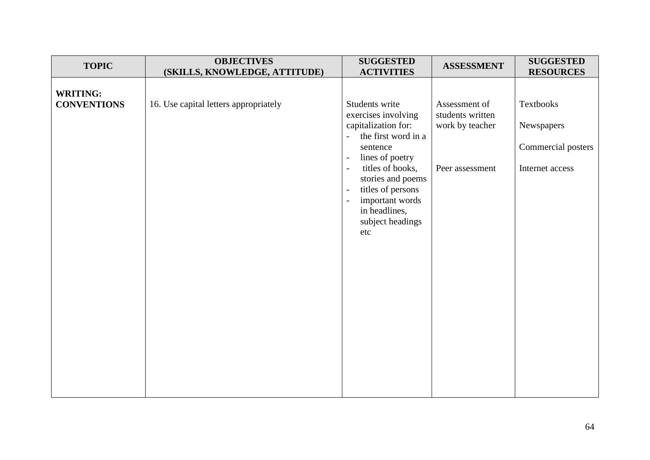| <b>TOPIC</b>                          | <b>OBJECTIVES</b><br>(SKILLS, KNOWLEDGE, ATTITUDE) | <b>SUGGESTED</b><br><b>ACTIVITIES</b>                                                                                                                                                                                                                                                                                                                           | <b>ASSESSMENT</b>                                                       | <b>SUGGESTED</b><br><b>RESOURCES</b>                                    |
|---------------------------------------|----------------------------------------------------|-----------------------------------------------------------------------------------------------------------------------------------------------------------------------------------------------------------------------------------------------------------------------------------------------------------------------------------------------------------------|-------------------------------------------------------------------------|-------------------------------------------------------------------------|
| <b>WRITING:</b><br><b>CONVENTIONS</b> | 16. Use capital letters appropriately              | Students write<br>exercises involving<br>capitalization for:<br>the first word in a<br>$\overline{a}$<br>sentence<br>lines of poetry<br>$\overline{\phantom{a}}$<br>titles of books,<br>$\sim$<br>stories and poems<br>titles of persons<br>$\overline{\phantom{a}}$<br>important words<br>$\overline{\phantom{a}}$<br>in headlines,<br>subject headings<br>etc | Assessment of<br>students written<br>work by teacher<br>Peer assessment | <b>Textbooks</b><br>Newspapers<br>Commercial posters<br>Internet access |
|                                       |                                                    |                                                                                                                                                                                                                                                                                                                                                                 |                                                                         |                                                                         |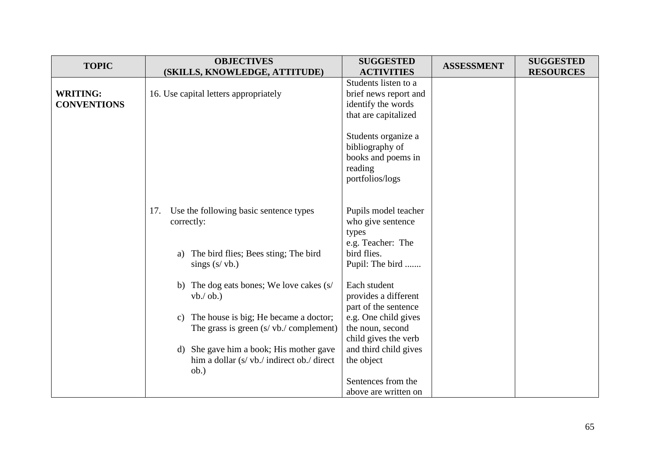| <b>TOPIC</b>       | <b>OBJECTIVES</b>                                      | <b>SUGGESTED</b>      | <b>ASSESSMENT</b> | <b>SUGGESTED</b> |
|--------------------|--------------------------------------------------------|-----------------------|-------------------|------------------|
|                    | (SKILLS, KNOWLEDGE, ATTITUDE)                          | <b>ACTIVITIES</b>     |                   | <b>RESOURCES</b> |
|                    |                                                        | Students listen to a  |                   |                  |
| <b>WRITING:</b>    | 16. Use capital letters appropriately                  | brief news report and |                   |                  |
| <b>CONVENTIONS</b> |                                                        | identify the words    |                   |                  |
|                    |                                                        | that are capitalized  |                   |                  |
|                    |                                                        |                       |                   |                  |
|                    |                                                        | Students organize a   |                   |                  |
|                    |                                                        | bibliography of       |                   |                  |
|                    |                                                        | books and poems in    |                   |                  |
|                    |                                                        | reading               |                   |                  |
|                    |                                                        | portfolios/logs       |                   |                  |
|                    |                                                        |                       |                   |                  |
|                    | Use the following basic sentence types<br>17.          | Pupils model teacher  |                   |                  |
|                    | correctly:                                             | who give sentence     |                   |                  |
|                    |                                                        | types                 |                   |                  |
|                    |                                                        | e.g. Teacher: The     |                   |                  |
|                    | The bird flies; Bees sting; The bird<br>a)             | bird flies.           |                   |                  |
|                    | sings $(s/vb.)$                                        | Pupil: The bird       |                   |                  |
|                    | b) The dog eats bones; We love cakes (s/               | Each student          |                   |                  |
|                    | $vb./$ ob.)                                            | provides a different  |                   |                  |
|                    |                                                        | part of the sentence  |                   |                  |
|                    | The house is big; He became a doctor;<br>$\mathbf{c})$ | e.g. One child gives  |                   |                  |
|                    | The grass is green $(s / vb./$ complement)             | the noun, second      |                   |                  |
|                    |                                                        | child gives the verb  |                   |                  |
|                    | d) She gave him a book; His mother gave                | and third child gives |                   |                  |
|                    | him a dollar (s/ vb./ indirect ob./ direct             | the object            |                   |                  |
|                    | ob.)                                                   |                       |                   |                  |
|                    |                                                        | Sentences from the    |                   |                  |
|                    |                                                        | above are written on  |                   |                  |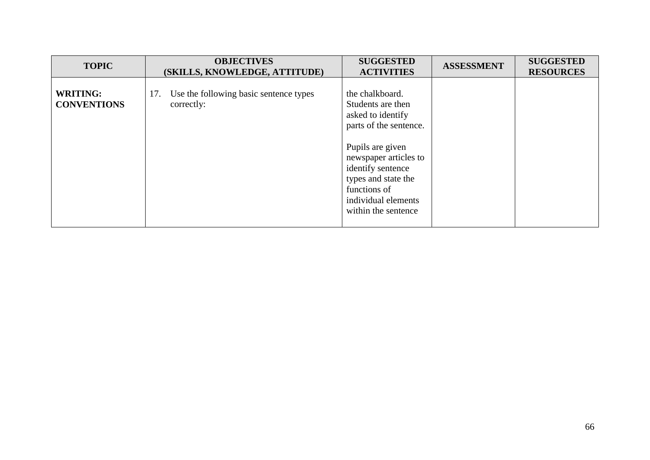| <b>TOPIC</b>                          | <b>OBJECTIVES</b><br>(SKILLS, KNOWLEDGE, ATTITUDE)          | <b>SUGGESTED</b><br><b>ACTIVITIES</b>                                                                                                                                                                                                      | <b>ASSESSMENT</b> | <b>SUGGESTED</b><br><b>RESOURCES</b> |
|---------------------------------------|-------------------------------------------------------------|--------------------------------------------------------------------------------------------------------------------------------------------------------------------------------------------------------------------------------------------|-------------------|--------------------------------------|
| <b>WRITING:</b><br><b>CONVENTIONS</b> | Use the following basic sentence types<br>17.<br>correctly: | the chalkboard.<br>Students are then<br>asked to identify<br>parts of the sentence.<br>Pupils are given<br>newspaper articles to<br>identify sentence<br>types and state the<br>functions of<br>individual elements<br>within the sentence |                   |                                      |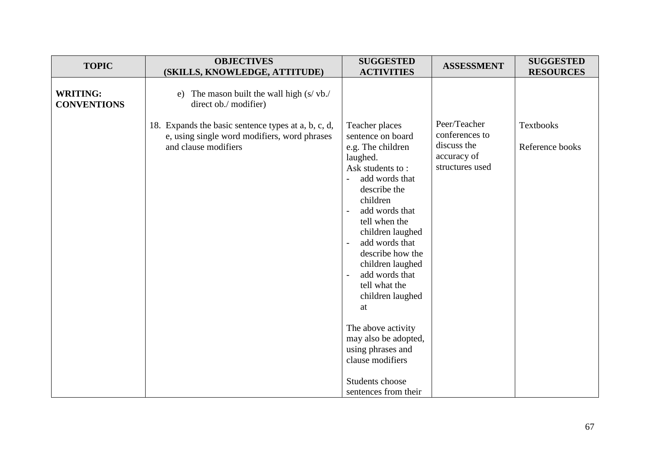| <b>TOPIC</b>                          | <b>OBJECTIVES</b>                                                                                                                                                                                                                    | <b>SUGGESTED</b>                                                                                                                                                                                                                                                 | <b>ASSESSMENT</b>                                                               | <b>SUGGESTED</b>                                        |
|---------------------------------------|--------------------------------------------------------------------------------------------------------------------------------------------------------------------------------------------------------------------------------------|------------------------------------------------------------------------------------------------------------------------------------------------------------------------------------------------------------------------------------------------------------------|---------------------------------------------------------------------------------|---------------------------------------------------------|
| <b>WRITING:</b><br><b>CONVENTIONS</b> | (SKILLS, KNOWLEDGE, ATTITUDE)<br>e) The mason built the wall high $(s/vb)$ .<br>direct ob./ modifier)<br>18. Expands the basic sentence types at a, b, c, d,<br>e, using single word modifiers, word phrases<br>and clause modifiers | <b>ACTIVITIES</b><br>Teacher places<br>sentence on board<br>e.g. The children<br>laughed.<br>Ask students to:<br>add words that<br>$\overline{a}$<br>describe the<br>children<br>add words that<br>$\overline{\phantom{a}}$<br>tell when the<br>children laughed | Peer/Teacher<br>conferences to<br>discuss the<br>accuracy of<br>structures used | <b>RESOURCES</b><br><b>Textbooks</b><br>Reference books |
|                                       |                                                                                                                                                                                                                                      | add words that<br>$\overline{\phantom{a}}$<br>describe how the<br>children laughed<br>add words that<br>$\overline{\phantom{a}}$<br>tell what the<br>children laughed<br>at<br>The above activity                                                                |                                                                                 |                                                         |
|                                       |                                                                                                                                                                                                                                      | may also be adopted,<br>using phrases and<br>clause modifiers<br>Students choose<br>sentences from their                                                                                                                                                         |                                                                                 |                                                         |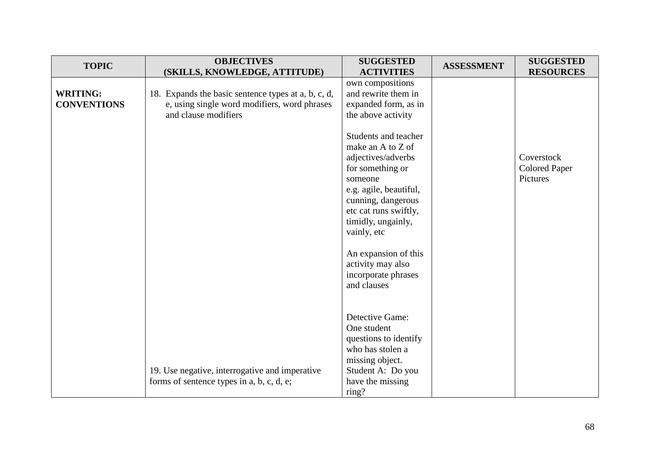| <b>TOPIC</b>                          | <b>OBJECTIVES</b>                                                                                                           | <b>SUGGESTED</b>                                                                                                                                                                                             | <b>ASSESSMENT</b> | <b>SUGGESTED</b>                               |
|---------------------------------------|-----------------------------------------------------------------------------------------------------------------------------|--------------------------------------------------------------------------------------------------------------------------------------------------------------------------------------------------------------|-------------------|------------------------------------------------|
|                                       | (SKILLS, KNOWLEDGE, ATTITUDE)                                                                                               | <b>ACTIVITIES</b><br>own compositions                                                                                                                                                                        |                   | <b>RESOURCES</b>                               |
| <b>WRITING:</b><br><b>CONVENTIONS</b> | 18. Expands the basic sentence types at a, b, c, d,<br>e, using single word modifiers, word phrases<br>and clause modifiers | and rewrite them in<br>expanded form, as in<br>the above activity                                                                                                                                            |                   |                                                |
|                                       |                                                                                                                             | Students and teacher<br>make an A to Z of<br>adjectives/adverbs<br>for something or<br>someone<br>e.g. agile, beautiful,<br>cunning, dangerous<br>etc cat runs swiftly,<br>timidly, ungainly,<br>vainly, etc |                   | Coverstock<br><b>Colored Paper</b><br>Pictures |
|                                       |                                                                                                                             | An expansion of this<br>activity may also<br>incorporate phrases<br>and clauses                                                                                                                              |                   |                                                |
|                                       | 19. Use negative, interrogative and imperative<br>forms of sentence types in a, b, c, d, e;                                 | Detective Game:<br>One student<br>questions to identify<br>who has stolen a<br>missing object.<br>Student A: Do you<br>have the missing<br>ring?                                                             |                   |                                                |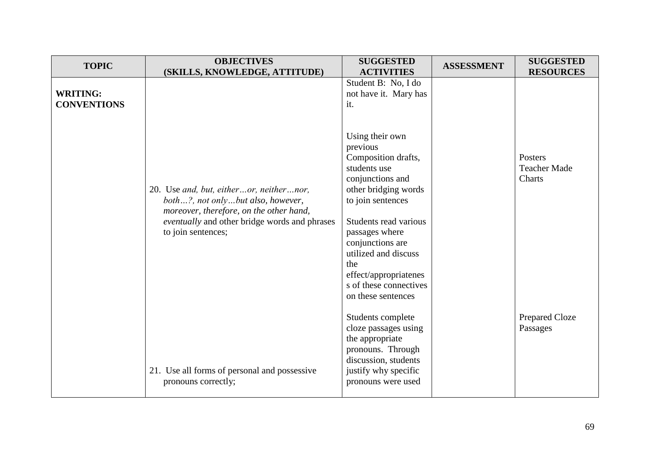| <b>TOPIC</b>                          | <b>OBJECTIVES</b>                                                                                                                                                                              | <b>SUGGESTED</b>                                                                                                                                                                                                                  | <b>ASSESSMENT</b> | <b>SUGGESTED</b>                         |
|---------------------------------------|------------------------------------------------------------------------------------------------------------------------------------------------------------------------------------------------|-----------------------------------------------------------------------------------------------------------------------------------------------------------------------------------------------------------------------------------|-------------------|------------------------------------------|
|                                       | (SKILLS, KNOWLEDGE, ATTITUDE)                                                                                                                                                                  | <b>ACTIVITIES</b>                                                                                                                                                                                                                 |                   | <b>RESOURCES</b>                         |
| <b>WRITING:</b><br><b>CONVENTIONS</b> |                                                                                                                                                                                                | Student B: No, I do<br>not have it. Mary has<br>it.                                                                                                                                                                               |                   |                                          |
|                                       | 20. Use and, but, eitheror, neithernor,<br>both?, not onlybut also, however,<br>moreover, therefore, on the other hand,<br>eventually and other bridge words and phrases<br>to join sentences; | Using their own<br>previous<br>Composition drafts,<br>students use<br>conjunctions and<br>other bridging words<br>to join sentences<br>Students read various<br>passages where<br>conjunctions are<br>utilized and discuss<br>the |                   | Posters<br><b>Teacher Made</b><br>Charts |
|                                       | 21. Use all forms of personal and possessive<br>pronouns correctly;                                                                                                                            | effect/appropriatenes<br>s of these connectives<br>on these sentences<br>Students complete<br>cloze passages using<br>the appropriate<br>pronouns. Through<br>discussion, students<br>justify why specific<br>pronouns were used  |                   | Prepared Cloze<br>Passages               |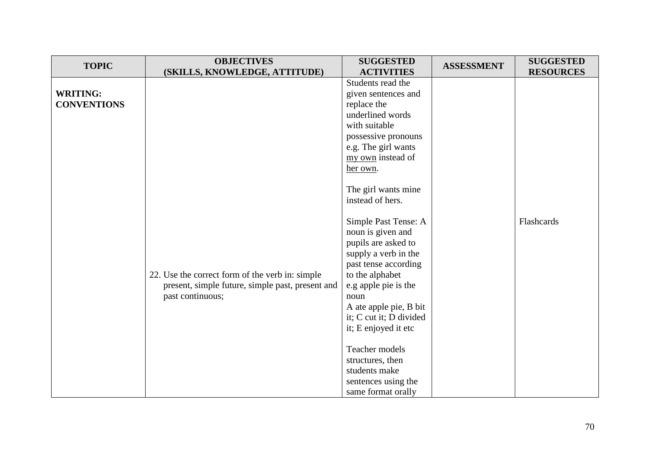| <b>TOPIC</b>       | <b>OBJECTIVES</b>                                | <b>SUGGESTED</b>                          | <b>ASSESSMENT</b> | <b>SUGGESTED</b> |
|--------------------|--------------------------------------------------|-------------------------------------------|-------------------|------------------|
|                    | (SKILLS, KNOWLEDGE, ATTITUDE)                    | <b>ACTIVITIES</b>                         |                   | <b>RESOURCES</b> |
|                    |                                                  | Students read the                         |                   |                  |
| <b>WRITING:</b>    |                                                  | given sentences and                       |                   |                  |
| <b>CONVENTIONS</b> |                                                  | replace the                               |                   |                  |
|                    |                                                  | underlined words                          |                   |                  |
|                    |                                                  | with suitable                             |                   |                  |
|                    |                                                  | possessive pronouns                       |                   |                  |
|                    |                                                  | e.g. The girl wants                       |                   |                  |
|                    |                                                  | my own instead of                         |                   |                  |
|                    |                                                  | her own.                                  |                   |                  |
|                    |                                                  |                                           |                   |                  |
|                    |                                                  | The girl wants mine                       |                   |                  |
|                    |                                                  | instead of hers.                          |                   |                  |
|                    |                                                  |                                           |                   |                  |
|                    |                                                  | Simple Past Tense: A                      |                   | Flashcards       |
|                    |                                                  | noun is given and                         |                   |                  |
|                    |                                                  | pupils are asked to                       |                   |                  |
|                    |                                                  | supply a verb in the                      |                   |                  |
|                    |                                                  | past tense according                      |                   |                  |
|                    | 22. Use the correct form of the verb in: simple  | to the alphabet                           |                   |                  |
|                    | present, simple future, simple past, present and | e.g apple pie is the                      |                   |                  |
|                    | past continuous;                                 | noun                                      |                   |                  |
|                    |                                                  | A ate apple pie, B bit                    |                   |                  |
|                    |                                                  | it; C cut it; D divided                   |                   |                  |
|                    |                                                  | it; E enjoyed it etc                      |                   |                  |
|                    |                                                  | Teacher models                            |                   |                  |
|                    |                                                  | structures, then                          |                   |                  |
|                    |                                                  | students make                             |                   |                  |
|                    |                                                  |                                           |                   |                  |
|                    |                                                  | sentences using the<br>same format orally |                   |                  |
|                    |                                                  |                                           |                   |                  |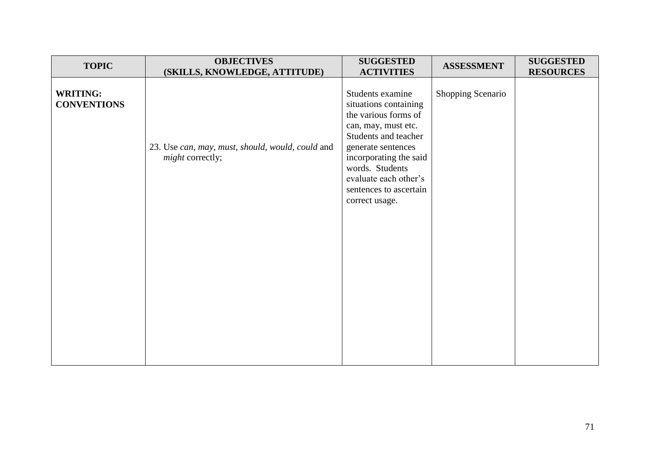| <b>TOPIC</b>                          | <b>OBJECTIVES</b><br>(SKILLS, KNOWLEDGE, ATTITUDE)                   | <b>SUGGESTED</b><br><b>ACTIVITIES</b>                                                                                                                                                                                                                    | <b>ASSESSMENT</b> | <b>SUGGESTED</b><br><b>RESOURCES</b> |
|---------------------------------------|----------------------------------------------------------------------|----------------------------------------------------------------------------------------------------------------------------------------------------------------------------------------------------------------------------------------------------------|-------------------|--------------------------------------|
| <b>WRITING:</b><br><b>CONVENTIONS</b> | 23. Use can, may, must, should, would, could and<br>might correctly; | Students examine<br>situations containing<br>the various forms of<br>can, may, must etc.<br>Students and teacher<br>generate sentences<br>incorporating the said<br>words. Students<br>evaluate each other's<br>sentences to ascertain<br>correct usage. | Shopping Scenario |                                      |
|                                       |                                                                      |                                                                                                                                                                                                                                                          |                   |                                      |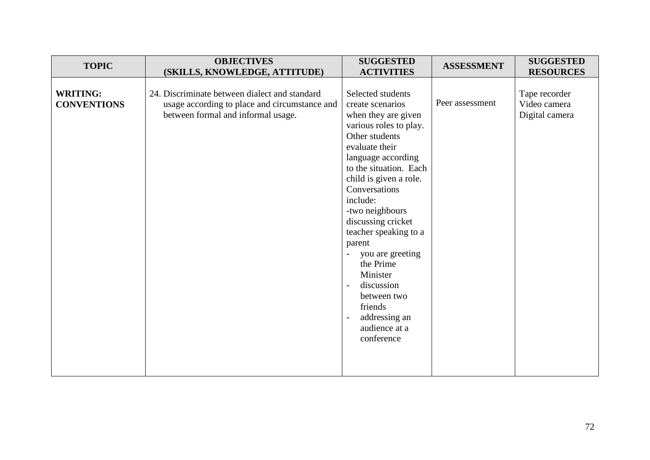| <b>TOPIC</b>                          | <b>OBJECTIVES</b><br>(SKILLS, KNOWLEDGE, ATTITUDE)                                                                                   | <b>SUGGESTED</b><br><b>ACTIVITIES</b>                                                                                                                                                                                                                                                                                                                                                                                                                                                  | <b>ASSESSMENT</b> | <b>SUGGESTED</b><br><b>RESOURCES</b>            |
|---------------------------------------|--------------------------------------------------------------------------------------------------------------------------------------|----------------------------------------------------------------------------------------------------------------------------------------------------------------------------------------------------------------------------------------------------------------------------------------------------------------------------------------------------------------------------------------------------------------------------------------------------------------------------------------|-------------------|-------------------------------------------------|
| <b>WRITING:</b><br><b>CONVENTIONS</b> | 24. Discriminate between dialect and standard<br>usage according to place and circumstance and<br>between formal and informal usage. | Selected students<br>create scenarios<br>when they are given<br>various roles to play.<br>Other students<br>evaluate their<br>language according<br>to the situation. Each<br>child is given a role.<br>Conversations<br>include:<br>-two neighbours<br>discussing cricket<br>teacher speaking to a<br>parent<br>you are greeting<br>$\overline{a}$<br>the Prime<br>Minister<br>discussion<br>$\blacksquare$<br>between two<br>friends<br>addressing an<br>audience at a<br>conference | Peer assessment   | Tape recorder<br>Video camera<br>Digital camera |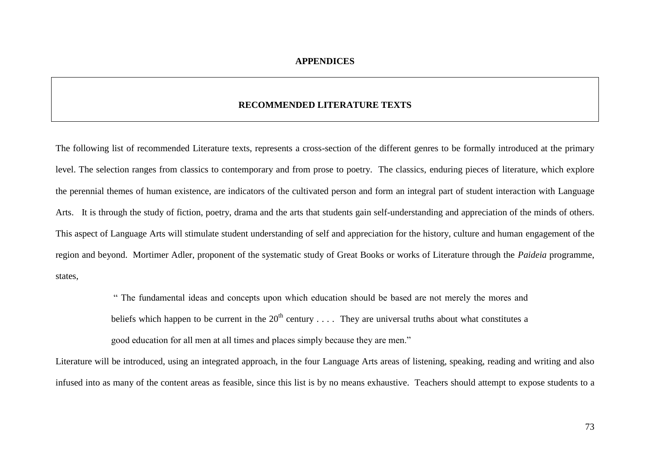#### **RECOMMENDED LITERATURE TEXTS**

The following list of recommended Literature texts, represents a cross-section of the different genres to be formally introduced at the primary level. The selection ranges from classics to contemporary and from prose to poetry. The classics, enduring pieces of literature, which explore the perennial themes of human existence, are indicators of the cultivated person and form an integral part of student interaction with Language Arts. It is through the study of fiction, poetry, drama and the arts that students gain self-understanding and appreciation of the minds of others. This aspect of Language Arts will stimulate student understanding of self and appreciation for the history, culture and human engagement of the region and beyond. Mortimer Adler, proponent of the systematic study of Great Books or works of Literature through the *Paideia* programme, states,

> " The fundamental ideas and concepts upon which education should be based are not merely the mores and beliefs which happen to be current in the  $20<sup>th</sup>$  century . . . . They are universal truths about what constitutes a good education for all men at all times and places simply because they are men."

Literature will be introduced, using an integrated approach, in the four Language Arts areas of listening, speaking, reading and writing and also infused into as many of the content areas as feasible, since this list is by no means exhaustive. Teachers should attempt to expose students to a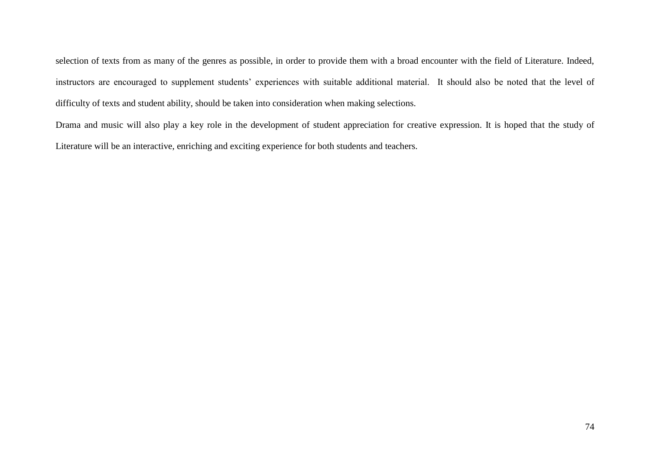selection of texts from as many of the genres as possible, in order to provide them with a broad encounter with the field of Literature. Indeed, instructors are encouraged to supplement students' experiences with suitable additional material. It should also be noted that the level of difficulty of texts and student ability, should be taken into consideration when making selections.

Drama and music will also play a key role in the development of student appreciation for creative expression. It is hoped that the study of Literature will be an interactive, enriching and exciting experience for both students and teachers.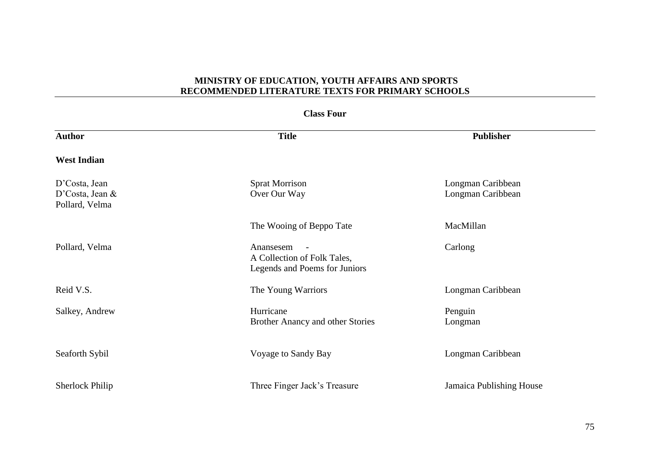| <b>Class Four</b>                                    |                                                                           |                                        |  |
|------------------------------------------------------|---------------------------------------------------------------------------|----------------------------------------|--|
| <b>Author</b>                                        | <b>Title</b>                                                              | <b>Publisher</b>                       |  |
| <b>West Indian</b>                                   |                                                                           |                                        |  |
| D'Costa, Jean<br>D'Costa, Jean $&$<br>Pollard, Velma | <b>Sprat Morrison</b><br>Over Our Way                                     | Longman Caribbean<br>Longman Caribbean |  |
|                                                      | The Wooing of Beppo Tate                                                  | MacMillan                              |  |
| Pollard, Velma                                       | Anansesem<br>A Collection of Folk Tales,<br>Legends and Poems for Juniors | Carlong                                |  |
| Reid V.S.                                            | The Young Warriors                                                        | Longman Caribbean                      |  |
| Salkey, Andrew                                       | Hurricane<br>Brother Anancy and other Stories                             | Penguin<br>Longman                     |  |
| Seaforth Sybil                                       | Voyage to Sandy Bay                                                       | Longman Caribbean                      |  |
| <b>Sherlock Philip</b>                               | Three Finger Jack's Treasure                                              | Jamaica Publishing House               |  |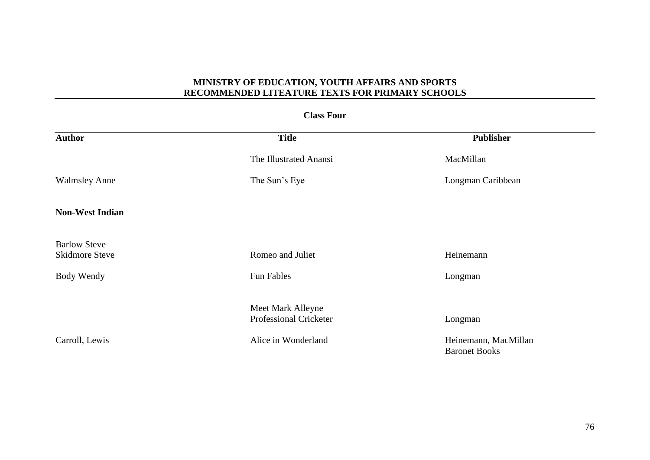#### **Class Four**

| <b>Author</b>                                | <b>Title</b>                                | Publisher                                    |
|----------------------------------------------|---------------------------------------------|----------------------------------------------|
|                                              | The Illustrated Anansi                      | MacMillan                                    |
| <b>Walmsley Anne</b>                         | The Sun's Eye                               | Longman Caribbean                            |
| <b>Non-West Indian</b>                       |                                             |                                              |
| <b>Barlow Steve</b><br><b>Skidmore Steve</b> | Romeo and Juliet                            | Heinemann                                    |
| Body Wendy                                   | <b>Fun Fables</b>                           | Longman                                      |
|                                              | Meet Mark Alleyne<br>Professional Cricketer | Longman                                      |
| Carroll, Lewis                               | Alice in Wonderland                         | Heinemann, MacMillan<br><b>Baronet Books</b> |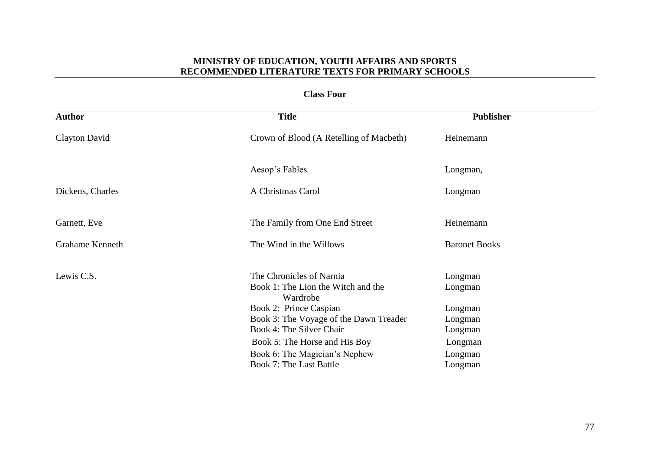**Class Four**

| <b>Author</b>          | <b>Title</b>                                                                                                                                                                                                                                                                   | <b>Publisher</b>                                                                     |
|------------------------|--------------------------------------------------------------------------------------------------------------------------------------------------------------------------------------------------------------------------------------------------------------------------------|--------------------------------------------------------------------------------------|
| Clayton David          | Crown of Blood (A Retelling of Macbeth)                                                                                                                                                                                                                                        | Heinemann                                                                            |
|                        | Aesop's Fables                                                                                                                                                                                                                                                                 | Longman,                                                                             |
| Dickens, Charles       | A Christmas Carol                                                                                                                                                                                                                                                              | Longman                                                                              |
| Garnett, Eve           | The Family from One End Street                                                                                                                                                                                                                                                 | Heinemann                                                                            |
| <b>Grahame Kenneth</b> | The Wind in the Willows                                                                                                                                                                                                                                                        | <b>Baronet Books</b>                                                                 |
| Lewis C.S.             | The Chronicles of Narnia<br>Book 1: The Lion the Witch and the<br>Wardrobe<br>Book 2: Prince Caspian<br>Book 3: The Voyage of the Dawn Treader<br>Book 4: The Silver Chair<br>Book 5: The Horse and His Boy<br>Book 6: The Magician's Nephew<br><b>Book 7: The Last Battle</b> | Longman<br>Longman<br>Longman<br>Longman<br>Longman<br>Longman<br>Longman<br>Longman |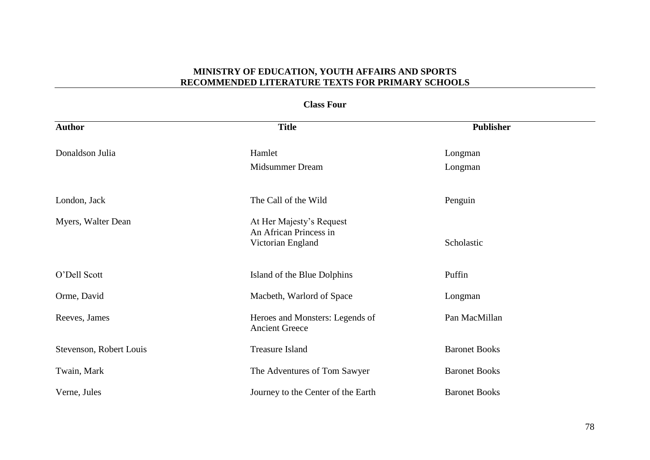## **Class Four**

| <b>Author</b>           | <b>Title</b>                                                            | <b>Publisher</b>     |
|-------------------------|-------------------------------------------------------------------------|----------------------|
| Donaldson Julia         | Hamlet                                                                  | Longman              |
|                         | <b>Midsummer Dream</b>                                                  | Longman              |
| London, Jack            | The Call of the Wild                                                    | Penguin              |
| Myers, Walter Dean      | At Her Majesty's Request<br>An African Princess in<br>Victorian England | Scholastic           |
| O'Dell Scott            | Island of the Blue Dolphins                                             | Puffin               |
| Orme, David             | Macbeth, Warlord of Space                                               | Longman              |
| Reeves, James           | Heroes and Monsters: Legends of<br><b>Ancient Greece</b>                | Pan MacMillan        |
| Stevenson, Robert Louis | <b>Treasure Island</b>                                                  | <b>Baronet Books</b> |
| Twain, Mark             | The Adventures of Tom Sawyer                                            | <b>Baronet Books</b> |
| Verne, Jules            | Journey to the Center of the Earth                                      | <b>Baronet Books</b> |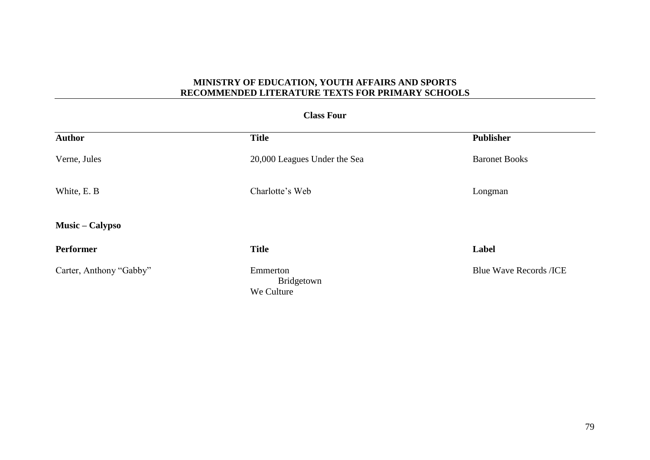## **Class Four**

| <b>Author</b>           | <b>Title</b>                         | <b>Publisher</b>              |
|-------------------------|--------------------------------------|-------------------------------|
| Verne, Jules            | 20,000 Leagues Under the Sea         | <b>Baronet Books</b>          |
| White, E. B.            | Charlotte's Web                      | Longman                       |
| <b>Music – Calypso</b>  |                                      |                               |
| <b>Performer</b>        | <b>Title</b>                         | Label                         |
| Carter, Anthony "Gabby" | Emmerton<br>Bridgetown<br>We Culture | <b>Blue Wave Records /ICE</b> |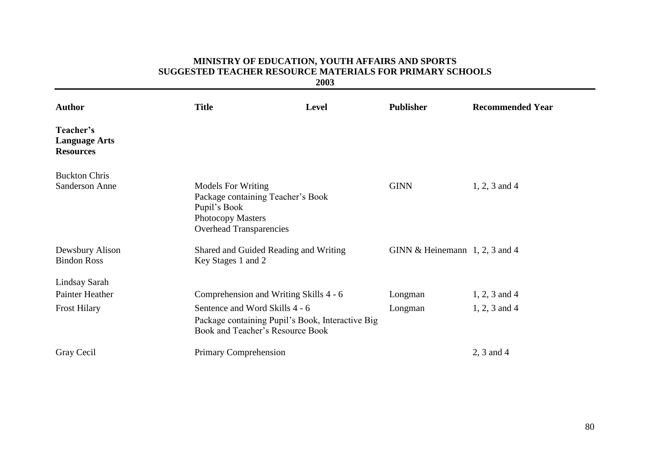## **MINISTRY OF EDUCATION, YOUTH AFFAIRS AND SPORTS SUGGESTED TEACHER RESOURCE MATERIALS FOR PRIMARY SCHOOLS**

**2003**

| <b>Author</b>                                         | <b>Title</b>                                                                                                                                 | <b>Level</b> | <b>Publisher</b>                 | <b>Recommended Year</b> |
|-------------------------------------------------------|----------------------------------------------------------------------------------------------------------------------------------------------|--------------|----------------------------------|-------------------------|
| Teacher's<br><b>Language Arts</b><br><b>Resources</b> |                                                                                                                                              |              |                                  |                         |
| <b>Buckton Chris</b>                                  |                                                                                                                                              |              |                                  |                         |
| <b>Sanderson Anne</b>                                 | <b>Models For Writing</b><br>Package containing Teacher's Book<br>Pupil's Book<br><b>Photocopy Masters</b><br><b>Overhead Transparencies</b> |              | <b>GINN</b>                      | $1, 2, 3$ and 4         |
| Dewsbury Alison<br><b>Bindon Ross</b>                 | Shared and Guided Reading and Writing<br>Key Stages 1 and 2                                                                                  |              | GINN & Heinemann $1, 2, 3$ and 4 |                         |
| Lindsay Sarah                                         |                                                                                                                                              |              |                                  |                         |
| <b>Painter Heather</b>                                | Comprehension and Writing Skills 4 - 6                                                                                                       |              | Longman                          | $1, 2, 3$ and 4         |
| <b>Frost Hilary</b>                                   | Sentence and Word Skills 4 - 6<br>Package containing Pupil's Book, Interactive Big<br>Book and Teacher's Resource Book                       |              | Longman                          | $1, 2, 3$ and 4         |
| Gray Cecil                                            | Primary Comprehension                                                                                                                        |              |                                  | 2, 3 and 4              |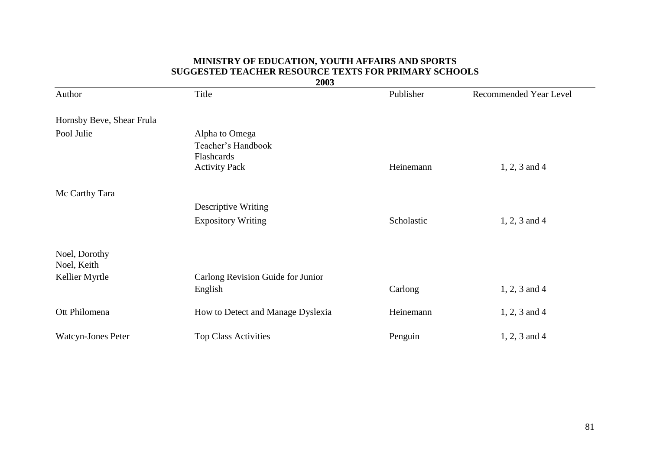#### **MINISTRY OF EDUCATION, YOUTH AFFAIRS AND SPORTS SUGGESTED TEACHER RESOURCE TEXTS FOR PRIMARY SCHOOLS 2003**

| <b><i>LUUJ</i></b>           |                                   |            |                        |
|------------------------------|-----------------------------------|------------|------------------------|
| Author                       | Title                             | Publisher  | Recommended Year Level |
| Hornsby Beve, Shear Frula    |                                   |            |                        |
| Pool Julie                   | Alpha to Omega                    |            |                        |
|                              | Teacher's Handbook<br>Flashcards  |            |                        |
|                              | <b>Activity Pack</b>              | Heinemann  | $1, 2, 3$ and 4        |
| Mc Carthy Tara               |                                   |            |                        |
|                              | <b>Descriptive Writing</b>        |            |                        |
|                              | <b>Expository Writing</b>         | Scholastic | $1, 2, 3$ and 4        |
| Noel, Dorothy<br>Noel, Keith |                                   |            |                        |
| Kellier Myrtle               | Carlong Revision Guide for Junior |            |                        |
|                              | English                           | Carlong    | $1, 2, 3$ and 4        |
| Ott Philomena                | How to Detect and Manage Dyslexia | Heinemann  | $1, 2, 3$ and 4        |
| <b>Watcyn-Jones Peter</b>    | <b>Top Class Activities</b>       | Penguin    | $1, 2, 3$ and 4        |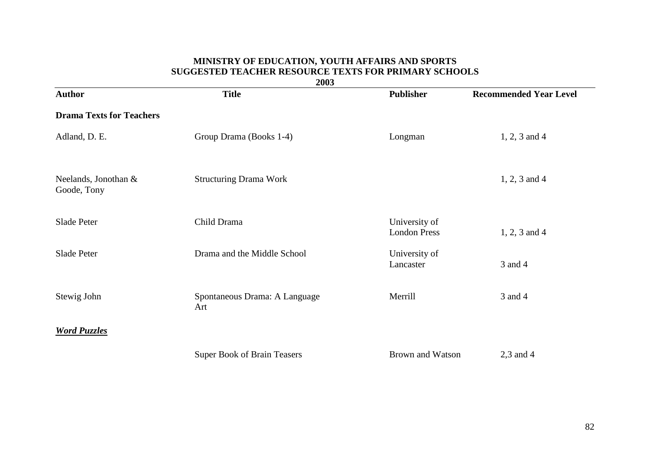#### **MINISTRY OF EDUCATION, YOUTH AFFAIRS AND SPORTS SUGGESTED TEACHER RESOURCE TEXTS FOR PRIMARY SCHOOLS**

| 2003                                |                                      |                                      |                               |
|-------------------------------------|--------------------------------------|--------------------------------------|-------------------------------|
| <b>Author</b>                       | <b>Title</b>                         | <b>Publisher</b>                     | <b>Recommended Year Level</b> |
| <b>Drama Texts for Teachers</b>     |                                      |                                      |                               |
| Adland, D. E.                       | Group Drama (Books 1-4)              | Longman                              | $1, 2, 3$ and 4               |
| Neelands, Jonothan &<br>Goode, Tony | <b>Structuring Drama Work</b>        |                                      | $1, 2, 3$ and 4               |
| Slade Peter                         | Child Drama                          | University of<br><b>London Press</b> | $1, 2, 3$ and $4$             |
| Slade Peter                         | Drama and the Middle School          | University of<br>Lancaster           | 3 and 4                       |
| Stewig John                         | Spontaneous Drama: A Language<br>Art | Merrill                              | 3 and 4                       |
| <b>Word Puzzles</b>                 |                                      |                                      |                               |
|                                     | <b>Super Book of Brain Teasers</b>   | Brown and Watson                     | $2,3$ and 4                   |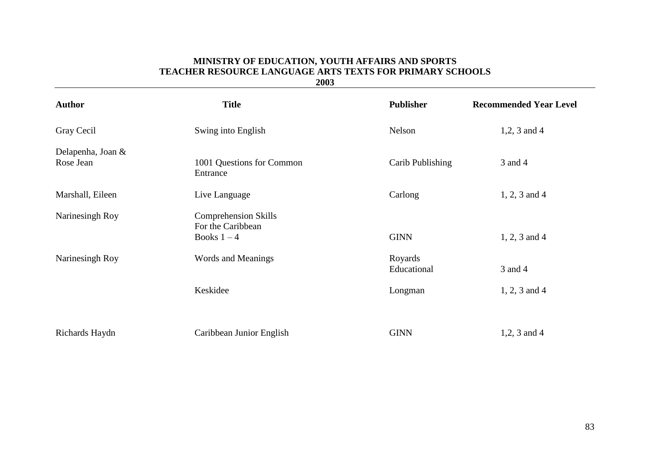## **MINISTRY OF EDUCATION, YOUTH AFFAIRS AND SPORTS TEACHER RESOURCE LANGUAGE ARTS TEXTS FOR PRIMARY SCHOOLS**

**2003**

| <b>Author</b>                  | <b>Title</b>                                                    | <b>Publisher</b>       | <b>Recommended Year Level</b> |
|--------------------------------|-----------------------------------------------------------------|------------------------|-------------------------------|
| Gray Cecil                     | Swing into English                                              | Nelson                 | $1,2,3$ and 4                 |
| Delapenha, Joan &<br>Rose Jean | 1001 Questions for Common<br>Entrance                           | Carib Publishing       | 3 and 4                       |
| Marshall, Eileen               | Live Language                                                   | Carlong                | $1, 2, 3$ and 4               |
| Narinesingh Roy                | <b>Comprehension Skills</b><br>For the Caribbean<br>Books $1-4$ | <b>GINN</b>            | $1, 2, 3$ and 4               |
| Narinesingh Roy                | Words and Meanings                                              | Royards<br>Educational | 3 and 4                       |
|                                | Keskidee                                                        | Longman                | $1, 2, 3$ and 4               |
|                                |                                                                 |                        |                               |
| Richards Haydn                 | Caribbean Junior English                                        | <b>GINN</b>            | 1,2, 3 and 4                  |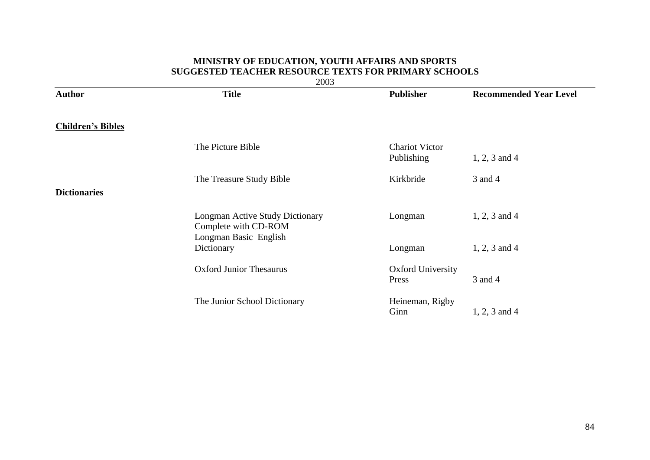## **MINISTRY OF EDUCATION, YOUTH AFFAIRS AND SPORTS SUGGESTED TEACHER RESOURCE TEXTS FOR PRIMARY SCHOOLS**

2003

| <b>Author</b>            | <b>Title</b>                                                   | <b>Publisher</b>                    | <b>Recommended Year Level</b> |
|--------------------------|----------------------------------------------------------------|-------------------------------------|-------------------------------|
| <b>Children's Bibles</b> |                                                                |                                     |                               |
|                          | The Picture Bible                                              | <b>Chariot Victor</b><br>Publishing | $1, 2, 3$ and 4               |
| <b>Dictionaries</b>      | The Treasure Study Bible                                       | Kirkbride                           | 3 and 4                       |
|                          | <b>Longman Active Study Dictionary</b><br>Complete with CD-ROM | Longman                             | $1, 2, 3$ and 4               |
|                          | Longman Basic English<br>Dictionary                            | Longman                             | $1, 2, 3$ and 4               |
|                          | <b>Oxford Junior Thesaurus</b>                                 | <b>Oxford University</b><br>Press   | 3 and 4                       |
|                          | The Junior School Dictionary                                   | Heineman, Rigby<br>Ginn             | $1, 2, 3$ and 4               |